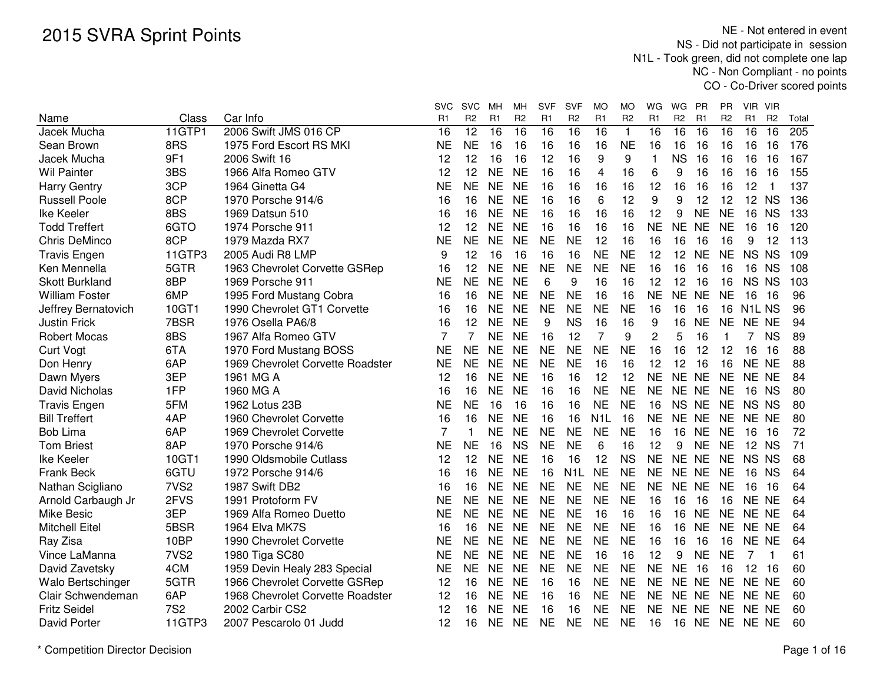|                       |                  |                                  | <b>SVC</b>     | <b>SVC</b> | МH             | МH             | <b>SVF</b>     | <b>SVF</b>       | <b>MO</b>        | МO             | WG             | WG             | <b>PR</b> | PR             | <b>VIR</b><br><b>VIR</b>       |       |
|-----------------------|------------------|----------------------------------|----------------|------------|----------------|----------------|----------------|------------------|------------------|----------------|----------------|----------------|-----------|----------------|--------------------------------|-------|
| Name                  | Class            | Car Info                         | R1             | R2         | R <sub>1</sub> | R <sub>2</sub> | R <sub>1</sub> | R <sub>2</sub>   | R <sub>1</sub>   | R <sub>2</sub> | R1             | R <sub>2</sub> | R1        | R <sub>2</sub> | R1<br>R <sub>2</sub>           | Total |
| Jacek Mucha           | 11GTP1           | 2006 Swift JMS 016 CP            | 16             | 12         | 16             | 16             | 16             | 16               | 16               | $\mathbf{1}$   | 16             | 16             | 16        | 16             | 16<br>16                       | 205   |
| Sean Brown            | 8RS              | 1975 Ford Escort RS MKI          | <b>NE</b>      | <b>NE</b>  | 16             | 16             | 16             | 16               | 16               | <b>NE</b>      | 16             | 16             | 16        | 16             | 16<br>16                       | 176   |
| Jacek Mucha           | 9F1              | 2006 Swift 16                    | 12             | 12         | 16             | 16             | 12             | 16               | 9                | 9              | 1              | <b>NS</b>      | 16        | 16             | 16<br>16                       | 167   |
| <b>Wil Painter</b>    | 3BS              | 1966 Alfa Romeo GTV              | 12             | 12         | <b>NE</b>      | <b>NE</b>      | 16             | 16               | 4                | 16             | 6              | 9              | 16        | 16             | 16<br>16                       | 155   |
| <b>Harry Gentry</b>   | 3CP              | 1964 Ginetta G4                  | <b>NE</b>      | <b>NE</b>  | <b>NE</b>      | <b>NE</b>      | 16             | 16               | 16               | 16             | 12             | 16             | 16        | 16             | 12<br>1                        | 137   |
| <b>Russell Poole</b>  | 8CP              | 1970 Porsche 914/6               | 16             | 16         | <b>NE</b>      | <b>NE</b>      | 16             | 16               | 6                | 12             | 9              | 9              | 12        | 12             | 12<br><b>NS</b>                | 136   |
| Ike Keeler            | 8BS              | 1969 Datsun 510                  | 16             | 16         | <b>NE</b>      | <b>NE</b>      | 16             | 16               | 16               | 16             | 12             | 9              | <b>NE</b> | <b>NE</b>      | 16<br><b>NS</b>                | 133   |
| <b>Todd Treffert</b>  | 6GTO             | 1974 Porsche 911                 | 12             | 12         | <b>NE</b>      | <b>NE</b>      | 16             | 16               | 16               | 16             | <b>NE</b>      | <b>NE</b>      | <b>NE</b> | <b>NE</b>      | 16<br>16                       | 120   |
| <b>Chris DeMinco</b>  | 8CP              | 1979 Mazda RX7                   | <b>NE</b>      | <b>NE</b>  | <b>NE</b>      | <b>NE</b>      | <b>NE</b>      | <b>NE</b>        | 12               | 16             | 16             | 16             | 16        | 16             | 12<br>9                        | 113   |
| <b>Travis Engen</b>   | 11GTP3           | 2005 Audi R8 LMP                 | 9              | 12         | 16             | 16             | 16             | 16               | <b>NE</b>        | <b>NE</b>      | 12             | 12             | <b>NE</b> | <b>NE</b>      | NS NS                          | 109   |
| Ken Mennella          | 5GTR             | 1963 Chevrolet Corvette GSRep    | 16             | 12         | <b>NE</b>      | <b>NE</b>      | <b>NE</b>      | <b>NE</b>        | <b>NE</b>        | <b>NE</b>      | 16             | 16             | 16        | 16             | 16 NS                          | 108   |
| <b>Skott Burkland</b> | 8BP              | 1969 Porsche 911                 | <b>NE</b>      | <b>NE</b>  | <b>NE</b>      | <b>NE</b>      | 6              | 9                | 16               | 16             | 12             | 12             | 16        | 16             | NS NS                          | 103   |
| <b>William Foster</b> | 6MP              | 1995 Ford Mustang Cobra          | 16             | 16         | <b>NE</b>      | <b>NE</b>      | <b>NE</b>      | <b>NE</b>        | 16               | 16             | <b>NE</b>      | NE NE          |           | <b>NE</b>      | 16<br>-16                      | 96    |
| Jeffrey Bernatovich   | 10GT1            | 1990 Chevrolet GT1 Corvette      | 16             | 16         | <b>NE</b>      | <b>NE</b>      | <b>NE</b>      | <b>NE</b>        | <b>NE</b>        | <b>NE</b>      | 16             | 16             | 16        | 16             | N <sub>1</sub> L <sub>NS</sub> | 96    |
| <b>Justin Frick</b>   | 7BSR             | 1976 Osella PA6/8                | 16             | 12         | <b>NE</b>      | <b>NE</b>      | 9              | <b>NS</b>        | 16               | 16             | 9              | 16             | <b>NE</b> | <b>NE</b>      | NE NE                          | 94    |
| <b>Robert Mocas</b>   | 8BS              | 1967 Alfa Romeo GTV              | 7              | 7          | <b>NE</b>      | <b>NE</b>      | 16             | 12               | $\overline{7}$   | 9              | $\overline{c}$ | 5              | 16        | $\mathbf 1$    | <b>NS</b><br>7                 | 89    |
| <b>Curt Vogt</b>      | 6TA              | 1970 Ford Mustang BOSS           | <b>NE</b>      | <b>NE</b>  | <b>NE</b>      | <b>NE</b>      | <b>NE</b>      | <b>NE</b>        | <b>NE</b>        | <b>NE</b>      | 16             | 16             | 12        | 12             | 16<br>16                       | 88    |
| Don Henry             | 6AP              | 1969 Chevrolet Corvette Roadster | <b>NE</b>      | <b>NE</b>  | <b>NE</b>      | <b>NE</b>      | <b>NE</b>      | <b>NE</b>        | 16               | 16             | 12             | 12             | 16        | 16             | NE NE                          | 88    |
| Dawn Myers            | 3EP              | 1961 MG A                        | 12             | 16         | <b>NE</b>      | <b>NE</b>      | 16             | 16               | 12               | 12             | <b>NE</b>      | NE NE          |           | <b>NE</b>      | NE NE                          | 84    |
| David Nicholas        | 1FP              | 1960 MG A                        | 16             | 16         | <b>NE</b>      | <b>NE</b>      | 16             | 16               | <b>NE</b>        | <b>NE</b>      | <b>NE</b>      | NE NE          |           | <b>NE</b>      | 16<br><b>NS</b>                | 80    |
| <b>Travis Engen</b>   | 5FM              | 1962 Lotus 23B                   | <b>NE</b>      | <b>NE</b>  | 16             | 16             | 16             | 16               | <b>NE</b>        | <b>NE</b>      | 16             | <b>NS</b>      | <b>NE</b> | <b>NE</b>      | NS NS                          | 80    |
| <b>Bill Treffert</b>  | 4AP              | 1960 Chevrolet Corvette          | 16             | 16         | <b>NE</b>      | <b>NE</b>      | 16             | 16               | N <sub>1</sub> L | 16             | <b>NE</b>      | <b>NE</b>      | <b>NE</b> | <b>NE</b>      | NE NE                          | 80    |
| <b>Bob Lima</b>       | 6AP              | 1969 Chevrolet Corvette          | $\overline{7}$ | 1          | <b>NE</b>      | <b>NE</b>      | <b>NE</b>      | <b>NE</b>        | <b>NE</b>        | <b>NE</b>      | 16             | 16             | <b>NE</b> | <b>NE</b>      | 16<br>16                       | 72    |
| <b>Tom Briest</b>     | 8AP              | 1970 Porsche 914/6               | <b>NE</b>      | <b>NE</b>  | 16             | <b>NS</b>      | <b>NE</b>      | <b>NE</b>        | 6                | 16             | 12             | 9              | <b>NE</b> | <b>NE</b>      | 12 NS                          | 71    |
| Ike Keeler            | 10GT1            | 1990 Oldsmobile Cutlass          | 12             | 12         | <b>NE</b>      | <b>NE</b>      | 16             | 16               | 12               | <b>NS</b>      | <b>NE</b>      | <b>NE</b>      | <b>NE</b> | <b>NE</b>      | NS NS                          | 68    |
| <b>Frank Beck</b>     | 6GTU             | 1972 Porsche 914/6               | 16             | 16         | <b>NE</b>      | <b>NE</b>      | 16             | N <sub>1</sub> L | <b>NE</b>        | <b>NE</b>      | <b>NE</b>      | NE NE          |           | <b>NE</b>      | 16 NS                          | 64    |
| Nathan Scigliano      | 7VS <sub>2</sub> | 1987 Swift DB2                   | 16             | 16         | <b>NE</b>      | <b>NE</b>      | <b>NE</b>      | <b>NE</b>        | <b>NE</b>        | <b>NE</b>      | <b>NE</b>      | NE NE          |           | <b>NE</b>      | 16<br>16                       | 64    |
| Arnold Carbaugh Jr    | 2FVS             | 1991 Protoform FV                | <b>NE</b>      | <b>NE</b>  | <b>NE</b>      | <b>NE</b>      | <b>NE</b>      | <b>NE</b>        | <b>NE</b>        | <b>NE</b>      | 16             | 16             | 16        | 16             | NE NE                          | 64    |
| <b>Mike Besic</b>     | 3EP              | 1969 Alfa Romeo Duetto           | <b>NE</b>      | <b>NE</b>  | <b>NE</b>      | <b>NE</b>      | <b>NE</b>      | <b>NE</b>        | 16               | 16             | 16             | 16             | <b>NE</b> | NE             | NE NE                          | 64    |
| <b>Mitchell Eitel</b> | 5BSR             | 1964 Elva MK7S                   | 16             | 16         | <b>NE</b>      | <b>NE</b>      | <b>NE</b>      | <b>NE</b>        | <b>NE</b>        | <b>NE</b>      | 16             | 16             | <b>NE</b> | <b>NE</b>      | NE NE                          | 64    |
| Ray Zisa              | 10BP             | 1990 Chevrolet Corvette          | <b>NE</b>      | <b>NE</b>  | <b>NE</b>      | <b>NE</b>      | <b>NE</b>      | <b>NE</b>        | <b>NE</b>        | <b>NE</b>      | 16             | 16             | 16        | 16             | NE NE                          | 64    |
| Vince LaManna         | 7VS <sub>2</sub> | 1980 Tiga SC80                   | <b>NE</b>      | <b>NE</b>  | <b>NE</b>      | <b>NE</b>      | <b>NE</b>      | <b>NE</b>        | 16               | 16             | 12             | 9              | <b>NE</b> | <b>NE</b>      | 7<br>1                         | 61    |
| David Zavetsky        | 4CM              | 1959 Devin Healy 283 Special     | <b>NE</b>      | <b>NE</b>  | <b>NE</b>      | <b>NE</b>      | <b>NE</b>      | <b>NE</b>        | <b>NE</b>        | <b>NE</b>      | <b>NE</b>      | <b>NE</b>      | 16        | 16             | 12<br>16                       | 60    |
| Walo Bertschinger     | 5GTR             | 1966 Chevrolet Corvette GSRep    | 12             | 16         | <b>NE</b>      | <b>NE</b>      | 16             | 16               | <b>NE</b>        | <b>NE</b>      | <b>NE</b>      | NE NE          |           | <b>NE</b>      | NE NE                          | 60    |
| Clair Schwendeman     | 6AP              | 1968 Chevrolet Corvette Roadster | 12             | 16         | <b>NE</b>      | <b>NE</b>      | 16             | 16               | <b>NE</b>        | <b>NE</b>      | <b>NE</b>      | NE NE          |           | <b>NE</b>      | NE NE                          | 60    |
| <b>Fritz Seidel</b>   | <b>7S2</b>       | 2002 Carbir CS2                  | 12             | 16         | <b>NE</b>      | <b>NE</b>      | 16             | 16               | <b>NE</b>        | <b>NE</b>      | <b>NE</b>      | <b>NE</b>      | <b>NE</b> | <b>NE</b>      | NE NE                          | 60    |
| <b>David Porter</b>   | 11GTP3           | 2007 Pescarolo 01 Judd           | 12             | 16         | <b>NE</b>      | <b>NE</b>      | <b>NE</b>      | <b>NE</b>        | <b>NE</b>        | <b>NE</b>      | 16             | 16             | <b>NE</b> | <b>NE</b>      | NE NE                          | 60    |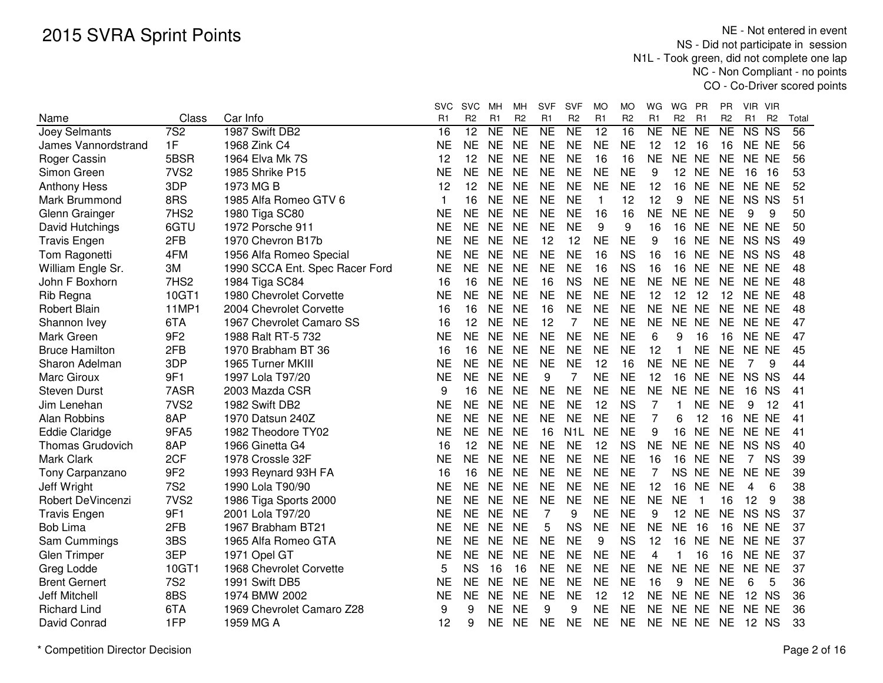|                          |                  |                                | <b>SVC</b> | <b>SVC</b>     | MН             | MН             | <b>SVF</b>     | <b>SVF</b>       | MO           | МO             | WG             | WG             | PR             | PR.            | VIR VIR     |                |       |
|--------------------------|------------------|--------------------------------|------------|----------------|----------------|----------------|----------------|------------------|--------------|----------------|----------------|----------------|----------------|----------------|-------------|----------------|-------|
| Name                     | Class            | Car Info                       | R1         | R <sub>2</sub> | R <sub>1</sub> | R <sub>2</sub> | R1             | R <sub>2</sub>   | R1           | R <sub>2</sub> | R <sub>1</sub> | R <sub>2</sub> | R <sub>1</sub> | R <sub>2</sub> | R1          | R <sub>2</sub> | Total |
| Joey Selmants            | $\overline{7S2}$ | 1987 Swift DB2                 | 16         | 12             | <b>NE</b>      | <b>NE</b>      | <b>NE</b>      | <b>NE</b>        | 12           | 16             | <b>NE</b>      | NE NE          |                | <b>NE</b>      | NS NS       |                | 56    |
| James Vannordstrand      | 1F               | 1968 Zink C4                   | NE         | <b>NE</b>      | <b>NE</b>      | <b>NE</b>      | <b>NE</b>      | <b>NE</b>        | <b>NE</b>    | <b>NE</b>      | 12             | 12             | 16             | 16             | NE NE       |                | 56    |
| Roger Cassin             | 5BSR             | 1964 Elva Mk 7S                | 12         | 12             | <b>NE</b>      | <b>NE</b>      | <b>NE</b>      | <b>NE</b>        | 16           | 16             | <b>NE</b>      | NE NE          |                | <b>NE</b>      | NE NE       |                | 56    |
| Simon Green              | 7VS <sub>2</sub> | 1985 Shrike P15                | <b>NE</b>  | <b>NE</b>      | <b>NE</b>      | <b>NE</b>      | <b>NE</b>      | <b>NE</b>        | <b>NE</b>    | <b>NE</b>      | 9              | 12             | <b>NE</b>      | <b>NE</b>      | 16          | 16             | 53    |
| <b>Anthony Hess</b>      | 3DP              | 1973 MG B                      | 12         | 12             | <b>NE</b>      | <b>NE</b>      | <b>NE</b>      | <b>NE</b>        | <b>NE</b>    | <b>NE</b>      | 12             | 16             | <b>NE</b>      | <b>NE</b>      | NE NE       |                | 52    |
| Mark Brummond            | 8RS              | 1985 Alfa Romeo GTV 6          | 1          | 16             | <b>NE</b>      | <b>NE</b>      | <b>NE</b>      | <b>NE</b>        | $\mathbf{1}$ | 12             | 12             | 9              | <b>NE</b>      | <b>NE</b>      | NS NS       |                | 51    |
| Glenn Grainger           | 7HS <sub>2</sub> | 1980 Tiga SC80                 | NE         | <b>NE</b>      | <b>NE</b>      | <b>NE</b>      | <b>NE</b>      | <b>NE</b>        | 16           | 16             | <b>NE</b>      | NE NE          |                | <b>NE</b>      | 9           | 9              | 50    |
| David Hutchings          | 6GTU             | 1972 Porsche 911               | NΕ         | NE.            | <b>NE</b>      | <b>NE</b>      | <b>NE</b>      | <b>NE</b>        | 9            | 9              | 16             | 16 NE          |                | <b>NE</b>      | NE NE       |                | 50    |
| <b>Travis Engen</b>      | 2FB              | 1970 Chevron B17b              | <b>NE</b>  | <b>NE</b>      | <b>NE</b>      | <b>NE</b>      | 12             | 12               | <b>NE</b>    | <b>NE</b>      | 9              | 16             | <b>NE</b>      | <b>NE</b>      | NS NS       |                | 49    |
| Tom Ragonetti            | 4FM              | 1956 Alfa Romeo Special        | <b>NE</b>  | <b>NE</b>      | <b>NE</b>      | <b>NE</b>      | <b>NE</b>      | <b>NE</b>        | 16           | <b>NS</b>      | 16             | 16             | <b>NE</b>      | <b>NE</b>      | NS NS       |                | 48    |
| William Engle Sr.        | 3M               | 1990 SCCA Ent. Spec Racer Ford | <b>NE</b>  | <b>NE</b>      | <b>NE</b>      | <b>NE</b>      | <b>NE</b>      | <b>NE</b>        | 16           | <b>NS</b>      | 16             | 16             | <b>NE</b>      | <b>NE</b>      | NE NE       |                | 48    |
| John F Boxhorn           | 7HS2             | 1984 Tiga SC84                 | 16         | 16             | <b>NE</b>      | <b>NE</b>      | 16             | <b>NS</b>        | <b>NE</b>    | <b>NE</b>      | <b>NE</b>      | NE NE          |                | <b>NE</b>      | NE NE       |                | 48    |
| Rib Regna                | 10GT1            | 1980 Chevrolet Corvette        | ΝE         | <b>NE</b>      | <b>NE</b>      | <b>NE</b>      | <b>NE</b>      | <b>NE</b>        | <b>NE</b>    | <b>NE</b>      | 12             | 12             | 12             | 12             | NE NE       |                | 48    |
| <b>Robert Blain</b>      | 11MP1            | 2004 Chevrolet Corvette        | 16         | 16             | <b>NE</b>      | <b>NE</b>      | 16             | <b>NE</b>        | <b>NE</b>    | <b>NE</b>      | <b>NE</b>      | NE NE          |                | <b>NE</b>      | NE NE       |                | 48    |
| Shannon Ivey             | 6TA              | 1967 Chevrolet Camaro SS       | 16         | 12             | <b>NE</b>      | <b>NE</b>      | 12             | $\overline{7}$   | <b>NE</b>    | <b>NE</b>      | <b>NE</b>      | NE NE          |                | <b>NE</b>      | NE NE       |                | 47    |
| Mark Green               | 9F <sub>2</sub>  | 1988 Ralt RT-5 732             | <b>NE</b>  | <b>NE</b>      | <b>NE</b>      | <b>NE</b>      | <b>NE</b>      | <b>NE</b>        | <b>NE</b>    | <b>NE</b>      | 6              | 9              | 16             | 16             | NE NE       |                | 47    |
| <b>Bruce Hamilton</b>    | 2FB              | 1970 Brabham BT 36             | 16         | 16             | <b>NE</b>      | <b>NE</b>      | <b>NE</b>      | <b>NE</b>        | <b>NE</b>    | <b>NE</b>      | 12             | 1              | <b>NE</b>      | <b>NE</b>      | NE NE       |                | 45    |
| Sharon Adelman           | 3DP              | 1965 Turner MKIII              | <b>NE</b>  | <b>NE</b>      | <b>NE</b>      | <b>NE</b>      | <b>NE</b>      | <b>NE</b>        | 12           | 16             | <b>NE</b>      | NE NE          |                | <b>NE</b>      | 7           | 9              | 44    |
| Marc Giroux              | 9F1              | 1997 Lola T97/20               | <b>NE</b>  | <b>NE</b>      | <b>NE</b>      | <b>NE</b>      | 9              | 7                | <b>NE</b>    | <b>NE</b>      | 12             | 16             | <b>NE</b>      | <b>NE</b>      | NS NS       |                | 44    |
| <b>Steven Durst</b>      | 7ASR             | 2003 Mazda CSR                 | 9          | 16             | <b>NE</b>      | <b>NE</b>      | <b>NE</b>      | <b>NE</b>        | <b>NE</b>    | <b>NE</b>      | <b>NE</b>      | NE NE          |                | <b>NE</b>      | 16          | <b>NS</b>      | 41    |
| Jim Lenehan              | 7VS <sub>2</sub> | 1982 Swift DB2                 | <b>NE</b>  | <b>NE</b>      | <b>NE</b>      | <b>NE</b>      | <b>NE</b>      | <b>NE</b>        | 12           | <b>NS</b>      | 7              | 1              | <b>NE</b>      | <b>NE</b>      | 9           | 12             | 41    |
| Alan Robbins             | 8AP              | 1970 Datsun 240Z               | NE         | <b>NE</b>      | <b>NE</b>      | <b>NE</b>      | <b>NE</b>      | <b>NE</b>        | <b>NE</b>    | <b>NE</b>      | 7              | 6              | 12             | 16             | NE NE       |                | 41    |
| <b>Eddie Claridge</b>    | 9FA5             | 1982 Theodore TY02             | NE         | <b>NE</b>      | <b>NE</b>      | <b>NE</b>      | 16             | N <sub>1</sub> L | <b>NE</b>    | <b>NE</b>      | 9              | 16             | <b>NE</b>      | <b>NE</b>      | NE NE       |                | 41    |
| <b>Thomas Grudovich</b>  | 8AP              | 1966 Ginetta G4                | 16         | 12             | <b>NE</b>      | <b>NE</b>      | <b>NE</b>      | <b>NE</b>        | 12           | <b>NS</b>      | <b>NE</b>      | NE NE          |                | <b>NE</b>      | NS NS       |                | 40    |
| Mark Clark               | 2CF              | 1978 Crossle 32F               | NE         | <b>NE</b>      | <b>NE</b>      | <b>NE</b>      | <b>NE</b>      | <b>NE</b>        | <b>NE</b>    | <b>NE</b>      | 16             | 16             | <b>NE</b>      | <b>NE</b>      | $7^{\circ}$ | <b>NS</b>      | 39    |
| Tony Carpanzano          | 9F <sub>2</sub>  | 1993 Reynard 93H FA            | 16         | 16             | <b>NE</b>      | <b>NE</b>      | <b>NE</b>      | <b>NE</b>        | <b>NE</b>    | <b>NE</b>      | 7              | <b>NS</b>      | <b>NE</b>      | <b>NE</b>      | NE NE       |                | 39    |
| Jeff Wright              | <b>7S2</b>       | 1990 Lola T90/90               | NE         | <b>NE</b>      | <b>NE</b>      | <b>NE</b>      | <b>NE</b>      | <b>NE</b>        | <b>NE</b>    | <b>NE</b>      | 12             | 16             | <b>NE</b>      | <b>NE</b>      | 4           | 6              | 38    |
| <b>Robert DeVincenzi</b> | 7VS <sub>2</sub> | 1986 Tiga Sports 2000          | <b>NE</b>  | <b>NE</b>      | <b>NE</b>      | <b>NE</b>      | <b>NE</b>      | <b>NE</b>        | <b>NE</b>    | <b>NE</b>      | <b>NE</b>      | <b>NE</b>      | -1             | 16             | 12          | 9              | 38    |
| <b>Travis Engen</b>      | 9F1              | 2001 Lola T97/20               | <b>NE</b>  | <b>NE</b>      | <b>NE</b>      | <b>NE</b>      | $\overline{7}$ | 9                | <b>NE</b>    | <b>NE</b>      | 9              | 12 NE          |                | <b>NE</b>      | NS NS       |                | 37    |
| <b>Bob Lima</b>          | 2FB              | 1967 Brabham BT21              | NE         | <b>NE</b>      | <b>NE</b>      | <b>NE</b>      | 5              | <b>NS</b>        | <b>NE</b>    | <b>NE</b>      | <b>NE</b>      | <b>NE</b>      | 16             | 16             | NE NE       |                | 37    |
| Sam Cummings             | 3BS              | 1965 Alfa Romeo GTA            | <b>NE</b>  | <b>NE</b>      | <b>NE</b>      | <b>NE</b>      | <b>NE</b>      | <b>NE</b>        | 9            | <b>NS</b>      | 12             | 16             | <b>NE</b>      | <b>NE</b>      | NE NE       |                | 37    |
| Glen Trimper             | 3EP              | 1971 Opel GT                   | <b>NE</b>  | <b>NE</b>      | <b>NE</b>      | <b>NE</b>      | <b>NE</b>      | <b>NE</b>        | <b>NE</b>    | <b>NE</b>      | 4              | 1              | 16             | 16             | NE NE       |                | 37    |
| Greg Lodde               | 10GT1            | 1968 Chevrolet Corvette        | 5          | <b>NS</b>      | 16             | 16             | <b>NE</b>      | <b>NE</b>        | <b>NE</b>    | <b>NE</b>      | <b>NE</b>      | NE NE          |                | <b>NE</b>      | NE NE       |                | 37    |
| <b>Brent Gernert</b>     | <b>7S2</b>       | 1991 Swift DB5                 | <b>NE</b>  | <b>NE</b>      | <b>NE</b>      | <b>NE</b>      | <b>NE</b>      | <b>NE</b>        | <b>NE</b>    | <b>NE</b>      | 16             | 9              | <b>NE</b>      | <b>NE</b>      | 6           | 5              | 36    |
| Jeff Mitchell            | 8BS              | 1974 BMW 2002                  | NE         | <b>NE</b>      | <b>NE</b>      | <b>NE</b>      | <b>NE</b>      | <b>NE</b>        | 12           | 12             | NE             | NE NE          |                | <b>NE</b>      | 12 NS       |                | 36    |
| <b>Richard Lind</b>      | 6TA              | 1969 Chevrolet Camaro Z28      | 9          | 9              | NE.            | <b>NE</b>      | 9              | 9                | <b>NE</b>    | <b>NE</b>      | <b>NE</b>      | NE NE          |                | NE             | NE NE       |                | 36    |
| David Conrad             | 1FP              | 1959 MG A                      | 12         | 9              | <b>NE</b>      | <b>NE</b>      | <b>NE</b>      | <b>NE</b>        | <b>NE</b>    | <b>NE</b>      | <b>NE</b>      | NE NE          |                | <b>NE</b>      | 12 NS       |                | 33    |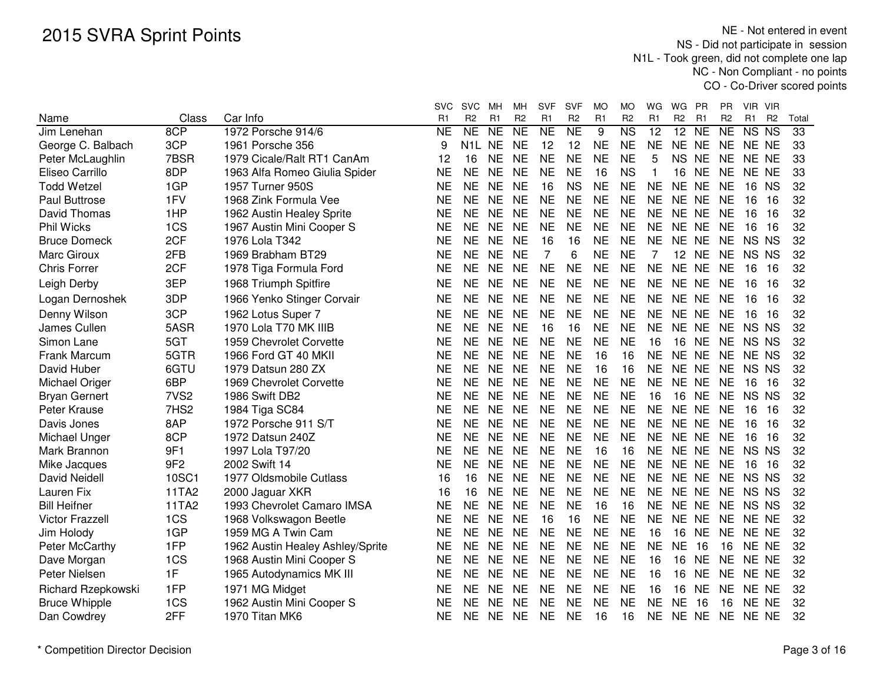|                        |                  |                                  | <b>SVC</b> | <b>SVC</b>     | мн        | MН              | <b>SVF</b>     | <b>SVF</b>      | МO        | MO                     | WG        | WG              | PR        | PR.             | VIR VIR  |                |       |
|------------------------|------------------|----------------------------------|------------|----------------|-----------|-----------------|----------------|-----------------|-----------|------------------------|-----------|-----------------|-----------|-----------------|----------|----------------|-------|
| Name                   | Class            | Car Info                         | R1         | R <sub>2</sub> | R1        | R <sub>2</sub>  | R1             | R <sub>2</sub>  | R1        | R <sub>2</sub>         | R1        | R <sub>2</sub>  | R1        | R <sub>2</sub>  | R1       | R <sub>2</sub> | Total |
| Jim Lenehan            | 8CP              | 1972 Porsche 914/6               | <b>NE</b>  | NE             | <b>NE</b> | $\overline{NE}$ | <b>NE</b>      | $\overline{NE}$ | 9         | $\overline{\text{NS}}$ | 12        | $\overline{12}$ | <b>NE</b> | $\overline{NE}$ | NS NS    |                | 33    |
| George C. Balbach      | 3CP              | 1961 Porsche 356                 | 9          | N1L            | <b>NE</b> | <b>NE</b>       | 12             | 12              | <b>NE</b> | <b>NE</b>              | <b>NE</b> | NE NE           |           |                 | NE NE NE |                | 33    |
| Peter McLaughlin       | 7BSR             | 1979 Cicale/Ralt RT1 CanAm       | 12         | 16             | <b>NE</b> | <b>NE</b>       | <b>NE</b>      | <b>NE</b>       | <b>NE</b> | <b>NE</b>              | 5         | <b>NS</b>       | <b>NE</b> | <b>NE</b>       | NE NE    |                | 33    |
| Eliseo Carrillo        | 8DP              | 1963 Alfa Romeo Giulia Spider    | NE         | <b>NE</b>      | <b>NE</b> | <b>NE</b>       | <b>NE</b>      | <b>NE</b>       | 16        | <b>NS</b>              | 1         | 16              | <b>NE</b> | <b>NE</b>       | NE NE    |                | 33    |
| <b>Todd Wetzel</b>     | 1GP              | 1957 Turner 950S                 | <b>NE</b>  | <b>NE</b>      | <b>NE</b> | <b>NE</b>       | 16             | <b>NS</b>       | <b>NE</b> | <b>NE</b>              | <b>NE</b> | NE NE           |           | <b>NE</b>       | 16       | <b>NS</b>      | 32    |
| <b>Paul Buttrose</b>   | 1FV              | 1968 Zink Formula Vee            | NE         | <b>NE</b>      | <b>NE</b> | <b>NE</b>       | <b>NE</b>      | <b>NE</b>       | <b>NE</b> | <b>NE</b>              | <b>NE</b> | NE NE           |           | <b>NE</b>       | 16       | 16             | 32    |
| David Thomas           | 1HP              | 1962 Austin Healey Sprite        | <b>NE</b>  | <b>NE</b>      | <b>NE</b> | <b>NE</b>       | <b>NE</b>      | <b>NE</b>       | <b>NE</b> | <b>NE</b>              | <b>NE</b> | NE NE           |           | <b>NE</b>       | 16       | 16             | 32    |
| <b>Phil Wicks</b>      | 1CS              | 1967 Austin Mini Cooper S        | <b>NE</b>  | <b>NE</b>      | <b>NE</b> | <b>NE</b>       | <b>NE</b>      | <b>NE</b>       | <b>NE</b> | <b>NE</b>              | <b>NE</b> | NE NE           |           | NE.             | 16       | 16             | 32    |
| <b>Bruce Domeck</b>    | 2CF              | 1976 Lola T342                   | <b>NE</b>  | <b>NE</b>      | <b>NE</b> | <b>NE</b>       | 16             | 16              | <b>NE</b> | <b>NE</b>              | <b>NE</b> | NE NE           |           | <b>NE</b>       | NS NS    |                | 32    |
| Marc Giroux            | 2FB              | 1969 Brabham BT29                | <b>NE</b>  | <b>NE</b>      | <b>NE</b> | <b>NE</b>       | $\overline{7}$ | 6               | <b>NE</b> | <b>NE</b>              | 7         | 12 <sup>°</sup> | <b>NE</b> | <b>NE</b>       | NS NS    |                | 32    |
| <b>Chris Forrer</b>    | 2CF              | 1978 Tiga Formula Ford           | <b>NE</b>  | <b>NE</b>      | <b>NE</b> | <b>NE</b>       | <b>NE</b>      | <b>NE</b>       | <b>NE</b> | <b>NE</b>              | <b>NE</b> | NE NE           |           | <b>NE</b>       | 16       | 16             | 32    |
| Leigh Derby            | 3EP              | 1968 Triumph Spitfire            | <b>NE</b>  | <b>NE</b>      | NE.       | <b>NE</b>       | <b>NE</b>      | <b>NE</b>       | <b>NE</b> | <b>NE</b>              | <b>NE</b> | NE NE           |           | NE              | 16       | -16            | 32    |
| Logan Dernoshek        | 3DP              | 1966 Yenko Stinger Corvair       | <b>NE</b>  | <b>NE</b>      | <b>NE</b> | <b>NE</b>       | <b>NE</b>      | <b>NE</b>       | <b>NE</b> | <b>NE</b>              | <b>NE</b> | NE NE           |           | <b>NE</b>       | 16       | 16             | 32    |
| Denny Wilson           | 3CP              | 1962 Lotus Super 7               | <b>NE</b>  | <b>NE</b>      | <b>NE</b> | <b>NE</b>       | <b>NE</b>      | <b>NE</b>       | <b>NE</b> | <b>NE</b>              | <b>NE</b> | NE NE           |           | <b>NE</b>       | 16       | 16             | 32    |
| James Cullen           | 5ASR             | 1970 Lola T70 MK IIIB            | NE         | <b>NE</b>      | <b>NE</b> | <b>NE</b>       | 16             | 16              | <b>NE</b> | <b>NE</b>              | <b>NE</b> | NE NE           |           | NE              | NS NS    |                | 32    |
| Simon Lane             | 5GT              | 1959 Chevrolet Corvette          | <b>NE</b>  | <b>NE</b>      | <b>NE</b> | <b>NE</b>       | <b>NE</b>      | <b>NE</b>       | <b>NE</b> | <b>NE</b>              | 16        | 16 NE           |           | NE              | NS NS    |                | 32    |
| <b>Frank Marcum</b>    | 5GTR             | 1966 Ford GT 40 MKII             | <b>NE</b>  | <b>NE</b>      | <b>NE</b> | <b>NE</b>       | <b>NE</b>      | <b>NE</b>       | 16        | 16                     | <b>NE</b> | NE NE           |           | <b>NE</b>       | NE NS    |                | 32    |
| David Huber            | 6GTU             | 1979 Datsun 280 ZX               | <b>NE</b>  | <b>NE</b>      | <b>NE</b> | <b>NE</b>       | <b>NE</b>      | <b>NE</b>       | 16        | 16                     | <b>NE</b> | NE NE           |           | <b>NE</b>       | NS NS    |                | 32    |
| Michael Origer         | 6BP              | 1969 Chevrolet Corvette          | <b>NE</b>  | <b>NE</b>      | <b>NE</b> | <b>NE</b>       | <b>NE</b>      | <b>NE</b>       | <b>NE</b> | <b>NE</b>              | <b>NE</b> | NE NE           |           | <b>NE</b>       | 16       | 16             | 32    |
| <b>Bryan Gernert</b>   | 7VS <sub>2</sub> | 1986 Swift DB2                   | <b>NE</b>  | <b>NE</b>      | <b>NE</b> | <b>NE</b>       | <b>NE</b>      | <b>NE</b>       | <b>NE</b> | <b>NE</b>              | 16        | 16              | <b>NE</b> | <b>NE</b>       | NS NS    |                | 32    |
| Peter Krause           | 7HS <sub>2</sub> | 1984 Tiga SC84                   | <b>NE</b>  | <b>NE</b>      | <b>NE</b> | <b>NE</b>       | <b>NE</b>      | <b>NE</b>       | <b>NE</b> | <b>NE</b>              | <b>NE</b> | NE NE           |           | <b>NE</b>       | 16       | 16             | 32    |
| Davis Jones            | 8AP              | 1972 Porsche 911 S/T             | <b>NE</b>  | <b>NE</b>      | <b>NE</b> | <b>NE</b>       | <b>NE</b>      | <b>NE</b>       | <b>NE</b> | <b>NE</b>              | <b>NE</b> | NE NE           |           | <b>NE</b>       | 16       | 16             | 32    |
| Michael Unger          | 8CP              | 1972 Datsun 240Z                 | <b>NE</b>  | <b>NE</b>      | <b>NE</b> | <b>NE</b>       | <b>NE</b>      | <b>NE</b>       | <b>NE</b> | <b>NE</b>              | <b>NE</b> | NE NE           |           | <b>NE</b>       | 16       | 16             | 32    |
| Mark Brannon           | 9F1              | 1997 Lola T97/20                 | <b>NE</b>  | <b>NE</b>      | <b>NE</b> | <b>NE</b>       | <b>NE</b>      | <b>NE</b>       | 16        | 16                     | <b>NE</b> | <b>NE</b>       | <b>NE</b> | <b>NE</b>       | NS NS    |                | 32    |
| Mike Jacques           | 9F <sub>2</sub>  | 2002 Swift 14                    | <b>NE</b>  | <b>NE</b>      | <b>NE</b> | <b>NE</b>       | <b>NE</b>      | <b>NE</b>       | <b>NE</b> | <b>NE</b>              | <b>NE</b> | NE NE           |           | <b>NE</b>       | 16       | 16             | 32    |
| David Neidell          | 10SC1            | 1977 Oldsmobile Cutlass          | 16         | 16             | <b>NE</b> | <b>NE</b>       | <b>NE</b>      | <b>NE</b>       | <b>NE</b> | <b>NE</b>              | <b>NE</b> | NE NE           |           | NE              | NS NS    |                | 32    |
| Lauren Fix             | 11TA2            | 2000 Jaguar XKR                  | 16         | 16             | <b>NE</b> | <b>NE</b>       | <b>NE</b>      | <b>NE</b>       | <b>NE</b> | <b>NE</b>              | <b>NE</b> | NE NE           |           | NE.             | NS NS    |                | 32    |
| <b>Bill Heifner</b>    | 11TA2            | 1993 Chevrolet Camaro IMSA       | NE         | <b>NE</b>      | <b>NE</b> | <b>NE</b>       | <b>NE</b>      | <b>NE</b>       | 16        | 16                     | <b>NE</b> | NE NE           |           | <b>NE</b>       | NS NS    |                | 32    |
| <b>Victor Frazzell</b> | 1CS              | 1968 Volkswagon Beetle           | <b>NE</b>  | <b>NE</b>      | <b>NE</b> | <b>NE</b>       | 16             | 16              | <b>NE</b> | <b>NE</b>              | <b>NE</b> | NE NE           |           | <b>NE</b>       | NE NE    |                | 32    |
| Jim Holody             | 1GP              | 1959 MG A Twin Cam               | <b>NE</b>  | <b>NE</b>      | <b>NE</b> | <b>NE</b>       | <b>NE</b>      | <b>NE</b>       | <b>NE</b> | <b>NE</b>              | 16        | 16              | <b>NE</b> | <b>NE</b>       | NE NE    |                | 32    |
| Peter McCarthy         | 1FP              | 1962 Austin Healey Ashley/Sprite | <b>NE</b>  | <b>NE</b>      | <b>NE</b> | <b>NE</b>       | <b>NE</b>      | <b>NE</b>       | <b>NE</b> | <b>NE</b>              | <b>NE</b> | <b>NE</b>       | 16        | 16              | NE NE    |                | 32    |
| Dave Morgan            | 1CS              | 1968 Austin Mini Cooper S        | <b>NE</b>  | <b>NE</b>      | <b>NE</b> | <b>NE</b>       | <b>NE</b>      | <b>NE</b>       | <b>NE</b> | <b>NE</b>              | 16        | 16              | <b>NE</b> | <b>NE</b>       | NE NE    |                | 32    |
| Peter Nielsen          | 1F               | 1965 Autodynamics MK III         | <b>NE</b>  | <b>NE</b>      | <b>NE</b> | <b>NE</b>       | <b>NE</b>      | <b>NE</b>       | <b>NE</b> | <b>NE</b>              | 16        | 16              | <b>NE</b> | <b>NE</b>       | NE NE    |                | 32    |
| Richard Rzepkowski     | 1FP              | 1971 MG Midget                   | NE         | <b>NE</b>      | <b>NE</b> | <b>NE</b>       | <b>NE</b>      | <b>NE</b>       | <b>NE</b> | <b>NE</b>              | 16        | 16              | <b>NE</b> | <b>NE</b>       | NE NE    |                | 32    |
| <b>Bruce Whipple</b>   | 1CS              | 1962 Austin Mini Cooper S        | <b>NE</b>  | <b>NE</b>      | <b>NE</b> | <b>NE</b>       | <b>NE</b>      | <b>NE</b>       | <b>NE</b> | <b>NE</b>              | <b>NE</b> | <b>NE</b>       | 16        | 16              | NE NE    |                | 32    |
| Dan Cowdrey            | 2FF              | 1970 Titan MK6                   | NE         | <b>NE</b>      | NE.       | <b>NE</b>       | <b>NE</b>      | <b>NE</b>       | 16        | 16                     | <b>NE</b> | NE NE           |           | <b>NE</b>       | NE NE    |                | 32    |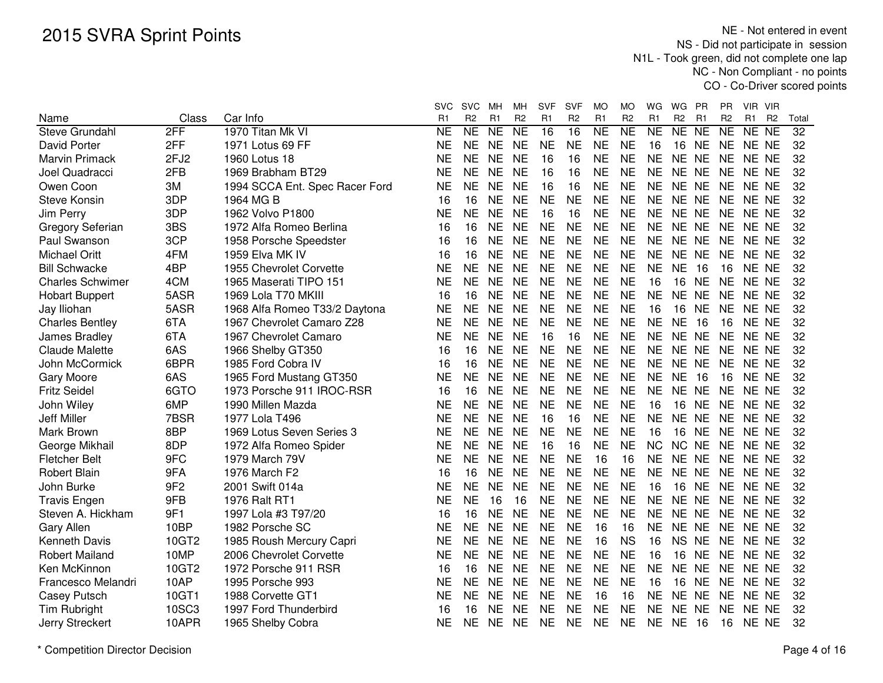|                         |                 |                                | <b>SVC</b> | <b>SVC</b>     | MН             | МH             | <b>SVF</b>     | <b>SVF</b>      | МO             | МO                  | WG             | WG                  | PR        | PR             | VIR<br><b>VIR</b>                |       |
|-------------------------|-----------------|--------------------------------|------------|----------------|----------------|----------------|----------------|-----------------|----------------|---------------------|----------------|---------------------|-----------|----------------|----------------------------------|-------|
| Name                    | Class           | Car Info                       | R1         | R <sub>2</sub> | R <sub>1</sub> | R <sub>2</sub> | R <sub>1</sub> | R <sub>2</sub>  | R <sub>1</sub> | R <sub>2</sub>      | R <sub>1</sub> | R <sub>2</sub>      | R1        | R <sub>2</sub> | R <sub>1</sub><br>R <sub>2</sub> | Total |
| Steve Grundahl          | 2FF             | 1970 Titan Mk VI               | NE         | <b>NE</b>      | <b>NE</b>      | <b>NE</b>      | 16             | $\overline{16}$ | <b>NE</b>      | $\overline{\sf NE}$ | N <sub>E</sub> | $\overline{\sf NE}$ | NE        | <b>NE</b>      | <b>NE</b><br><b>NE</b>           | 32    |
| David Porter            | 2FF             | 1971 Lotus 69 FF               | NE         | <b>NE</b>      | <b>NE</b>      | <b>NE</b>      | <b>NE</b>      | <b>NE</b>       | <b>NE</b>      | <b>NE</b>           | 16             | 16                  | <b>NE</b> |                | NE NE NE                         | 32    |
| <b>Marvin Primack</b>   | 2FJ2            | 1960 Lotus 18                  | NE         | <b>NE</b>      | <b>NE</b>      | <b>NE</b>      | 16             | 16              | <b>NE</b>      | <b>NE</b>           | <b>NE</b>      | NE NE               |           | <b>NE</b>      | NE NE                            | 32    |
| Joel Quadracci          | 2FB             | 1969 Brabham BT29              | <b>NE</b>  | <b>NE</b>      | <b>NE</b>      | <b>NE</b>      | 16             | 16              | <b>NE</b>      | <b>NE</b>           | <b>NE</b>      | NE NE               |           | <b>NE</b>      | NE NE                            | 32    |
| Owen Coon               | 3M              | 1994 SCCA Ent. Spec Racer Ford | <b>NE</b>  | <b>NE</b>      | <b>NE</b>      | <b>NE</b>      | 16             | 16              | <b>NE</b>      | <b>NE</b>           | <b>NE</b>      | NE NE               |           | <b>NE</b>      | NE NE                            | 32    |
| <b>Steve Konsin</b>     | 3DP             | 1964 MG B                      | 16         | 16             | <b>NE</b>      | <b>NE</b>      | <b>NE</b>      | <b>NE</b>       | <b>NE</b>      | <b>NE</b>           | <b>NE</b>      | NE NE               |           | <b>NE</b>      | NE NE                            | 32    |
| Jim Perry               | 3DP             | 1962 Volvo P1800               | ΝE         | <b>NE</b>      | <b>NE</b>      | <b>NE</b>      | 16             | 16              | <b>NE</b>      | <b>NE</b>           | <b>NE</b>      | NE NE               |           |                | NE NE NE                         | 32    |
| Gregory Seferian        | 3BS             | 1972 Alfa Romeo Berlina        | 16         | 16             | <b>NE</b>      | <b>NE</b>      | <b>NE</b>      | <b>NE</b>       | <b>NE</b>      | <b>NE</b>           | <b>NE</b>      | NE NE               |           |                | NE NE NE                         | 32    |
| Paul Swanson            | 3CP             | 1958 Porsche Speedster         | 16         | 16             | NE             | <b>NE</b>      | NE             | <b>NE</b>       | <b>NE</b>      | <b>NE</b>           | NE             | NE NE               |           | NE.            | NE NE                            | 32    |
| <b>Michael Oritt</b>    | 4FM             | 1959 Elva MK IV                | 16         | 16             | <b>NE</b>      | <b>NE</b>      | <b>NE</b>      | <b>NE</b>       | <b>NE</b>      | <b>NE</b>           | <b>NE</b>      | NE NE               |           | <b>NE</b>      | NE NE                            | 32    |
| <b>Bill Schwacke</b>    | 4BP             | 1955 Chevrolet Corvette        | <b>NE</b>  | <b>NE</b>      | <b>NE</b>      | <b>NE</b>      | <b>NE</b>      | <b>NE</b>       | <b>NE</b>      | <b>NE</b>           | <b>NE</b>      | <b>NE</b>           | 16        | 16             | NE NE                            | 32    |
| <b>Charles Schwimer</b> | 4CM             | 1965 Maserati TIPO 151         | <b>NE</b>  | <b>NE</b>      | <b>NE</b>      | <b>NE</b>      | <b>NE</b>      | <b>NE</b>       | <b>NE</b>      | <b>NE</b>           | 16             | 16                  | <b>NE</b> | NE.            | NE NE                            | 32    |
| <b>Hobart Buppert</b>   | 5ASR            | 1969 Lola T70 MKIII            | 16         | 16             | <b>NE</b>      | <b>NE</b>      | <b>NE</b>      | <b>NE</b>       | <b>NE</b>      | <b>NE</b>           | <b>NE</b>      | NE NE               |           | <b>NE</b>      | NE NE                            | 32    |
| Jay Iliohan             | 5ASR            | 1968 Alfa Romeo T33/2 Daytona  | <b>NE</b>  | <b>NE</b>      | <b>NE</b>      | <b>NE</b>      | <b>NE</b>      | <b>NE</b>       | <b>NE</b>      | <b>NE</b>           | 16             | 16                  | <b>NE</b> | <b>NE</b>      | NE NE                            | 32    |
| <b>Charles Bentley</b>  | 6TA             | 1967 Chevrolet Camaro Z28      | <b>NE</b>  | <b>NE</b>      | <b>NE</b>      | <b>NE</b>      | <b>NE</b>      | <b>NE</b>       | <b>NE</b>      | <b>NE</b>           | <b>NE</b>      | <b>NE</b>           | 16        | 16             | NE NE                            | 32    |
| James Bradley           | 6TA             | 1967 Chevrolet Camaro          | NE         | <b>NE</b>      | <b>NE</b>      | <b>NE</b>      | 16             | 16              | <b>NE</b>      | <b>NE</b>           | <b>NE</b>      | NE NE               |           | <b>NE</b>      | NE NE                            | 32    |
| <b>Claude Malette</b>   | 6AS             | 1966 Shelby GT350              | 16         | 16             | <b>NE</b>      | <b>NE</b>      | <b>NE</b>      | <b>NE</b>       | <b>NE</b>      | <b>NE</b>           | <b>NE</b>      | NE NE               |           | <b>NE</b>      | NE NE                            | 32    |
| John McCormick          | 6BPR            | 1985 Ford Cobra IV             | 16         | 16             | <b>NE</b>      | <b>NE</b>      | <b>NE</b>      | <b>NE</b>       | <b>NE</b>      | <b>NE</b>           | <b>NE</b>      | NE NE               |           | <b>NE</b>      | NE NE                            | 32    |
| Gary Moore              | 6AS             | 1965 Ford Mustang GT350        | <b>NE</b>  | <b>NE</b>      | <b>NE</b>      | <b>NE</b>      | <b>NE</b>      | <b>NE</b>       | <b>NE</b>      | <b>NE</b>           | <b>NE</b>      | <b>NE</b>           | 16        | 16             | NE NE                            | 32    |
| <b>Fritz Seidel</b>     | 6GTO            | 1973 Porsche 911 IROC-RSR      | 16         | 16             | <b>NE</b>      | <b>NE</b>      | <b>NE</b>      | <b>NE</b>       | <b>NE</b>      | <b>NE</b>           | <b>NE</b>      | NE NE               |           | <b>NE</b>      | NE NE                            | 32    |
| John Wiley              | 6MP             | 1990 Millen Mazda              | NE         | <b>NE</b>      | <b>NE</b>      | <b>NE</b>      | <b>NE</b>      | <b>NE</b>       | <b>NE</b>      | <b>NE</b>           | 16             | 16                  | <b>NE</b> | <b>NE</b>      | NE NE                            | 32    |
| Jeff Miller             | 7BSR            | 1977 Lola T496                 | NΕ         | <b>NE</b>      | <b>NE</b>      | <b>NE</b>      | 16             | 16              | <b>NE</b>      | <b>NE</b>           | <b>NE</b>      | NE NE               |           | NE.            | NE NE                            | 32    |
| Mark Brown              | 8BP             | 1969 Lotus Seven Series 3      | NE         | <b>NE</b>      | <b>NE</b>      | <b>NE</b>      | <b>NE</b>      | <b>NE</b>       | <b>NE</b>      | <b>NE</b>           | 16             | 16                  | NE        | NE.            | NE NE                            | 32    |
| George Mikhail          | 8DP             | 1972 Alfa Romeo Spider         | ΝE         | <b>NE</b>      | <b>NE</b>      | <b>NE</b>      | 16             | 16              | <b>NE</b>      | <b>NE</b>           | <b>NC</b>      | NC NE               |           | NE             | NE NE                            | 32    |
| <b>Fletcher Belt</b>    | 9FC             | 1979 March 79V                 | <b>NE</b>  | <b>NE</b>      | <b>NE</b>      | <b>NE</b>      | <b>NE</b>      | <b>NE</b>       | 16             | 16                  | <b>NE</b>      | NE NE               |           | <b>NE</b>      | NE NE                            | 32    |
| <b>Robert Blain</b>     | 9FA             | 1976 March F2                  | 16         | 16             | <b>NE</b>      | <b>NE</b>      | <b>NE</b>      | <b>NE</b>       | <b>NE</b>      | <b>NE</b>           | <b>NE</b>      | NE NE               |           | <b>NE</b>      | NE NE                            | 32    |
| John Burke              | 9F <sub>2</sub> | 2001 Swift 014a                | NE         | <b>NE</b>      | <b>NE</b>      | <b>NE</b>      | <b>NE</b>      | <b>NE</b>       | <b>NE</b>      | <b>NE</b>           | 16             | 16                  | <b>NE</b> | NE             | NE NE                            | 32    |
| <b>Travis Engen</b>     | 9FB             | 1976 Ralt RT1                  | NE         | <b>NE</b>      | 16             | 16             | <b>NE</b>      | <b>NE</b>       | <b>NE</b>      | <b>NE</b>           | <b>NE</b>      | NE NE               |           | NE.            | NE NE                            | 32    |
| Steven A. Hickham       | 9F1             | 1997 Lola #3 T97/20            | 16         | 16             | <b>NE</b>      | <b>NE</b>      | <b>NE</b>      | <b>NE</b>       | <b>NE</b>      | <b>NE</b>           | <b>NE</b>      | NE NE               |           | NE             | NE NE                            | 32    |
| Gary Allen              | 10BP            | 1982 Porsche SC                | NΕ         | <b>NE</b>      | <b>NE</b>      | <b>NE</b>      | <b>NE</b>      | <b>NE</b>       | 16             | 16                  | <b>NE</b>      | NE NE               |           | <b>NE</b>      | NE NE                            | 32    |
| Kenneth Davis           | 10GT2           | 1985 Roush Mercury Capri       | <b>NE</b>  | <b>NE</b>      | <b>NE</b>      | <b>NE</b>      | <b>NE</b>      | <b>NE</b>       | 16             | <b>NS</b>           | 16             | NS NE               |           | <b>NE</b>      | NE NE                            | 32    |
| <b>Robert Mailand</b>   | 10MP            | 2006 Chevrolet Corvette        | <b>NE</b>  | <b>NE</b>      | <b>NE</b>      | <b>NE</b>      | <b>NE</b>      | <b>NE</b>       | <b>NE</b>      | <b>NE</b>           | 16             | 16                  | <b>NE</b> | <b>NE</b>      | NE NE                            | 32    |
| Ken McKinnon            | 10GT2           | 1972 Porsche 911 RSR           | 16         | 16             | <b>NE</b>      | <b>NE</b>      | <b>NE</b>      | <b>NE</b>       | <b>NE</b>      | <b>NE</b>           | <b>NE</b>      | NE NE               |           | <b>NE</b>      | NE NE                            | 32    |
| Francesco Melandri      | 10AP            | 1995 Porsche 993               | NΕ         | <b>NE</b>      | <b>NE</b>      | <b>NE</b>      | <b>NE</b>      | <b>NE</b>       | <b>NE</b>      | <b>NE</b>           | 16             | 16                  | <b>NE</b> | <b>NE</b>      | NE NE                            | 32    |
| <b>Casey Putsch</b>     | 10GT1           | 1988 Corvette GT1              | NΕ         | <b>NE</b>      | <b>NE</b>      | <b>NE</b>      | <b>NE</b>      | <b>NE</b>       | 16             | 16                  | <b>NE</b>      | NE NE               |           | NE.            | NE NE                            | 32    |
| Tim Rubright            | 10SC3           | 1997 Ford Thunderbird          | 16         | 16             | <b>NE</b>      | <b>NE</b>      | NE             | <b>NE</b>       | <b>NE</b>      | <b>NE</b>           | NE             | NE NE               |           | <b>NE</b>      | NE NE                            | 32    |
| Jerry Streckert         | 10APR           | 1965 Shelby Cobra              | NE.        | <b>NE</b>      | NE.            | <b>NE</b>      | <b>NE</b>      | <b>NE</b>       | <b>NE</b>      | <b>NE</b>           | <b>NE</b>      | <b>NE</b>           | 16        | 16             | NE NE                            | 32    |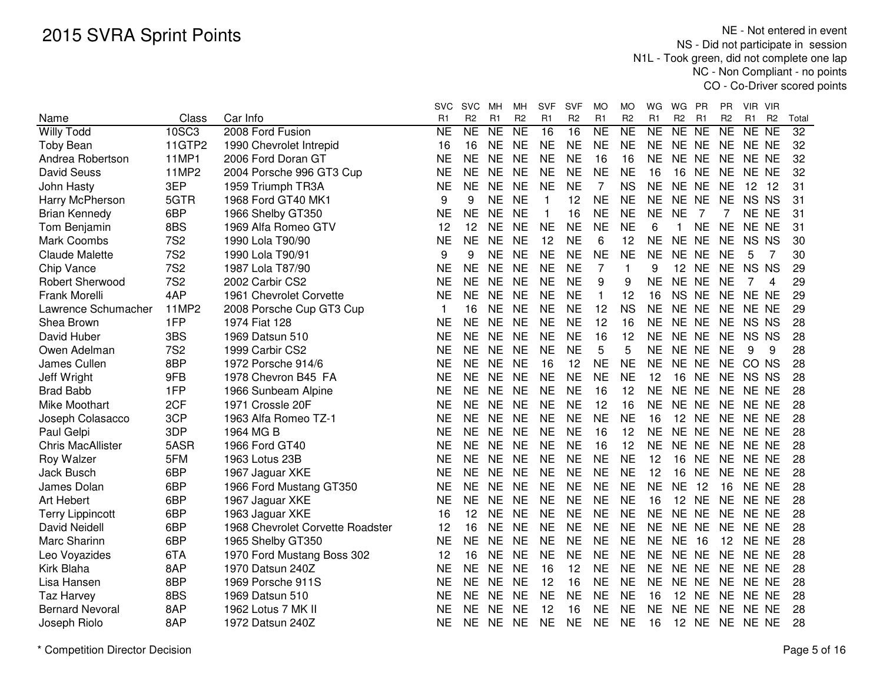|                          |                |                                  | <b>SVC</b>           | <b>SVC</b>           | MН                               | мн                               | <b>SVF</b>           | <b>SVF</b>           | MO                               | MO                   | WG                                    | WG                      | PR             | <b>PR</b>                   | VIR.                 | - VIR                             |                          |
|--------------------------|----------------|----------------------------------|----------------------|----------------------|----------------------------------|----------------------------------|----------------------|----------------------|----------------------------------|----------------------|---------------------------------------|-------------------------|----------------|-----------------------------|----------------------|-----------------------------------|--------------------------|
| Name                     | Class<br>10SC3 | Car Info<br>2008 Ford Fusion     | R <sub>1</sub><br>NE | R <sub>2</sub><br>NE | R <sub>1</sub><br>N <sub>E</sub> | R <sub>2</sub><br>N <sub>E</sub> | R <sub>1</sub><br>16 | R <sub>2</sub><br>16 | R <sub>1</sub><br>N <sub>E</sub> | R <sub>2</sub><br>NE | R <sub>1</sub><br>$\overline{\sf NE}$ | R <sub>2</sub><br>NE NE | R <sub>1</sub> | R <sub>2</sub><br><b>NE</b> | R <sub>1</sub><br>NE | R <sub>2</sub><br>$\overline{NE}$ | Total<br>$\overline{32}$ |
| <b>Willy Todd</b>        | 11GTP2         |                                  |                      | 16                   | <b>NE</b>                        | <b>NE</b>                        | <b>NE</b>            | <b>NE</b>            | <b>NE</b>                        | <b>NE</b>            | <b>NE</b>                             | NE NE                   |                | <b>NE</b>                   | NE NE                |                                   | 32                       |
| <b>Toby Bean</b>         | <b>11MP1</b>   | 1990 Chevrolet Intrepid          | 16                   | <b>NE</b>            |                                  | <b>NE</b>                        |                      | <b>NE</b>            |                                  | 16                   |                                       | NE NE                   |                | <b>NE</b>                   |                      |                                   |                          |
| Andrea Robertson         |                | 2006 Ford Doran GT               | <b>NE</b>            |                      | <b>NE</b>                        |                                  | <b>NE</b>            |                      | 16                               |                      | <b>NE</b>                             |                         |                |                             | NE NE                |                                   | 32                       |
| <b>David Seuss</b>       | 11MP2          | 2004 Porsche 996 GT3 Cup         | <b>NE</b>            | <b>NE</b>            | <b>NE</b>                        | <b>NE</b>                        | <b>NE</b>            | <b>NE</b>            | <b>NE</b>                        | <b>NE</b>            | 16                                    | 16                      | <b>NE</b>      | <b>NE</b>                   | NE NE                |                                   | 32                       |
| John Hasty               | 3EP            | 1959 Triumph TR3A                | <b>NE</b>            | <b>NE</b>            | <b>NE</b>                        | <b>NE</b>                        | <b>NE</b>            | <b>NE</b>            | 7                                | <b>NS</b>            | <b>NE</b>                             | NE NE                   |                | <b>NE</b>                   | 12                   | 12                                | 31                       |
| Harry McPherson          | 5GTR           | 1968 Ford GT40 MK1               | 9                    | 9                    | <b>NE</b>                        | <b>NE</b>                        | $\mathbf{1}$         | 12                   | <b>NE</b>                        | <b>NE</b>            | <b>NE</b>                             | NE NE                   |                | <b>NE</b>                   | NS NS                |                                   | 31                       |
| <b>Brian Kennedy</b>     | 6BP            | 1966 Shelby GT350                | NE                   | <b>NE</b>            | <b>NE</b>                        | <b>NE</b>                        | $\mathbf 1$          | 16                   | <b>NE</b>                        | <b>NE</b>            | <b>NE</b>                             | <b>NE</b>               | 7              | 7                           | NE NE                |                                   | 31                       |
| Tom Benjamin             | 8BS            | 1969 Alfa Romeo GTV              | 12                   | 12                   | <b>NE</b>                        | <b>NE</b>                        | NE                   | <b>NE</b>            | <b>NE</b>                        | NE                   | 6                                     | 1                       | <b>NE</b>      | NE.                         | NE NE                |                                   | 31                       |
| <b>Mark Coombs</b>       | <b>7S2</b>     | 1990 Lola T90/90                 | <b>NE</b>            | <b>NE</b>            | <b>NE</b>                        | <b>NE</b>                        | 12                   | <b>NE</b>            | 6                                | 12                   | <b>NE</b>                             | NE NE                   |                | <b>NE</b>                   | NS NS                |                                   | 30                       |
| <b>Claude Malette</b>    | <b>7S2</b>     | 1990 Lola T90/91                 | 9                    | 9                    | <b>NE</b>                        | <b>NE</b>                        | <b>NE</b>            | <b>NE</b>            | <b>NE</b>                        | <b>NE</b>            | <b>NE</b>                             | NE NE                   |                | <b>NE</b>                   | 5                    | 7                                 | 30                       |
| Chip Vance               | <b>7S2</b>     | 1987 Lola T87/90                 | <b>NE</b>            | <b>NE</b>            | <b>NE</b>                        | <b>NE</b>                        | <b>NE</b>            | <b>NE</b>            | 7                                | 1                    | 9                                     | 12 NE                   |                | <b>NE</b>                   | NS NS                |                                   | 29                       |
| <b>Robert Sherwood</b>   | <b>7S2</b>     | 2002 Carbir CS2                  | <b>NE</b>            | <b>NE</b>            | <b>NE</b>                        | <b>NE</b>                        | <b>NE</b>            | <b>NE</b>            | 9                                | 9                    | <b>NE</b>                             | NE NE                   |                | <b>NE</b>                   | 7                    | 4                                 | 29                       |
| Frank Morelli            | 4AP            | 1961 Chevrolet Corvette          | <b>NE</b>            | <b>NE</b>            | <b>NE</b>                        | <b>NE</b>                        | <b>NE</b>            | <b>NE</b>            | 1                                | 12                   | 16                                    | NS NE                   |                | <b>NE</b>                   | NE NE                |                                   | 29                       |
| Lawrence Schumacher      | 11MP2          | 2008 Porsche Cup GT3 Cup         | 1                    | 16                   | <b>NE</b>                        | <b>NE</b>                        | <b>NE</b>            | <b>NE</b>            | 12                               | <b>NS</b>            | <b>NE</b>                             | NE NE                   |                |                             | NE NE NE             |                                   | 29                       |
| Shea Brown               | 1FP            | 1974 Fiat 128                    | NE                   | <b>NE</b>            | <b>NE</b>                        | <b>NE</b>                        | <b>NE</b>            | <b>NE</b>            | 12                               | 16                   | NE.                                   | NE NE                   |                | NE                          | NS NS                |                                   | 28                       |
| David Huber              | 3BS            | 1969 Datsun 510                  | <b>NE</b>            | <b>NE</b>            | <b>NE</b>                        | <b>NE</b>                        | <b>NE</b>            | <b>NE</b>            | 16                               | 12                   | <b>NE</b>                             | NE NE                   |                | <b>NE</b>                   | NS NS                |                                   | 28                       |
| Owen Adelman             | <b>7S2</b>     | 1999 Carbir CS2                  | <b>NE</b>            | <b>NE</b>            | <b>NE</b>                        | <b>NE</b>                        | <b>NE</b>            | <b>NE</b>            | 5                                | 5                    | <b>NE</b>                             | NE NE                   |                | <b>NE</b>                   | 9                    | 9                                 | 28                       |
| James Cullen             | 8BP            | 1972 Porsche 914/6               | <b>NE</b>            | <b>NE</b>            | <b>NE</b>                        | <b>NE</b>                        | 16                   | 12                   | <b>NE</b>                        | <b>NE</b>            | <b>NE</b>                             | NE NE                   |                |                             | NE CO NS             |                                   | 28                       |
| Jeff Wright              | 9FB            | 1978 Chevron B45 FA              | <b>NE</b>            | <b>NE</b>            | <b>NE</b>                        | <b>NE</b>                        | <b>NE</b>            | <b>NE</b>            | <b>NE</b>                        | <b>NE</b>            | 12                                    | 16                      | <b>NE</b>      | <b>NE</b>                   | NS NS                |                                   | 28                       |
| <b>Brad Babb</b>         | 1FP            | 1966 Sunbeam Alpine              | <b>NE</b>            | <b>NE</b>            | <b>NE</b>                        | <b>NE</b>                        | <b>NE</b>            | <b>NE</b>            | 16                               | 12                   | <b>NE</b>                             | NE NE                   |                | <b>NE</b>                   | NE NE                |                                   | 28                       |
| Mike Moothart            | 2CF            | 1971 Crossle 20F                 | <b>NE</b>            | <b>NE</b>            | <b>NE</b>                        | <b>NE</b>                        | <b>NE</b>            | <b>NE</b>            | 12                               | 16                   | <b>NE</b>                             | NE NE                   |                | <b>NE</b>                   | NE NE                |                                   | 28                       |
| Joseph Colasacco         | 3CP            | 1963 Alfa Romeo TZ-1             | NE                   | <b>NE</b>            | <b>NE</b>                        | <b>NE</b>                        | <b>NE</b>            | <b>NE</b>            | <b>NE</b>                        | <b>NE</b>            | 16                                    | 12 NE                   |                |                             | NE NE NE             |                                   | 28                       |
| Paul Gelpi               | 3DP            | 1964 MG B                        | NE                   | <b>NE</b>            | <b>NE</b>                        | <b>NE</b>                        | <b>NE</b>            | <b>NE</b>            | 16                               | 12                   | <b>NE</b>                             | NE NE                   |                | NE.                         | NE NE                |                                   | 28                       |
| <b>Chris MacAllister</b> | 5ASR           | 1966 Ford GT40                   | <b>NE</b>            | <b>NE</b>            | <b>NE</b>                        | <b>NE</b>                        | <b>NE</b>            | <b>NE</b>            | 16                               | 12                   | <b>NE</b>                             | NE NE                   |                | <b>NE</b>                   | NE NE                |                                   | 28                       |
| Roy Walzer               | 5FM            | 1963 Lotus 23B                   | <b>NE</b>            | <b>NE</b>            | <b>NE</b>                        | <b>NE</b>                        | <b>NE</b>            | <b>NE</b>            | <b>NE</b>                        | <b>NE</b>            | 12                                    | 16                      | <b>NE</b>      | <b>NE</b>                   | NE NE                |                                   | 28                       |
| Jack Busch               | 6BP            | 1967 Jaguar XKE                  | NE                   | <b>NE</b>            | <b>NE</b>                        | <b>NE</b>                        | <b>NE</b>            | <b>NE</b>            | <b>NE</b>                        | <b>NE</b>            | 12                                    | 16                      | <b>NE</b>      | <b>NE</b>                   | NE NE                |                                   | 28                       |
| James Dolan              | 6BP            | 1966 Ford Mustang GT350          | <b>NE</b>            | <b>NE</b>            | <b>NE</b>                        | <b>NE</b>                        | <b>NE</b>            | <b>NE</b>            | <b>NE</b>                        | <b>NE</b>            | <b>NE</b>                             | <b>NE</b>               | 12             | 16                          | NE NE                |                                   | 28                       |
| Art Hebert               | 6BP            | 1967 Jaguar XKE                  | <b>NE</b>            | <b>NE</b>            | <b>NE</b>                        | <b>NE</b>                        | <b>NE</b>            | <b>NE</b>            | <b>NE</b>                        | <b>NE</b>            | 16                                    | 12                      | <b>NE</b>      | <b>NE</b>                   | NE NE                |                                   | 28                       |
| <b>Terry Lippincott</b>  | 6BP            | 1963 Jaguar XKE                  | 16                   | 12                   | <b>NE</b>                        | <b>NE</b>                        | <b>NE</b>            | <b>NE</b>            | <b>NE</b>                        | <b>NE</b>            | <b>NE</b>                             | NE NE                   |                | <b>NE</b>                   | NE NE                |                                   | 28                       |
| David Neidell            | 6BP            | 1968 Chevrolet Corvette Roadster | 12                   | 16                   | <b>NE</b>                        | <b>NE</b>                        | <b>NE</b>            | <b>NE</b>            | <b>NE</b>                        | <b>NE</b>            | <b>NE</b>                             | NE NE                   |                | NE.                         | NE NE                |                                   | 28                       |
| Marc Sharinn             | 6BP            | 1965 Shelby GT350                | <b>NE</b>            | <b>NE</b>            | <b>NE</b>                        | <b>NE</b>                        | <b>NE</b>            | <b>NE</b>            | <b>NE</b>                        | <b>NE</b>            | <b>NE</b>                             | <b>NE</b>               | 16             | 12                          | NE NE                |                                   | 28                       |
| Leo Voyazides            | 6TA            | 1970 Ford Mustang Boss 302       | 12                   | 16                   | <b>NE</b>                        | <b>NE</b>                        | <b>NE</b>            | <b>NE</b>            | <b>NE</b>                        | <b>NE</b>            | <b>NE</b>                             | NE NE                   |                | <b>NE</b>                   | NE NE                |                                   | 28                       |
| Kirk Blaha               | 8AP            | 1970 Datsun 240Z                 | <b>NE</b>            | <b>NE</b>            | <b>NE</b>                        | <b>NE</b>                        | 16                   | 12                   | <b>NE</b>                        | <b>NE</b>            | <b>NE</b>                             | NE NE                   |                | <b>NE</b>                   | NE NE                |                                   | 28                       |
| Lisa Hansen              | 8BP            | 1969 Porsche 911S                | <b>NE</b>            | <b>NE</b>            | <b>NE</b>                        | <b>NE</b>                        | 12                   | 16                   | <b>NE</b>                        | <b>NE</b>            | <b>NE</b>                             | NE NE                   |                | <b>NE</b>                   | NE NE                |                                   | 28                       |
| Taz Harvey               | 8BS            | 1969 Datsun 510                  | NE                   | <b>NE</b>            | <b>NE</b>                        | <b>NE</b>                        | <b>NE</b>            | <b>NE</b>            | <b>NE</b>                        | <b>NE</b>            | 16                                    | 12 NE                   |                | <b>NE</b>                   | NE NE                |                                   | 28                       |
| <b>Bernard Nevoral</b>   | 8AP            | 1962 Lotus 7 MK II               | NE                   | <b>NE</b>            | <b>NE</b>                        | <b>NE</b>                        | 12                   | 16                   | <b>NE</b>                        | <b>NE</b>            | <b>NE</b>                             | NE NE                   |                |                             | NE NE NE             |                                   | 28                       |
| Joseph Riolo             | 8AP            | 1972 Datsun 240Z                 | <b>NE</b>            | <b>NE</b>            | <b>NE</b>                        | <b>NE</b>                        | <b>NE</b>            | <b>NE</b>            | <b>NE</b>                        | NE                   | 16                                    | 12 NE                   |                |                             | NE NE NE             |                                   | 28                       |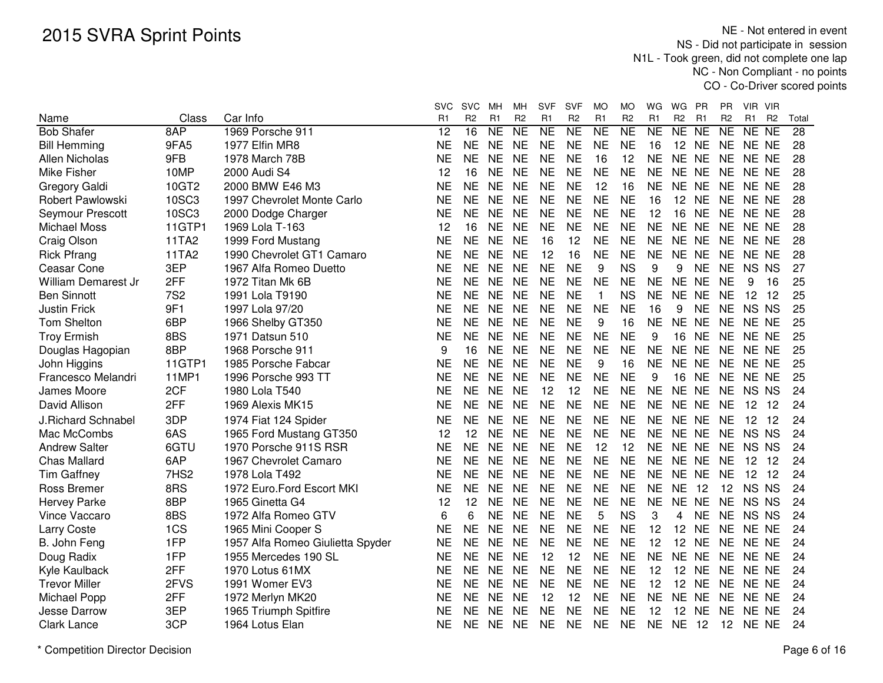|                         |                  |                                  | SVC       | <b>SVC</b>      | МH             | MН             | <b>SVF</b>     | <b>SVF</b>     | MO             | МO             | WG             | WG               | <b>PR</b>      | PR              | VIR VIR |                |       |
|-------------------------|------------------|----------------------------------|-----------|-----------------|----------------|----------------|----------------|----------------|----------------|----------------|----------------|------------------|----------------|-----------------|---------|----------------|-------|
| Name                    | Class            | Car Info                         | R1        | R <sub>2</sub>  | R <sub>1</sub> | R <sub>2</sub> | R <sub>1</sub> | R <sub>2</sub> | R <sub>1</sub> | R <sub>2</sub> | R <sub>1</sub> | R <sub>2</sub>   | R <sub>1</sub> | R <sub>2</sub>  | R1      | R <sub>2</sub> | Total |
| <b>Bob Shafer</b>       | 8AP              | 1969 Porsche 911                 | 12        | $\overline{16}$ | <b>NE</b>      | <b>NE</b>      | <b>NE</b>      | N <sub>E</sub> | <b>NE</b>      | <b>NE</b>      | <b>NE</b>      | <b>NE</b>        | <b>NE</b>      | <b>NE</b>       | NE NE   |                | 28    |
| <b>Bill Hemming</b>     | 9FA5             | 1977 Elfin MR8                   | NE        | <b>NE</b>       | <b>NE</b>      | <b>NE</b>      | <b>NE</b>      | <b>NE</b>      | <b>NE</b>      | <b>NE</b>      | 16             | 12 NE            |                | <b>NE</b>       | NE NE   |                | 28    |
| Allen Nicholas          | 9FB              | 1978 March 78B                   | <b>NE</b> | <b>NE</b>       | <b>NE</b>      | <b>NE</b>      | <b>NE</b>      | <b>NE</b>      | 16             | 12             | ΝE             | NE NE            |                | <b>NE</b>       | NE NE   |                | 28    |
| Mike Fisher             | 10MP             | 2000 Audi S4                     | 12        | 16              | <b>NE</b>      | <b>NE</b>      | <b>NE</b>      | <b>NE</b>      | <b>NE</b>      | <b>NE</b>      | <b>NE</b>      | NE NE            |                | <b>NE</b>       | NE NE   |                | 28    |
| Gregory Galdi           | 10GT2            | 2000 BMW E46 M3                  | <b>NE</b> | <b>NE</b>       | <b>NE</b>      | <b>NE</b>      | <b>NE</b>      | <b>NE</b>      | 12             | 16             | <b>NE</b>      | NE NE            |                | <b>NE</b>       | NE NE   |                | 28    |
| Robert Pawlowski        | 10SC3            | 1997 Chevrolet Monte Carlo       | <b>NE</b> | <b>NE</b>       | <b>NE</b>      | <b>NE</b>      | <b>NE</b>      | <b>NE</b>      | <b>NE</b>      | <b>NE</b>      | 16             | 12 NE            |                | <b>NE</b>       | NE NE   |                | 28    |
| <b>Seymour Prescott</b> | 10SC3            | 2000 Dodge Charger               | <b>NE</b> | <b>NE</b>       | <b>NE</b>      | <b>NE</b>      | <b>NE</b>      | <b>NE</b>      | <b>NE</b>      | <b>NE</b>      | 12             | 16               | <b>NE</b>      | <b>NE</b>       | NE NE   |                | 28    |
| <b>Michael Moss</b>     | 11GTP1           | 1969 Lola T-163                  | 12        | 16              | <b>NE</b>      | <b>NE</b>      | <b>NE</b>      | <b>NE</b>      | <b>NE</b>      | <b>NE</b>      | <b>NE</b>      | NE NE            |                | <b>NE</b>       | NE NE   |                | 28    |
| Craig Olson             | 11TA2            | 1999 Ford Mustang                | NE        | <b>NE</b>       | <b>NE</b>      | <b>NE</b>      | 16             | 12             | <b>NE</b>      | <b>NE</b>      | <b>NE</b>      | NE NE            |                | <b>NE</b>       | NE NE   |                | 28    |
| <b>Rick Pfrang</b>      | 11TA2            | 1990 Chevrolet GT1 Camaro        | NE        | <b>NE</b>       | <b>NE</b>      | <b>NE</b>      | 12             | 16             | <b>NE</b>      | <b>NE</b>      | <b>NE</b>      | NE NE            |                | <b>NE</b>       | NE NE   |                | 28    |
| Ceasar Cone             | 3EP              | 1967 Alfa Romeo Duetto           | <b>NE</b> | <b>NE</b>       | <b>NE</b>      | <b>NE</b>      | <b>NE</b>      | <b>NE</b>      | 9              | <b>NS</b>      | 9              | 9                | <b>NE</b>      | <b>NE</b>       | NS NS   |                | 27    |
| William Demarest Jr     | 2FF              | 1972 Titan Mk 6B                 | <b>NE</b> | <b>NE</b>       | <b>NE</b>      | <b>NE</b>      | <b>NE</b>      | <b>NE</b>      | <b>NE</b>      | <b>NE</b>      | <b>NE</b>      | NE NE            |                | <b>NE</b>       | 9       | 16             | 25    |
| <b>Ben Sinnott</b>      | <b>7S2</b>       | 1991 Lola T9190                  | <b>NE</b> | <b>NE</b>       | <b>NE</b>      | <b>NE</b>      | <b>NE</b>      | <b>NE</b>      | $\mathbf{1}$   | <b>NS</b>      | <b>NE</b>      | NE NE            |                | <b>NE</b>       | 12      | 12             | 25    |
| <b>Justin Frick</b>     | 9F1              | 1997 Lola 97/20                  | <b>NE</b> | <b>NE</b>       | <b>NE</b>      | <b>NE</b>      | <b>NE</b>      | <b>NE</b>      | <b>NE</b>      | <b>NE</b>      | 16             | 9                | <b>NE</b>      | <b>NE</b>       | NS NS   |                | 25    |
| <b>Tom Shelton</b>      | 6BP              | 1966 Shelby GT350                | <b>NE</b> | <b>NE</b>       | <b>NE</b>      | <b>NE</b>      | <b>NE</b>      | <b>NE</b>      | 9              | 16             | <b>NE</b>      | <b>NE</b>        | <b>NE</b>      | <b>NE</b>       | NE NE   |                | 25    |
| <b>Troy Ermish</b>      | 8BS              | 1971 Datsun 510                  | <b>NE</b> | <b>NE</b>       | <b>NE</b>      | <b>NE</b>      | <b>NE</b>      | <b>NE</b>      | <b>NE</b>      | <b>NE</b>      | 9              | 16               | <b>NE</b>      | <b>NE</b>       | NE NE   |                | 25    |
| Douglas Hagopian        | 8BP              | 1968 Porsche 911                 | 9         | 16              | <b>NE</b>      | <b>NE</b>      | <b>NE</b>      | <b>NE</b>      | <b>NE</b>      | <b>NE</b>      | <b>NE</b>      | NE NE            |                | <b>NE</b>       | NE NE   |                | 25    |
| John Higgins            | 11GTP1           | 1985 Porsche Fabcar              | <b>NE</b> | <b>NE</b>       | <b>NE</b>      | <b>NE</b>      | <b>NE</b>      | <b>NE</b>      | 9              | 16             | <b>NE</b>      | NE NE            |                | <b>NE</b>       | NE NE   |                | 25    |
| Francesco Melandri      | 11MP1            | 1996 Porsche 993 TT              | <b>NE</b> | <b>NE</b>       | <b>NE</b>      | <b>NE</b>      | <b>NE</b>      | <b>NE</b>      | <b>NE</b>      | <b>NE</b>      | 9              | 16               | <b>NE</b>      | <b>NE</b>       | NE NE   |                | 25    |
| James Moore             | 2CF              | 1980 Lola T540                   | <b>NE</b> | <b>NE</b>       | <b>NE</b>      | <b>NE</b>      | 12             | 12             | <b>NE</b>      | <b>NE</b>      | <b>NE</b>      | NE NE            |                | <b>NE</b>       | NS NS   |                | 24    |
| David Allison           | 2FF              | 1969 Alexis MK15                 | <b>NE</b> | <b>NE</b>       | <b>NE</b>      | <b>NE</b>      | <b>NE</b>      | <b>NE</b>      | <b>NE</b>      | <b>NE</b>      | <b>NE</b>      | NE NE            |                | <b>NE</b>       | 12 12   |                | 24    |
| J.Richard Schnabel      | 3DP              | 1974 Fiat 124 Spider             | <b>NE</b> | <b>NE</b>       | <b>NE</b>      | <b>NE</b>      | <b>NE</b>      | <b>NE</b>      | <b>NE</b>      | <b>NE</b>      | <b>NE</b>      | NE NE            |                | <b>NE</b>       | 12      | 12             | 24    |
| Mac McCombs             | 6AS              | 1965 Ford Mustang GT350          | 12        | 12              | <b>NE</b>      | <b>NE</b>      | <b>NE</b>      | <b>NE</b>      | <b>NE</b>      | <b>NE</b>      | <b>NE</b>      | NE NE            |                | <b>NE</b>       | NS NS   |                | 24    |
| <b>Andrew Salter</b>    | 6GTU             | 1970 Porsche 911S RSR            | <b>NE</b> | <b>NE</b>       | <b>NE</b>      | <b>NE</b>      | <b>NE</b>      | <b>NE</b>      | 12             | 12             | <b>NE</b>      | NE NE            |                | <b>NE</b>       | NS NS   |                | 24    |
| <b>Chas Mallard</b>     | 6AP              | 1967 Chevrolet Camaro            | <b>NE</b> | <b>NE</b>       | <b>NE</b>      | <b>NE</b>      | <b>NE</b>      | <b>NE</b>      | <b>NE</b>      | <b>NE</b>      | <b>NE</b>      | NE NE            |                | <b>NE</b>       | 12 12   |                | 24    |
| <b>Tim Gaffney</b>      | 7HS <sub>2</sub> | 1978 Lola T492                   | <b>NE</b> | <b>NE</b>       | <b>NE</b>      | <b>NE</b>      | <b>NE</b>      | <b>NE</b>      | <b>NE</b>      | <b>NE</b>      | <b>NE</b>      | NE NE            |                | <b>NE</b>       | 12 12   |                | 24    |
| Ross Bremer             | 8RS              | 1972 Euro.Ford Escort MKI        | <b>NE</b> | <b>NE</b>       | <b>NE</b>      | <b>NE</b>      | <b>NE</b>      | <b>NE</b>      | <b>NE</b>      | <b>NE</b>      | <b>NE</b>      | <b>NE</b>        | 12             | 12              | NS NS   |                | 24    |
| <b>Hervey Parke</b>     | 8BP              | 1965 Ginetta G4                  | 12        | 12              | <b>NE</b>      | <b>NE</b>      | <b>NE</b>      | <b>NE</b>      | <b>NE</b>      | <b>NE</b>      | <b>NE</b>      | NE NE            |                | <b>NE</b>       | NS NS   |                | 24    |
| Vince Vaccaro           | 8BS              | 1972 Alfa Romeo GTV              | 6         | 6               | <b>NE</b>      | <b>NE</b>      | <b>NE</b>      | <b>NE</b>      | 5              | <b>NS</b>      | 3              | 4                | <b>NE</b>      | <b>NE</b>       | NS NS   |                | 24    |
| Larry Coste             | 1CS              | 1965 Mini Cooper S               | <b>NE</b> | <b>NE</b>       | <b>NE</b>      | <b>NE</b>      | <b>NE</b>      | <b>NE</b>      | <b>NE</b>      | <b>NE</b>      | 12             | 12               | <b>NE</b>      | <b>NE</b>       | NE NE   |                | 24    |
| B. John Feng            | 1FP              | 1957 Alfa Romeo Giulietta Spyder | <b>NE</b> | <b>NE</b>       | <b>NE</b>      | <b>NE</b>      | <b>NE</b>      | <b>NE</b>      | <b>NE</b>      | <b>NE</b>      | 12             | 12               | <b>NE</b>      | <b>NE</b>       | NE NE   |                | 24    |
| Doug Radix              | 1FP              | 1955 Mercedes 190 SL             | <b>NE</b> | <b>NE</b>       | <b>NE</b>      | <b>NE</b>      | 12             | 12             | <b>NE</b>      | <b>NE</b>      | <b>NE</b>      | <b>NE</b>        | <b>NE</b>      | <b>NE</b>       | NE NE   |                | 24    |
| Kyle Kaulback           | 2FF              | 1970 Lotus 61MX                  | <b>NE</b> | <b>NE</b>       | <b>NE</b>      | <b>NE</b>      | <b>NE</b>      | <b>NE</b>      | <b>NE</b>      | <b>NE</b>      | 12             | 12 <sup>12</sup> | <b>NE</b>      | <b>NE</b>       | NE NE   |                | 24    |
| <b>Trevor Miller</b>    | 2FVS             | 1991 Womer EV3                   | <b>NE</b> | <b>NE</b>       | <b>NE</b>      | <b>NE</b>      | <b>NE</b>      | <b>NE</b>      | <b>NE</b>      | <b>NE</b>      | 12             | 12 <sup>2</sup>  | <b>NE</b>      | <b>NE</b>       | NE NE   |                | 24    |
| Michael Popp            | 2FF              | 1972 Merlyn MK20                 | <b>NE</b> | <b>NE</b>       | <b>NE</b>      | <b>NE</b>      | 12             | 12             | <b>NE</b>      | <b>NE</b>      | <b>NE</b>      | NE NE            |                | <b>NE</b>       | NE NE   |                | 24    |
| Jesse Darrow            | 3EP              | 1965 Triumph Spitfire            | NE        | <b>NE</b>       | <b>NE</b>      | <b>NE</b>      | <b>NE</b>      | <b>NE</b>      | <b>NE</b>      | <b>NE</b>      | 12             | 12               | <b>NE</b>      | <b>NE</b>       | NE NE   |                | 24    |
| <b>Clark Lance</b>      | 3CP              | 1964 Lotus Elan                  | <b>NE</b> | <b>NE</b>       | <b>NE</b>      | NE.            | <b>NE</b>      | <b>NE</b>      | <b>NE</b>      | <b>NE</b>      | <b>NE</b>      | NE 12            |                | 12 <sup>7</sup> | NE NE   |                | 24    |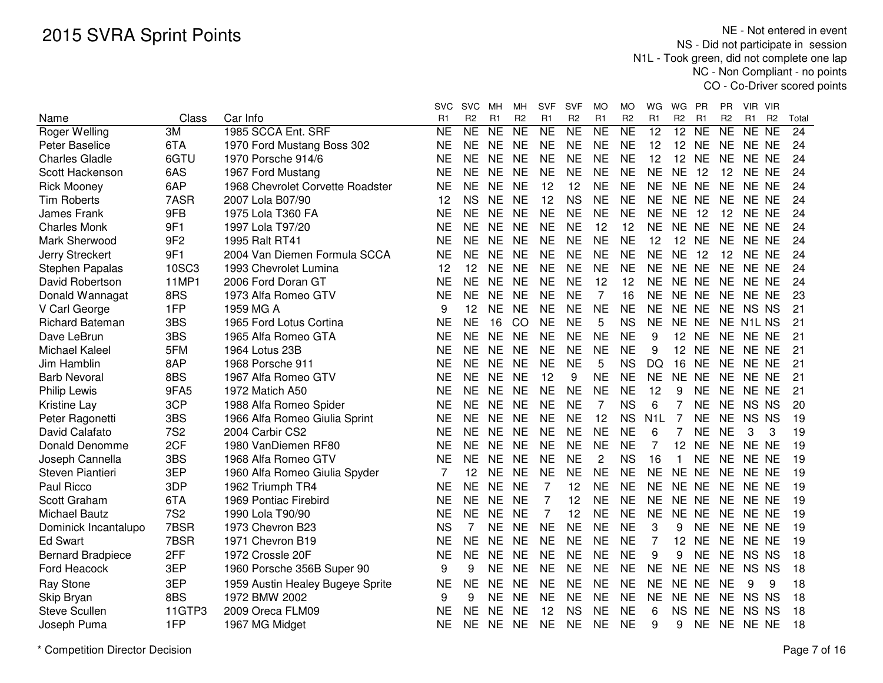|                          |                 |                                  | SVC       | <b>SVC</b>     | мн             | мн             | <b>SVF</b>     | SVF            | MО             | MO             | WG               | WG             | <b>PR</b> | ΡR             | VIR VIR        |                |       |
|--------------------------|-----------------|----------------------------------|-----------|----------------|----------------|----------------|----------------|----------------|----------------|----------------|------------------|----------------|-----------|----------------|----------------|----------------|-------|
| Name                     | Class           | Car Info                         | R1        | R <sub>2</sub> | R <sub>1</sub> | R <sub>2</sub> | R1             | R <sub>2</sub> | R <sub>1</sub> | R <sub>2</sub> | R <sub>1</sub>   | R <sub>2</sub> | R1        | R <sub>2</sub> | R <sub>1</sub> | R <sub>2</sub> | Total |
| Roger Welling            | 3M              | 1985 SCCA Ent. SRF               | NE        | <b>NE</b>      | <b>NE</b>      | <b>NE</b>      | <b>NE</b>      | <b>NE</b>      | <b>NE</b>      | <b>NE</b>      | 12               | 12             | <b>NE</b> | <b>NE</b>      | NE NE          |                | 24    |
| Peter Baselice           | 6TA             | 1970 Ford Mustang Boss 302       | <b>NE</b> | <b>NE</b>      | <b>NE</b>      | <b>NE</b>      | <b>NE</b>      | <b>NE</b>      | <b>NE</b>      | <b>NE</b>      | 12               | 12             | <b>NE</b> | <b>NE</b>      | NE NE          |                | 24    |
| <b>Charles Gladle</b>    | 6GTU            | 1970 Porsche 914/6               | <b>NE</b> | <b>NE</b>      | <b>NE</b>      | <b>NE</b>      | <b>NE</b>      | <b>NE</b>      | <b>NE</b>      | <b>NE</b>      | 12               | 12             | <b>NE</b> | <b>NE</b>      | NE NE          |                | 24    |
| Scott Hackenson          | 6AS             | 1967 Ford Mustang                | <b>NE</b> | <b>NE</b>      | <b>NE</b>      | <b>NE</b>      | <b>NE</b>      | <b>NE</b>      | <b>NE</b>      | <b>NE</b>      | <b>NE</b>        | <b>NE</b>      | 12        | 12             | NE NE          |                | 24    |
| <b>Rick Mooney</b>       | 6AP             | 1968 Chevrolet Corvette Roadster | <b>NE</b> | <b>NE</b>      | <b>NE</b>      | <b>NE</b>      | 12             | 12             | <b>NE</b>      | <b>NE</b>      | <b>NE</b>        | <b>NE</b>      | <b>NE</b> | <b>NE</b>      | NE NE          |                | 24    |
| <b>Tim Roberts</b>       | 7ASR            | 2007 Lola B07/90                 | 12        | <b>NS</b>      | <b>NE</b>      | <b>NE</b>      | 12             | <b>NS</b>      | <b>NE</b>      | <b>NE</b>      | <b>NE</b>        | <b>NE</b>      | <b>NE</b> | <b>NE</b>      | NE NE          |                | 24    |
| <b>James Frank</b>       | 9FB             | 1975 Lola T360 FA                | NE        | <b>NE</b>      | <b>NE</b>      | <b>NE</b>      | <b>NE</b>      | <b>NE</b>      | <b>NE</b>      | <b>NE</b>      | <b>NE</b>        | <b>NE</b>      | 12        | 12             | NE NE          |                | 24    |
| <b>Charles Monk</b>      | 9F1             | 1997 Lola T97/20                 | ΝE        | <b>NE</b>      | <b>NE</b>      | <b>NE</b>      | <b>NE</b>      | <b>NE</b>      | 12             | 12             | <b>NE</b>        | NE NE          |           | <b>NE</b>      | NE NE          |                | 24    |
| Mark Sherwood            | 9F <sub>2</sub> | 1995 Ralt RT41                   | ΝE        | <b>NE</b>      | <b>NE</b>      | <b>NE</b>      | <b>NE</b>      | <b>NE</b>      | <b>NE</b>      | <b>NE</b>      | 12               |                | 12 NE     | <b>NE</b>      | NE NE          |                | 24    |
| Jerry Streckert          | 9F1             | 2004 Van Diemen Formula SCCA     | <b>NE</b> | <b>NE</b>      | <b>NE</b>      | <b>NE</b>      | <b>NE</b>      | <b>NE</b>      | <b>NE</b>      | <b>NE</b>      | <b>NE</b>        | <b>NE</b>      | -12       | 12             | NE NE          |                | 24    |
| Stephen Papalas          | 10SC3           | 1993 Chevrolet Lumina            | 12        | 12             | <b>NE</b>      | <b>NE</b>      | <b>NE</b>      | <b>NE</b>      | <b>NE</b>      | <b>NE</b>      | <b>NE</b>        | NE NE          |           | <b>NE</b>      | NE NE          |                | 24    |
| David Robertson          | 11MP1           | 2006 Ford Doran GT               | <b>NE</b> | <b>NE</b>      | <b>NE</b>      | <b>NE</b>      | <b>NE</b>      | <b>NE</b>      | 12             | 12             | <b>NE</b>        | NE NE          |           | <b>NE</b>      | NE NE          |                | 24    |
| Donald Wannagat          | 8RS             | 1973 Alfa Romeo GTV              | <b>NE</b> | <b>NE</b>      | <b>NE</b>      | <b>NE</b>      | <b>NE</b>      | <b>NE</b>      | $\overline{7}$ | 16             | <b>NE</b>        | NE NE          |           | <b>NE</b>      | NE NE          |                | 23    |
| V Carl George            | 1FP             | 1959 MG A                        | 9         | 12             | <b>NE</b>      | <b>NE</b>      | <b>NE</b>      | <b>NE</b>      | <b>NE</b>      | <b>NE</b>      | <b>NE</b>        | NE NE          |           | <b>NE</b>      | NS NS          |                | 21    |
| <b>Richard Bateman</b>   | 3BS             | 1965 Ford Lotus Cortina          | NE        | <b>NE</b>      | 16             | CO             | <b>NE</b>      | <b>NE</b>      | 5              | <b>NS</b>      | <b>NE</b>        | <b>NE</b>      | <b>NE</b> |                | NE N1L NS      |                | 21    |
| Dave LeBrun              | 3BS             | 1965 Alfa Romeo GTA              | <b>NE</b> | <b>NE</b>      | <b>NE</b>      | <b>NE</b>      | <b>NE</b>      | <b>NE</b>      | <b>NE</b>      | <b>NE</b>      | 9                | 12             | <b>NE</b> | <b>NE</b>      | NE NE          |                | 21    |
| Michael Kaleel           | 5FM             | 1964 Lotus 23B                   | <b>NE</b> | <b>NE</b>      | <b>NE</b>      | <b>NE</b>      | <b>NE</b>      | <b>NE</b>      | <b>NE</b>      | <b>NE</b>      | 9                | 12             | <b>NE</b> | <b>NE</b>      | NE NE          |                | 21    |
| Jim Hamblin              | 8AP             | 1968 Porsche 911                 | <b>NE</b> | <b>NE</b>      | <b>NE</b>      | <b>NE</b>      | <b>NE</b>      | <b>NE</b>      | 5              | <b>NS</b>      | <b>DQ</b>        | 16             | <b>NE</b> | <b>NE</b>      | NE NE          |                | 21    |
| <b>Barb Nevoral</b>      | 8BS             | 1967 Alfa Romeo GTV              | <b>NE</b> | <b>NE</b>      | <b>NE</b>      | <b>NE</b>      | 12             | 9              | <b>NE</b>      | <b>NE</b>      | <b>NE</b>        | <b>NE</b>      | <b>NE</b> | <b>NE</b>      | NE NE          |                | 21    |
| <b>Philip Lewis</b>      | 9FA5            | 1972 Matich A50                  | <b>NE</b> | <b>NE</b>      | <b>NE</b>      | <b>NE</b>      | <b>NE</b>      | <b>NE</b>      | <b>NE</b>      | <b>NE</b>      | 12               | 9              | <b>NE</b> | <b>NE</b>      | NE NE          |                | 21    |
| <b>Kristine Lay</b>      | 3CP             | 1988 Alfa Romeo Spider           | NE        | <b>NE</b>      | <b>NE</b>      | <b>NE</b>      | <b>NE</b>      | <b>NE</b>      | 7              | <b>NS</b>      | 6                | 7              | <b>NE</b> | <b>NE</b>      | NS NS          |                | 20    |
| Peter Ragonetti          | 3BS             | 1966 Alfa Romeo Giulia Sprint    | NΕ        | <b>NE</b>      | <b>NE</b>      | <b>NE</b>      | <b>NE</b>      | <b>NE</b>      | 12             | <b>NS</b>      | N <sub>1</sub> L | 7              | NE        | <b>NE</b>      | NS NS          |                | 19    |
| David Calafato           | <b>7S2</b>      | 2004 Carbir CS2                  | ΝE        | <b>NE</b>      | <b>NE</b>      | <b>NE</b>      | <b>NE</b>      | <b>NE</b>      | <b>NE</b>      | <b>NE</b>      | 6                | 7              | <b>NE</b> | <b>NE</b>      | 3              | 3              | 19    |
| Donald Denomme           | 2CF             | 1980 VanDiemen RF80              | <b>NE</b> | <b>NE</b>      | <b>NE</b>      | <b>NE</b>      | <b>NE</b>      | <b>NE</b>      | <b>NE</b>      | <b>NE</b>      | 7                | 12             | <b>NE</b> | <b>NE</b>      | NE NE          |                | 19    |
| Joseph Cannella          | 3BS             | 1968 Alfa Romeo GTV              | <b>NE</b> | <b>NE</b>      | <b>NE</b>      | <b>NE</b>      | <b>NE</b>      | <b>NE</b>      | $\overline{c}$ | <b>NS</b>      | 16               | 1              | <b>NE</b> | <b>NE</b>      | NE NE          |                | 19    |
| Steven Piantieri         | 3EP             | 1960 Alfa Romeo Giulia Spyder    | 7         | 12             | <b>NE</b>      | <b>NE</b>      | <b>NE</b>      | <b>NE</b>      | <b>NE</b>      | <b>NE</b>      | <b>NE</b>        | <b>NE</b>      | <b>NE</b> | <b>NE</b>      | NE NE          |                | 19    |
| Paul Ricco               | 3DP             | 1962 Triumph TR4                 | <b>NE</b> | <b>NE</b>      | <b>NE</b>      | <b>NE</b>      | $\overline{7}$ | 12             | <b>NE</b>      | <b>NE</b>      | <b>NE</b>        | <b>NE</b>      | <b>NE</b> | <b>NE</b>      | NE NE          |                | 19    |
| Scott Graham             | 6TA             | 1969 Pontiac Firebird            | <b>NE</b> | <b>NE</b>      | <b>NE</b>      | <b>NE</b>      | 7              | 12             | <b>NE</b>      | <b>NE</b>      | <b>NE</b>        | NE NE          |           | <b>NE</b>      | NE NE          |                | 19    |
| Michael Bautz            | <b>7S2</b>      | 1990 Lola T90/90                 | <b>NE</b> | <b>NE</b>      | <b>NE</b>      | <b>NE</b>      | 7              | 12             | <b>NE</b>      | <b>NE</b>      | <b>NE</b>        | <b>NE</b>      | <b>NE</b> | <b>NE</b>      | NE NE          |                | 19    |
| Dominick Incantalupo     | 7BSR            | 1973 Chevron B23                 | <b>NS</b> | 7              | <b>NE</b>      | <b>NE</b>      | <b>NE</b>      | <b>NE</b>      | <b>NE</b>      | <b>NE</b>      | 3                | 9              | <b>NE</b> | <b>NE</b>      | NE NE          |                | 19    |
| <b>Ed Swart</b>          | 7BSR            | 1971 Chevron B19                 | ΝE        | <b>NE</b>      | <b>NE</b>      | <b>NE</b>      | <b>NE</b>      | <b>NE</b>      | <b>NE</b>      | <b>NE</b>      | 7                | 12             | <b>NE</b> | <b>NE</b>      | NE NE          |                | 19    |
| <b>Bernard Bradpiece</b> | 2FF             | 1972 Crossle 20F                 | <b>NE</b> | <b>NE</b>      | <b>NE</b>      | <b>NE</b>      | <b>NE</b>      | <b>NE</b>      | <b>NE</b>      | <b>NE</b>      | 9                | 9              | <b>NE</b> | <b>NE</b>      | NS NS          |                | 18    |
| Ford Heacock             | 3EP             | 1960 Porsche 356B Super 90       | 9         | 9              | <b>NE</b>      | <b>NE</b>      | <b>NE</b>      | <b>NE</b>      | <b>NE</b>      | <b>NE</b>      | <b>NE</b>        | NE NE          |           | <b>NE</b>      | NS NS          |                | 18    |
| <b>Ray Stone</b>         | 3EP             | 1959 Austin Healey Bugeye Sprite | <b>NE</b> | <b>NE</b>      | <b>NE</b>      | <b>NE</b>      | <b>NE</b>      | <b>NE</b>      | <b>NE</b>      | <b>NE</b>      | <b>NE</b>        | <b>NE</b>      | <b>NE</b> | <b>NE</b>      | 9              | 9              | 18    |
| Skip Bryan               | 8BS             | 1972 BMW 2002                    | 9         | 9              | <b>NE</b>      | <b>NE</b>      | <b>NE</b>      | <b>NE</b>      | <b>NE</b>      | <b>NE</b>      | <b>NE</b>        | <b>NE</b>      | <b>NE</b> | <b>NE</b>      | NS NS          |                | 18    |
| <b>Steve Scullen</b>     | 11GTP3          | 2009 Oreca FLM09                 | <b>NE</b> | <b>NE</b>      | <b>NE</b>      | <b>NE</b>      | 12             | <b>NS</b>      | <b>NE</b>      | <b>NE</b>      | 6                | <b>NS</b>      | <b>NE</b> | <b>NE</b>      | NS NS          |                | 18    |
| Joseph Puma              | 1FP             | 1967 MG Midget                   | <b>NE</b> | <b>NE</b>      | <b>NE</b>      | <b>NE</b>      | <b>NE</b>      | <b>NE</b>      | <b>NE</b>      | <b>NE</b>      | 9                | 9              | <b>NE</b> | <b>NE</b>      | NE NE          |                | 18    |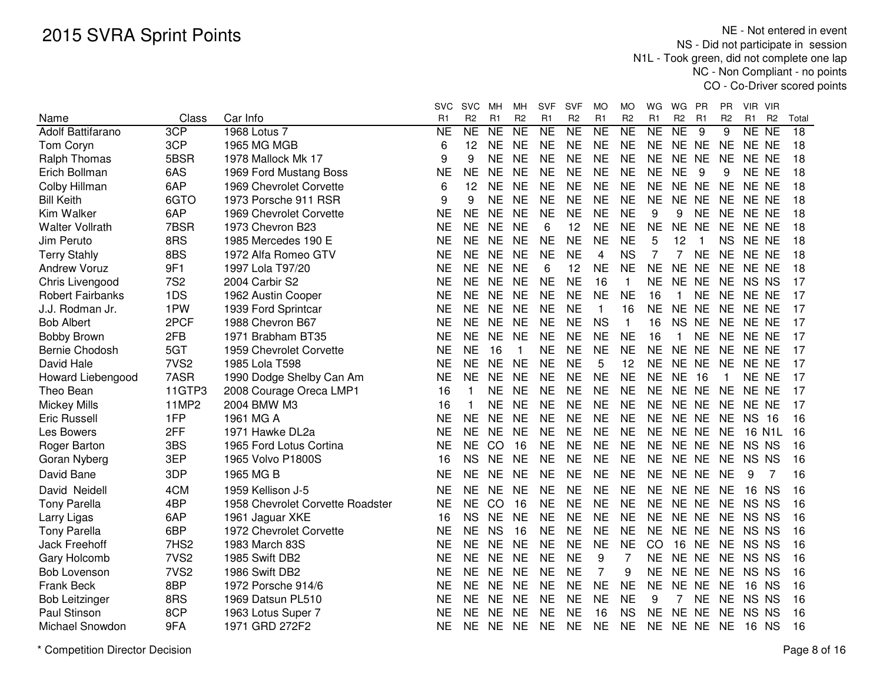|                                  | Class            | Car Info                         | <b>SVC</b><br>R <sub>1</sub> | <b>SVC</b><br>R <sub>2</sub> | мн<br>R <sub>1</sub> | мн<br>R <sub>2</sub> | SVF<br>R <sub>1</sub> | <b>SVF</b><br>R <sub>2</sub> | MO<br>R <sub>1</sub> | MO<br>R <sub>2</sub> | WG<br>R <sub>1</sub> | WG<br>R <sub>2</sub> | <b>PR</b><br>R <sub>1</sub> | PR<br>R <sub>2</sub> | VIR VIR<br>R1 | R <sub>2</sub> | Total           |
|----------------------------------|------------------|----------------------------------|------------------------------|------------------------------|----------------------|----------------------|-----------------------|------------------------------|----------------------|----------------------|----------------------|----------------------|-----------------------------|----------------------|---------------|----------------|-----------------|
| Name<br><b>Adolf Battifarano</b> | 3CP              | 1968 Lotus 7                     | <b>NE</b>                    | NE                           | <b>NE</b>            | $\overline{NE}$      | <b>NE</b>             | $\overline{\sf NE}$          | $\overline{NE}$      | NE                   | <b>NE</b>            | NE                   | 9                           | 9                    | NE NE         |                | $\overline{18}$ |
| Tom Coryn                        | 3CP              | 1965 MG MGB                      | 6                            | 12                           | NE                   | <b>NE</b>            | <b>NE</b>             | <b>NE</b>                    | <b>NE</b>            | <b>NE</b>            | <b>NE</b>            | NE NE                |                             | <b>NE</b>            | NE NE         |                | 18              |
| <b>Ralph Thomas</b>              | 5BSR             | 1978 Mallock Mk 17               | 9                            | 9                            | <b>NE</b>            | <b>NE</b>            | <b>NE</b>             | <b>NE</b>                    | <b>NE</b>            | <b>NE</b>            | <b>NE</b>            | NE NE                |                             | <b>NE</b>            | NE NE         |                | 18              |
| Erich Bollman                    | 6AS              | 1969 Ford Mustang Boss           | <b>NE</b>                    | <b>NE</b>                    | <b>NE</b>            | <b>NE</b>            | <b>NE</b>             | <b>NE</b>                    | <b>NE</b>            | <b>NE</b>            | <b>NE</b>            | <b>NE</b>            | 9                           | 9                    | NE NE         |                | 18              |
| Colby Hillman                    | 6AP              | 1969 Chevrolet Corvette          | 6                            | 12                           | <b>NE</b>            | <b>NE</b>            | <b>NE</b>             | <b>NE</b>                    | <b>NE</b>            | <b>NE</b>            | <b>NE</b>            | NE NE                |                             | <b>NE</b>            | NE NE         |                | 18              |
| <b>Bill Keith</b>                | 6GTO             | 1973 Porsche 911 RSR             | 9                            | 9                            | <b>NE</b>            | <b>NE</b>            | <b>NE</b>             | <b>NE</b>                    | <b>NE</b>            | <b>NE</b>            | <b>NE</b>            | NE NE                |                             | <b>NE</b>            | NE NE         |                | 18              |
| Kim Walker                       | 6AP              | 1969 Chevrolet Corvette          | NE                           | <b>NE</b>                    | <b>NE</b>            | <b>NE</b>            | <b>NE</b>             | <b>NE</b>                    | <b>NE</b>            | <b>NE</b>            | 9                    | 9                    | <b>NE</b>                   | <b>NE</b>            | NE NE         |                | 18              |
| <b>Walter Vollrath</b>           | 7BSR             | 1973 Chevron B23                 | NE                           | <b>NE</b>                    | <b>NE</b>            | <b>NE</b>            | 6                     | 12                           | <b>NE</b>            | <b>NE</b>            | <b>NE</b>            | NE NE                |                             | <b>NE</b>            | NE NE         |                | 18              |
| Jim Peruto                       | 8RS              | 1985 Mercedes 190 E              | NE                           | <b>NE</b>                    | <b>NE</b>            | <b>NE</b>            | <b>NE</b>             | <b>NE</b>                    | <b>NE</b>            | <b>NE</b>            | 5                    | 12                   | -1                          | <b>NS</b>            | NE NE         |                | 18              |
| <b>Terry Stahly</b>              | 8BS              | 1972 Alfa Romeo GTV              | NE                           | <b>NE</b>                    | <b>NE</b>            | <b>NE</b>            | <b>NE</b>             | <b>NE</b>                    | 4                    | <b>NS</b>            | 7                    | 7                    | <b>NE</b>                   | <b>NE</b>            | NE NE         |                | 18              |
| <b>Andrew Voruz</b>              | 9F1              | 1997 Lola T97/20                 | <b>NE</b>                    | <b>NE</b>                    | <b>NE</b>            | <b>NE</b>            | 6                     | 12                           | <b>NE</b>            | <b>NE</b>            | <b>NE</b>            | NE NE                |                             | <b>NE</b>            | NE NE         |                | 18              |
| Chris Livengood                  | <b>7S2</b>       | 2004 Carbir S2                   | <b>NE</b>                    | <b>NE</b>                    | <b>NE</b>            | <b>NE</b>            | <b>NE</b>             | <b>NE</b>                    | 16                   | $\mathbf{1}$         | <b>NE</b>            | NE NE                |                             | <b>NE</b>            | NS NS         |                | 17              |
| <b>Robert Fairbanks</b>          | 1DS              | 1962 Austin Cooper               | <b>NE</b>                    | <b>NE</b>                    | <b>NE</b>            | <b>NE</b>            | <b>NE</b>             | <b>NE</b>                    | <b>NE</b>            | <b>NE</b>            | 16                   | $\mathbf{1}$         | <b>NE</b>                   | <b>NE</b>            | NE NE         |                | 17              |
| J.J. Rodman Jr.                  | 1PW              | 1939 Ford Sprintcar              | <b>NE</b>                    | <b>NE</b>                    | <b>NE</b>            | <b>NE</b>            | <b>NE</b>             | <b>NE</b>                    | $\mathbf{1}$         | 16                   | <b>NE</b>            | NE NE                |                             | <b>NE</b>            | NE NE         |                | 17              |
| <b>Bob Albert</b>                | 2PCF             | 1988 Chevron B67                 | <b>NE</b>                    | <b>NE</b>                    | <b>NE</b>            | <b>NE</b>            | <b>NE</b>             | <b>NE</b>                    | <b>NS</b>            | $\mathbf{1}$         | 16                   | <b>NS</b>            | <b>NE</b>                   | <b>NE</b>            | NE NE         |                | 17              |
| <b>Bobby Brown</b>               | 2FB              | 1971 Brabham BT35                | <b>NE</b>                    | <b>NE</b>                    | <b>NE</b>            | <b>NE</b>            | <b>NE</b>             | <b>NE</b>                    | <b>NE</b>            | <b>NE</b>            | 16                   | 1                    | <b>NE</b>                   | <b>NE</b>            | NE NE         |                | 17              |
| Bernie Chodosh                   | 5GT              | 1959 Chevrolet Corvette          | <b>NE</b>                    | <b>NE</b>                    | 16                   | $\mathbf{1}$         | <b>NE</b>             | <b>NE</b>                    | <b>NE</b>            | <b>NE</b>            | <b>NE</b>            | NE NE                |                             | <b>NE</b>            | NE NE         |                | 17              |
| David Hale                       | 7VS <sub>2</sub> | 1985 Lola T598                   | NE                           | <b>NE</b>                    | <b>NE</b>            | <b>NE</b>            | <b>NE</b>             | <b>NE</b>                    | 5                    | 12                   | <b>NE</b>            | NE NE                |                             | <b>NE</b>            | NE NE         |                | 17              |
| Howard Liebengood                | 7ASR             | 1990 Dodge Shelby Can Am         | <b>NE</b>                    | <b>NE</b>                    | <b>NE</b>            | <b>NE</b>            | <b>NE</b>             | <b>NE</b>                    | <b>NE</b>            | <b>NE</b>            | <b>NE</b>            | NE 16                |                             | 1                    | NE NE         |                | 17              |
| Theo Bean                        | 11GTP3           | 2008 Courage Oreca LMP1          | 16                           | 1                            | <b>NE</b>            | <b>NE</b>            | <b>NE</b>             | <b>NE</b>                    | <b>NE</b>            | <b>NE</b>            | <b>NE</b>            | NE NE                |                             | <b>NE</b>            | NE NE         |                | 17              |
| <b>Mickey Mills</b>              | 11MP2            | 2004 BMW M3                      | 16                           | 1                            | <b>NE</b>            | <b>NE</b>            | <b>NE</b>             | <b>NE</b>                    | <b>NE</b>            | <b>NE</b>            | <b>NE</b>            | NE NE                |                             | <b>NE</b>            | NE NE         |                | 17              |
| <b>Eric Russell</b>              | 1FP              | 1961 MG A                        | <b>NE</b>                    | <b>NE</b>                    | <b>NE</b>            | <b>NE</b>            | <b>NE</b>             | <b>NE</b>                    | <b>NE</b>            | <b>NE</b>            | <b>NE</b>            | NE NE                |                             | <b>NE</b>            | <b>NS 16</b>  |                | 16              |
| Les Bowers                       | 2FF              | 1971 Hawke DL2a                  | <b>NE</b>                    | <b>NE</b>                    | <b>NE</b>            | <b>NE</b>            | <b>NE</b>             | <b>NE</b>                    | <b>NE</b>            | <b>NE</b>            | <b>NE</b>            | NE NE                |                             | <b>NE</b>            | 16 N1L        |                | 16              |
| Roger Barton                     | 3BS              | 1965 Ford Lotus Cortina          | <b>NE</b>                    | <b>NE</b>                    | CO                   | 16                   | <b>NE</b>             | <b>NE</b>                    | <b>NE</b>            | <b>NE</b>            | <b>NE</b>            | NE NE                |                             | <b>NE</b>            | NS NS         |                | 16              |
| Goran Nyberg                     | 3EP              | 1965 Volvo P1800S                | 16                           | <b>NS</b>                    | <b>NE</b>            | <b>NE</b>            | <b>NE</b>             | <b>NE</b>                    | <b>NE</b>            | <b>NE</b>            | <b>NE</b>            | NE NE                |                             | <b>NE</b>            | NS NS         |                | 16              |
| David Bane                       | 3DP              | 1965 MG B                        | <b>NE</b>                    | <b>NE</b>                    | <b>NE</b>            | <b>NE</b>            | <b>NE</b>             | <b>NE</b>                    | <b>NE</b>            | <b>NE</b>            | <b>NE</b>            | NE NE                |                             | <b>NE</b>            | 9             | 7              | 16              |
| David Neidell                    | 4CM              | 1959 Kellison J-5                | NE                           | <b>NE</b>                    | <b>NE</b>            | <b>NE</b>            | <b>NE</b>             | <b>NE</b>                    | <b>NE</b>            | <b>NE</b>            | <b>NE</b>            | NE NE                |                             | <b>NE</b>            | 16 NS         |                | 16              |
| <b>Tony Parella</b>              | 4BP              | 1958 Chevrolet Corvette Roadster | NE                           | <b>NE</b>                    | CO                   | 16                   | <b>NE</b>             | <b>NE</b>                    | <b>NE</b>            | <b>NE</b>            | <b>NE</b>            | NE NE                |                             | <b>NE</b>            | NS NS         |                | 16              |
| Larry Ligas                      | 6AP              | 1961 Jaguar XKE                  | 16                           | <b>NS</b>                    | <b>NE</b>            | <b>NE</b>            | <b>NE</b>             | <b>NE</b>                    | <b>NE</b>            | <b>NE</b>            | <b>NE</b>            | NE NE                |                             | <b>NE</b>            | NS NS         |                | 16              |
| <b>Tony Parella</b>              | 6BP              | 1972 Chevrolet Corvette          | NE                           | <b>NE</b>                    | <b>NS</b>            | 16                   | <b>NE</b>             | <b>NE</b>                    | <b>NE</b>            | <b>NE</b>            | <b>NE</b>            | NE NE                |                             | <b>NE</b>            | NS NS         |                | 16              |
| Jack Freehoff                    | 7HS2             | 1983 March 83S                   | <b>NE</b>                    | <b>NE</b>                    | <b>NE</b>            | <b>NE</b>            | <b>NE</b>             | <b>NE</b>                    | <b>NE</b>            | <b>NE</b>            | CO                   | 16                   | <b>NE</b>                   | <b>NE</b>            | NS NS         |                | 16              |
| Gary Holcomb                     | 7VS <sub>2</sub> | 1985 Swift DB2                   | <b>NE</b>                    | <b>NE</b>                    | <b>NE</b>            | <b>NE</b>            | <b>NE</b>             | <b>NE</b>                    | 9                    | 7                    | <b>NE</b>            | NE NE                |                             | <b>NE</b>            | NS NS         |                | 16              |
| <b>Bob Lovenson</b>              | 7VS <sub>2</sub> | 1986 Swift DB2                   | NE                           | <b>NE</b>                    | <b>NE</b>            | <b>NE</b>            | <b>NE</b>             | <b>NE</b>                    | $\overline{7}$       | 9                    | <b>NE</b>            | NE NE                |                             | <b>NE</b>            | NS NS         |                | 16              |
| Frank Beck                       | 8BP              | 1972 Porsche 914/6               | NE                           | <b>NE</b>                    | <b>NE</b>            | <b>NE</b>            | <b>NE</b>             | <b>NE</b>                    | <b>NE</b>            | <b>NE</b>            | <b>NE</b>            | NE NE                |                             | <b>NE</b>            | 16 NS         |                | 16              |
| <b>Bob Leitzinger</b>            | 8RS              | 1969 Datsun PL510                | NE                           | <b>NE</b>                    | <b>NE</b>            | <b>NE</b>            | <b>NE</b>             | <b>NE</b>                    | <b>NE</b>            | <b>NE</b>            | 9                    | 7                    | <b>NE</b>                   | <b>NE</b>            | NS NS         |                | 16              |
| Paul Stinson                     | 8CP              | 1963 Lotus Super 7               | NE                           | <b>NE</b>                    | <b>NE</b>            | <b>NE</b>            | <b>NE</b>             | <b>NE</b>                    | 16                   | <b>NS</b>            | <b>NE</b>            | <b>NE</b>            | <b>NE</b>                   | <b>NE</b>            | NS NS         |                | 16              |
| Michael Snowdon                  | 9FA              | 1971 GRD 272F2                   | NE                           | <b>NE</b>                    | <b>NE</b>            | <b>NE</b>            | <b>NE</b>             | <b>NE</b>                    | <b>NE</b>            | <b>NE</b>            | <b>NE</b>            | NE NE                |                             | <b>NE</b>            | 16            | <b>NS</b>      | 16              |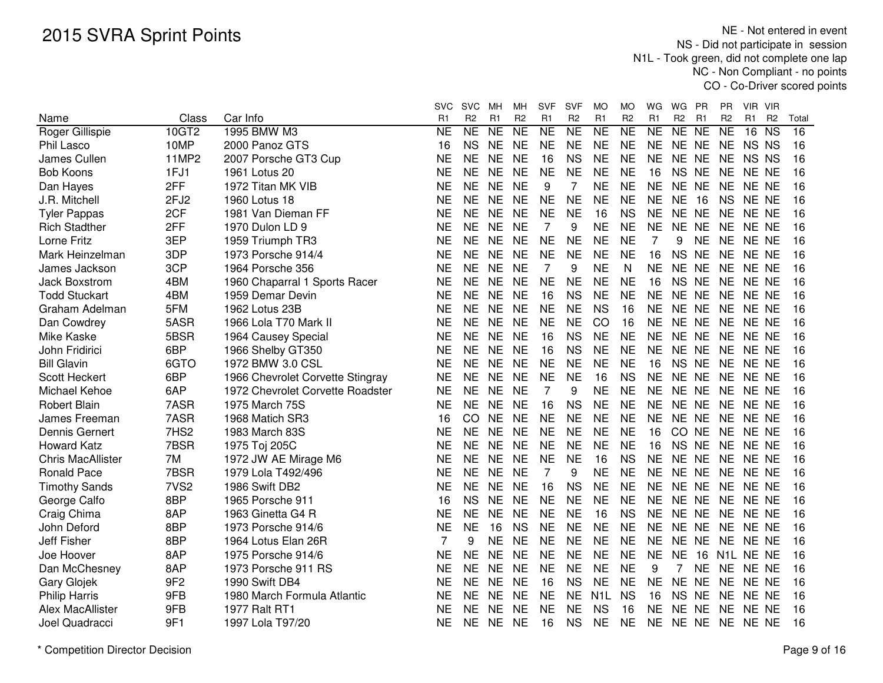|                               |                  |                                  | svc                         | <b>SVC</b>           | мн                          | MН                          | <b>SVF</b>                  | <b>SVF</b>                  | МO                          | MO                               | WG                          | WG                      | PR             | PR.                         | VIR VIR                                             |             |
|-------------------------------|------------------|----------------------------------|-----------------------------|----------------------|-----------------------------|-----------------------------|-----------------------------|-----------------------------|-----------------------------|----------------------------------|-----------------------------|-------------------------|----------------|-----------------------------|-----------------------------------------------------|-------------|
| Name                          | Class<br>10GT2   | Car Info<br>1995 BMW M3          | R <sub>1</sub><br><b>NE</b> | R <sub>2</sub><br>NE | R <sub>1</sub><br><b>NE</b> | R <sub>2</sub><br><b>NE</b> | R <sub>1</sub><br><b>NE</b> | R <sub>2</sub><br><b>NE</b> | R <sub>1</sub><br><b>NE</b> | R <sub>2</sub><br>N <sub>E</sub> | R <sub>1</sub><br><b>NE</b> | R <sub>2</sub><br>NE NE | R <sub>1</sub> | R <sub>2</sub><br><b>NE</b> | R <sub>1</sub><br>R <sub>2</sub><br>16<br><b>NS</b> | Total<br>16 |
| Roger Gillispie<br>Phil Lasco | 10MP             | 2000 Panoz GTS                   | 16                          | <b>NS</b>            | <b>NE</b>                   | <b>NE</b>                   | <b>NE</b>                   | <b>NE</b>                   | <b>NE</b>                   | <b>NE</b>                        | <b>NE</b>                   | NE NE                   |                | <b>NE</b>                   | NS NS                                               | 16          |
| James Cullen                  | <b>11MP2</b>     |                                  | <b>NE</b>                   | <b>NE</b>            | <b>NE</b>                   | <b>NE</b>                   | 16                          | <b>NS</b>                   | <b>NE</b>                   | <b>NE</b>                        | <b>NE</b>                   | NE NE                   |                | <b>NE</b>                   | NS NS                                               | 16          |
| <b>Bob Koons</b>              | 1FJ1             | 2007 Porsche GT3 Cup             | <b>NE</b>                   | <b>NE</b>            | <b>NE</b>                   | <b>NE</b>                   | <b>NE</b>                   | <b>NE</b>                   | <b>NE</b>                   | <b>NE</b>                        | 16                          | <b>NS</b>               | <b>NE</b>      | <b>NE</b>                   | NE NE                                               | 16          |
|                               |                  | 1961 Lotus 20                    |                             |                      |                             |                             |                             |                             |                             |                                  |                             |                         |                |                             |                                                     |             |
| Dan Hayes                     | 2FF              | 1972 Titan MK VIB                | <b>NE</b>                   | <b>NE</b>            | <b>NE</b>                   | <b>NE</b>                   | 9                           | 7                           | <b>NE</b>                   | <b>NE</b>                        | <b>NE</b>                   | NE NE                   |                | <b>NE</b>                   | NE NE                                               | 16          |
| J.R. Mitchell                 | 2FJ <sub>2</sub> | 1960 Lotus 18                    | NE                          | <b>NE</b>            | <b>NE</b>                   | <b>NE</b>                   | <b>NE</b>                   | <b>NE</b>                   | <b>NE</b>                   | <b>NE</b>                        | <b>NE</b>                   | <b>NE</b><br>16         |                | <b>NS</b>                   | NE NE                                               | 16          |
| <b>Tyler Pappas</b>           | 2CF              | 1981 Van Dieman FF               | NΕ                          | <b>NE</b>            | <b>NE</b>                   | <b>NE</b>                   | <b>NE</b>                   | <b>NE</b>                   | 16                          | <b>NS</b>                        | <b>NE</b>                   | NE NE                   |                | <b>NE</b>                   | NE NE                                               | 16          |
| <b>Rich Stadther</b>          | 2FF              | 1970 Dulon LD 9                  | ΝE                          | <b>NE</b>            | <b>NE</b>                   | <b>NE</b>                   | 7                           | 9                           | <b>NE</b>                   | <b>NE</b>                        | <b>NE</b>                   | NE NE                   |                | <b>NE</b>                   | NE NE                                               | 16          |
| Lorne Fritz                   | 3EP              | 1959 Triumph TR3                 | <b>NE</b>                   | <b>NE</b>            | <b>NE</b>                   | <b>NE</b>                   | <b>NE</b>                   | <b>NE</b>                   | <b>NE</b>                   | <b>NE</b>                        | 7                           | 9                       | <b>NE</b>      | <b>NE</b>                   | NE NE                                               | 16          |
| Mark Heinzelman               | 3DP              | 1973 Porsche 914/4               | <b>NE</b>                   | <b>NE</b>            | <b>NE</b>                   | <b>NE</b>                   | <b>NE</b>                   | <b>NE</b>                   | <b>NE</b>                   | <b>NE</b>                        | 16                          | NS NE                   |                |                             | NE NE NE                                            | 16          |
| James Jackson                 | 3CP              | 1964 Porsche 356                 | <b>NE</b>                   | <b>NE</b>            | <b>NE</b>                   | <b>NE</b>                   | 7                           | 9                           | <b>NE</b>                   | N                                | <b>NE</b>                   | NE NE                   |                | <b>NE</b>                   | NE NE                                               | 16          |
| <b>Jack Boxstrom</b>          | 4BM              | 1960 Chaparral 1 Sports Racer    | <b>NE</b>                   | <b>NE</b>            | <b>NE</b>                   | <b>NE</b>                   | <b>NE</b>                   | <b>NE</b>                   | <b>NE</b>                   | <b>NE</b>                        | 16                          | NS NE                   |                | <b>NE</b>                   | NE NE                                               | 16          |
| <b>Todd Stuckart</b>          | 4BM              | 1959 Demar Devin                 | <b>NE</b>                   | <b>NE</b>            | <b>NE</b>                   | <b>NE</b>                   | 16                          | <b>NS</b>                   | <b>NE</b>                   | <b>NE</b>                        | <b>NE</b>                   | NE NE                   |                | <b>NE</b>                   | NE NE                                               | 16          |
| Graham Adelman                | 5FM              | 1962 Lotus 23B                   | <b>NE</b>                   | <b>NE</b>            | <b>NE</b>                   | <b>NE</b>                   | <b>NE</b>                   | <b>NE</b>                   | <b>NS</b>                   | 16                               | <b>NE</b>                   | NE NE                   |                | <b>NE</b>                   | NE NE                                               | 16          |
| Dan Cowdrey                   | 5ASR             | 1966 Lola T70 Mark II            | <b>NE</b>                   | <b>NE</b>            | <b>NE</b>                   | <b>NE</b>                   | <b>NE</b>                   | <b>NE</b>                   | CO                          | 16                               | <b>NE</b>                   | NE NE                   |                | <b>NE</b>                   | NE NE                                               | 16          |
| Mike Kaske                    | 5BSR             | 1964 Causey Special              | <b>NE</b>                   | <b>NE</b>            | <b>NE</b>                   | <b>NE</b>                   | 16                          | <b>NS</b>                   | <b>NE</b>                   | <b>NE</b>                        | <b>NE</b>                   | NE NE                   |                | <b>NE</b>                   | NE NE                                               | 16          |
| John Fridirici                | 6BP              | 1966 Shelby GT350                | <b>NE</b>                   | <b>NE</b>            | <b>NE</b>                   | <b>NE</b>                   | 16                          | <b>NS</b>                   | <b>NE</b>                   | <b>NE</b>                        | <b>NE</b>                   | NE NE                   |                | <b>NE</b>                   | NE NE                                               | 16          |
| <b>Bill Glavin</b>            | 6GTO             | 1972 BMW 3.0 CSL                 | <b>NE</b>                   | <b>NE</b>            | <b>NE</b>                   | <b>NE</b>                   | <b>NE</b>                   | <b>NE</b>                   | <b>NE</b>                   | <b>NE</b>                        | 16                          | <b>NS</b><br><b>NE</b>  |                | <b>NE</b>                   | NE NE                                               | 16          |
| <b>Scott Heckert</b>          | 6BP              | 1966 Chevrolet Corvette Stingray | <b>NE</b>                   | <b>NE</b>            | <b>NE</b>                   | <b>NE</b>                   | <b>NE</b>                   | <b>NE</b>                   | 16                          | <b>NS</b>                        | <b>NE</b>                   | NE NE                   |                | <b>NE</b>                   | NE NE                                               | 16          |
| Michael Kehoe                 | 6AP              | 1972 Chevrolet Corvette Roadster | <b>NE</b>                   | <b>NE</b>            | <b>NE</b>                   | <b>NE</b>                   | $\overline{7}$              | 9                           | <b>NE</b>                   | <b>NE</b>                        | <b>NE</b>                   | NE NE                   |                | <b>NE</b>                   | NE NE                                               | 16          |
| <b>Robert Blain</b>           | 7ASR             | 1975 March 75S                   | NΕ                          | <b>NE</b>            | <b>NE</b>                   | <b>NE</b>                   | 16                          | <b>NS</b>                   | <b>NE</b>                   | <b>NE</b>                        | NE                          | NE NE                   |                | NE                          | NE NE                                               | 16          |
| James Freeman                 | 7ASR             | 1968 Matich SR3                  | 16                          | CO                   | <b>NE</b>                   | <b>NE</b>                   | <b>NE</b>                   | <b>NE</b>                   | <b>NE</b>                   | <b>NE</b>                        | <b>NE</b>                   | NE NE                   |                | <b>NE</b>                   | NE NE                                               | 16          |
| Dennis Gernert                | 7HS <sub>2</sub> | 1983 March 83S                   | <b>NE</b>                   | <b>NE</b>            | <b>NE</b>                   | <b>NE</b>                   | <b>NE</b>                   | <b>NE</b>                   | <b>NE</b>                   | <b>NE</b>                        | 16                          | CO NE                   |                | <b>NE</b>                   | NE NE                                               | 16          |
| <b>Howard Katz</b>            | 7BSR             | 1975 Toj 205C                    | <b>NE</b>                   | <b>NE</b>            | <b>NE</b>                   | <b>NE</b>                   | <b>NE</b>                   | <b>NE</b>                   | <b>NE</b>                   | <b>NE</b>                        | 16                          | NS NE                   |                | <b>NE</b>                   | NE NE                                               | 16          |
| <b>Chris MacAllister</b>      | 7M               | 1972 JW AE Mirage M6             | <b>NE</b>                   | <b>NE</b>            | <b>NE</b>                   | <b>NE</b>                   | <b>NE</b>                   | <b>NE</b>                   | 16                          | <b>NS</b>                        | <b>NE</b>                   | <b>NE</b>               | <b>NE</b>      | <b>NE</b>                   | NE NE                                               | 16          |
| <b>Ronald Pace</b>            | 7BSR             | 1979 Lola T492/496               | NE                          | <b>NE</b>            | <b>NE</b>                   | <b>NE</b>                   | 7                           | 9                           | <b>NE</b>                   | <b>NE</b>                        | <b>NE</b>                   | <b>NE</b><br><b>NE</b>  |                | <b>NE</b>                   | NE NE                                               | 16          |
| <b>Timothy Sands</b>          | 7VS <sub>2</sub> | 1986 Swift DB2                   | <b>NE</b>                   | <b>NE</b>            | <b>NE</b>                   | <b>NE</b>                   | 16                          | <b>NS</b>                   | <b>NE</b>                   | <b>NE</b>                        | <b>NE</b>                   | NE NE                   |                | <b>NE</b>                   | NE NE                                               | 16          |
| George Calfo                  | 8BP              | 1965 Porsche 911                 | 16                          | <b>NS</b>            | <b>NE</b>                   | <b>NE</b>                   | <b>NE</b>                   | <b>NE</b>                   | <b>NE</b>                   | <b>NE</b>                        | <b>NE</b>                   | NE NE                   |                | <b>NE</b>                   | NE NE                                               | 16          |
| Craig Chima                   | 8AP              | 1963 Ginetta G4 R                | NE                          | <b>NE</b>            | <b>NE</b>                   | <b>NE</b>                   | <b>NE</b>                   | <b>NE</b>                   | 16                          | <b>NS</b>                        | <b>NE</b>                   | NE NE                   |                | <b>NE</b>                   | NE NE                                               | 16          |
| John Deford                   | 8BP              | 1973 Porsche 914/6               | <b>NE</b>                   | <b>NE</b>            | 16                          | <b>NS</b>                   | <b>NE</b>                   | <b>NE</b>                   | <b>NE</b>                   | <b>NE</b>                        | <b>NE</b>                   | NE NE                   |                | <b>NE</b>                   | NE NE                                               | 16          |
| <b>Jeff Fisher</b>            | 8BP              | 1964 Lotus Elan 26R              | 7                           | 9                    | <b>NE</b>                   | <b>NE</b>                   | <b>NE</b>                   | <b>NE</b>                   | <b>NE</b>                   | <b>NE</b>                        | <b>NE</b>                   | <b>NE</b>               | <b>NE</b>      | NE.                         | NE NE                                               | 16          |
| Joe Hoover                    | 8AP              | 1975 Porsche 914/6               | <b>NE</b>                   | <b>NE</b>            | <b>NE</b>                   | <b>NE</b>                   | <b>NE</b>                   | <b>NE</b>                   | <b>NE</b>                   | <b>NE</b>                        | <b>NE</b>                   | <b>NE</b>               | 16             |                             | N1L NE NE                                           | 16          |
| Dan McChesney                 | 8AP              | 1973 Porsche 911 RS              | <b>NE</b>                   | <b>NE</b>            | <b>NE</b>                   | <b>NE</b>                   | <b>NE</b>                   | <b>NE</b>                   | <b>NE</b>                   | <b>NE</b>                        | 9                           | $\overline{7}$          | <b>NE</b>      | <b>NE</b>                   | NE NE                                               | 16          |
| Gary Glojek                   | 9F <sub>2</sub>  | 1990 Swift DB4                   | <b>NE</b>                   | <b>NE</b>            | <b>NE</b>                   | <b>NE</b>                   | 16                          | <b>NS</b>                   | <b>NE</b>                   | <b>NE</b>                        | <b>NE</b>                   | NE NE                   |                | <b>NE</b>                   | NE NE                                               | 16          |
| <b>Philip Harris</b>          | 9FB              | 1980 March Formula Atlantic      | NΕ                          | <b>NE</b>            | <b>NE</b>                   | <b>NE</b>                   | <b>NE</b>                   | <b>NE</b>                   | N <sub>1</sub> L            | <b>NS</b>                        | 16                          | NS NE                   |                | NE.                         | NE NE                                               | 16          |
| Alex MacAllister              | 9FB              | 1977 Ralt RT1                    | NE                          | <b>NE</b>            | <b>NE</b>                   | <b>NE</b>                   | <b>NE</b>                   | <b>NE</b>                   | <b>NS</b>                   | 16                               | NE                          | NE NE                   |                | <b>NE</b>                   | NE NE                                               | 16          |
| Joel Quadracci                | 9F1              | 1997 Lola T97/20                 | <b>NE</b>                   | <b>NE</b>            | <b>NE</b>                   | <b>NE</b>                   | 16                          | <b>NS</b>                   | <b>NE</b>                   | <b>NE</b>                        | <b>NE</b>                   | NE NE                   |                |                             | NE NE NE                                            | 16          |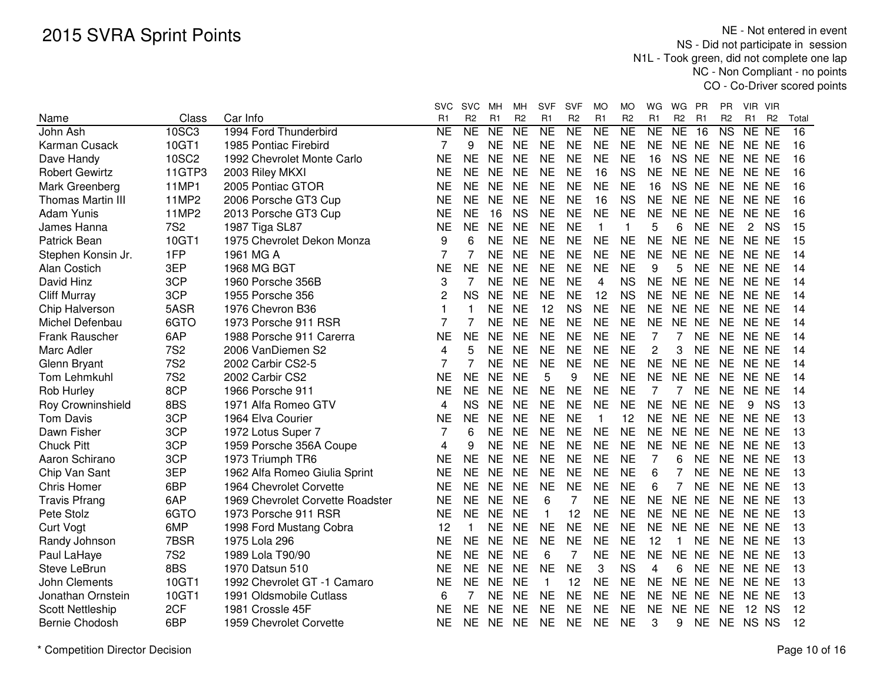|                          |              |                                  | SVC            | <b>SVC</b>          | MН             | MН              | SVF            | <b>SVF</b>     | MO              | MO             | WG                     | WG             | <b>PR</b>      | PR                     | VIR VIR                          |                 |  |
|--------------------------|--------------|----------------------------------|----------------|---------------------|----------------|-----------------|----------------|----------------|-----------------|----------------|------------------------|----------------|----------------|------------------------|----------------------------------|-----------------|--|
| Name                     | Class        | Car Info                         | R1             | R <sub>2</sub>      | R <sub>1</sub> | R <sub>2</sub>  | R <sub>1</sub> | R <sub>2</sub> | R <sub>1</sub>  | R <sub>2</sub> | R <sub>1</sub>         | R <sub>2</sub> | R <sub>1</sub> | R <sub>2</sub>         | R <sub>1</sub><br>R <sub>2</sub> | Total           |  |
| John Ash                 | 10SC3        | 1994 Ford Thunderbird            | <b>NE</b>      | $\overline{\sf NE}$ | <b>NE</b>      | $\overline{NE}$ | <b>NE</b>      | N <sub>E</sub> | $\overline{NE}$ | N <sub>E</sub> | $\overline{\text{NE}}$ | <b>NE</b>      | 16             | $\overline{\text{NS}}$ | NE NE                            | $\overline{16}$ |  |
| Karman Cusack            | 10GT1        | 1985 Pontiac Firebird            | 7              | 9                   | <b>NE</b>      | <b>NE</b>       | <b>NE</b>      | <b>NE</b>      | <b>NE</b>       | <b>NE</b>      | <b>NE</b>              | NE NE          |                | <b>NE</b>              | NE NE                            | 16              |  |
| Dave Handy               | <b>10SC2</b> | 1992 Chevrolet Monte Carlo       | NΕ             | <b>NE</b>           | <b>NE</b>      | <b>NE</b>       | <b>NE</b>      | <b>NE</b>      | <b>NE</b>       | <b>NE</b>      | 16                     | <b>NS</b>      | <b>NE</b>      | <b>NE</b>              | NE NE                            | 16              |  |
| <b>Robert Gewirtz</b>    | 11GTP3       | 2003 Riley MKXI                  | <b>NE</b>      | <b>NE</b>           | <b>NE</b>      | <b>NE</b>       | <b>NE</b>      | <b>NE</b>      | 16              | <b>NS</b>      | <b>NE</b>              | <b>NE</b>      | <b>NE</b>      | <b>NE</b>              | NE NE                            | 16              |  |
| Mark Greenberg           | 11MP1        | 2005 Pontiac GTOR                | <b>NE</b>      | <b>NE</b>           | <b>NE</b>      | <b>NE</b>       | <b>NE</b>      | <b>NE</b>      | <b>NE</b>       | <b>NE</b>      | 16                     | <b>NS</b>      | <b>NE</b>      | <b>NE</b>              | NE NE                            | 16              |  |
| <b>Thomas Martin III</b> | 11MP2        | 2006 Porsche GT3 Cup             | <b>NE</b>      | <b>NE</b>           | <b>NE</b>      | <b>NE</b>       | <b>NE</b>      | <b>NE</b>      | 16              | <b>NS</b>      | <b>NE</b>              | NE NE          |                | <b>NE</b>              | NE NE                            | 16              |  |
| <b>Adam Yunis</b>        | 11MP2        | 2013 Porsche GT3 Cup             | <b>NE</b>      | <b>NE</b>           | 16             | <b>NS</b>       | <b>NE</b>      | <b>NE</b>      | <b>NE</b>       | <b>NE</b>      | <b>NE</b>              | <b>NE</b>      | <b>NE</b>      | <b>NE</b>              | NE NE                            | 16              |  |
| James Hanna              | <b>7S2</b>   | 1987 Tiga SL87                   | ΝE             | <b>NE</b>           | <b>NE</b>      | <b>NE</b>       | <b>NE</b>      | <b>NE</b>      | $\mathbf{1}$    | $\mathbf{1}$   | 5                      | 6              | <b>NE</b>      | <b>NE</b>              | $\mathbf{2}$<br><b>NS</b>        | 15              |  |
| Patrick Bean             | 10GT1        | 1975 Chevrolet Dekon Monza       | 9              | 6                   | <b>NE</b>      | <b>NE</b>       | <b>NE</b>      | <b>NE</b>      | <b>NE</b>       | <b>NE</b>      | <b>NE</b>              | NE NE          |                | <b>NE</b>              | NE NE                            | 15              |  |
| Stephen Konsin Jr.       | 1FP          | 1961 MG A                        | 7              | 7                   | <b>NE</b>      | <b>NE</b>       | <b>NE</b>      | <b>NE</b>      | <b>NE</b>       | <b>NE</b>      | <b>NE</b>              | NE NE          |                | <b>NE</b>              | NE NE                            | 14              |  |
| <b>Alan Costich</b>      | 3EP          | 1968 MG BGT                      | <b>NE</b>      | <b>NE</b>           | <b>NE</b>      | <b>NE</b>       | <b>NE</b>      | <b>NE</b>      | <b>NE</b>       | <b>NE</b>      | 9                      | 5              | <b>NE</b>      | <b>NE</b>              | NE NE                            | 14              |  |
| David Hinz               | 3CP          | 1960 Porsche 356B                | 3              | 7                   | <b>NE</b>      | <b>NE</b>       | <b>NE</b>      | <b>NE</b>      | 4               | <b>NS</b>      | <b>NE</b>              | NE NE          |                | <b>NE</b>              | NE NE                            | 14              |  |
| <b>Cliff Murray</b>      | 3CP          | 1955 Porsche 356                 | 2              | <b>NS</b>           | <b>NE</b>      | <b>NE</b>       | <b>NE</b>      | <b>NE</b>      | 12              | <b>NS</b>      | <b>NE</b>              | NE NE          |                | <b>NE</b>              | NE NE                            | 14              |  |
| Chip Halverson           | 5ASR         | 1976 Chevron B36                 | 1              |                     | <b>NE</b>      | <b>NE</b>       | 12             | <b>NS</b>      | <b>NE</b>       | <b>NE</b>      | <b>NE</b>              | NE NE          |                | <b>NE</b>              | NE NE                            | 14              |  |
| Michel Defenbau          | 6GTO         | 1973 Porsche 911 RSR             | 7              |                     | <b>NE</b>      | <b>NE</b>       | <b>NE</b>      | <b>NE</b>      | <b>NE</b>       | <b>NE</b>      | <b>NE</b>              | <b>NE</b>      | <b>NE</b>      | <b>NE</b>              | NE NE                            | 14              |  |
| Frank Rauscher           | 6AP          | 1988 Porsche 911 Carerra         | <b>NE</b>      | <b>NE</b>           | <b>NE</b>      | <b>NE</b>       | <b>NE</b>      | <b>NE</b>      | <b>NE</b>       | <b>NE</b>      | 7                      |                | <b>NE</b>      | <b>NE</b>              | NE NE                            | 14              |  |
| Marc Adler               | <b>7S2</b>   | 2006 VanDiemen S2                | 4              | 5                   | <b>NE</b>      | <b>NE</b>       | <b>NE</b>      | <b>NE</b>      | <b>NE</b>       | <b>NE</b>      | 2                      | 3              | <b>NE</b>      | <b>NE</b>              | NE NE                            | 14              |  |
| Glenn Bryant             | <b>7S2</b>   | 2002 Carbir CS2-5                | $\overline{7}$ | 7                   | <b>NE</b>      | <b>NE</b>       | <b>NE</b>      | <b>NE</b>      | <b>NE</b>       | <b>NE</b>      | <b>NE</b>              | <b>NE</b>      | <b>NE</b>      | <b>NE</b>              | NE NE                            | 14              |  |
| Tom Lehmkuhl             | <b>7S2</b>   | 2002 Carbir CS2                  | <b>NE</b>      | <b>NE</b>           | <b>NE</b>      | <b>NE</b>       | 5              | 9              | <b>NE</b>       | <b>NE</b>      | <b>NE</b>              | NE NE          |                | <b>NE</b>              | NE NE                            | 14              |  |
| Rob Hurley               | 8CP          | 1966 Porsche 911                 | <b>NE</b>      | <b>NE</b>           | <b>NE</b>      | <b>NE</b>       | <b>NE</b>      | <b>NE</b>      | <b>NE</b>       | <b>NE</b>      | 7                      | 7              | <b>NE</b>      | <b>NE</b>              | NE NE                            | 14              |  |
| Roy Crowninshield        | 8BS          | 1971 Alfa Romeo GTV              | 4              | <b>NS</b>           | <b>NE</b>      | <b>NE</b>       | <b>NE</b>      | <b>NE</b>      | <b>NE</b>       | <b>NE</b>      | <b>NE</b>              | <b>NE</b>      | <b>NE</b>      | <b>NE</b>              | 9<br><b>NS</b>                   | 13              |  |
| <b>Tom Davis</b>         | 3CP          | 1964 Elva Courier                | <b>NE</b>      | <b>NE</b>           | <b>NE</b>      | <b>NE</b>       | <b>NE</b>      | <b>NE</b>      | $\mathbf{1}$    | 12             | <b>NE</b>              | NE NE          |                | <b>NE</b>              | NE NE                            | 13              |  |
| Dawn Fisher              | 3CP          | 1972 Lotus Super 7               | 7              | 6                   | <b>NE</b>      | <b>NE</b>       | <b>NE</b>      | <b>NE</b>      | <b>NE</b>       | <b>NE</b>      | <b>NE</b>              | NE NE          |                | <b>NE</b>              | NE NE                            | 13              |  |
| <b>Chuck Pitt</b>        | 3CP          | 1959 Porsche 356A Coupe          | 4              | 9                   | <b>NE</b>      | <b>NE</b>       | <b>NE</b>      | <b>NE</b>      | <b>NE</b>       | <b>NE</b>      | <b>NE</b>              | NE NE          |                | <b>NE</b>              | NE NE                            | 13              |  |
| Aaron Schirano           | 3CP          | 1973 Triumph TR6                 | <b>NE</b>      | <b>NE</b>           | <b>NE</b>      | <b>NE</b>       | <b>NE</b>      | <b>NE</b>      | <b>NE</b>       | <b>NE</b>      | $\overline{7}$         | 6              | <b>NE</b>      | <b>NE</b>              | NE NE                            | 13              |  |
| Chip Van Sant            | 3EP          | 1962 Alfa Romeo Giulia Sprint    | NE             | <b>NE</b>           | <b>NE</b>      | <b>NE</b>       | <b>NE</b>      | <b>NE</b>      | <b>NE</b>       | <b>NE</b>      | 6                      | 7              | <b>NE</b>      | <b>NE</b>              | NE NE                            | 13              |  |
| <b>Chris Homer</b>       | 6BP          | 1964 Chevrolet Corvette          | NE             | <b>NE</b>           | <b>NE</b>      | <b>NE</b>       | <b>NE</b>      | <b>NE</b>      | <b>NE</b>       | <b>NE</b>      | 6                      | $\overline{7}$ | <b>NE</b>      | <b>NE</b>              | NE NE                            | 13              |  |
| <b>Travis Pfrang</b>     | 6AP          | 1969 Chevrolet Corvette Roadster | NE             | <b>NE</b>           | <b>NE</b>      | <b>NE</b>       | 6              | 7              | <b>NE</b>       | <b>NE</b>      | <b>NE</b>              | NE NE          |                | <b>NE</b>              | NE NE                            | 13              |  |
| Pete Stolz               | 6GTO         | 1973 Porsche 911 RSR             | <b>NE</b>      | <b>NE</b>           | <b>NE</b>      | <b>NE</b>       | 1              | 12             | <b>NE</b>       | <b>NE</b>      | <b>NE</b>              | NE NE          |                | <b>NE</b>              | NE NE                            | 13              |  |
| <b>Curt Vogt</b>         | 6MP          | 1998 Ford Mustang Cobra          | 12             |                     | <b>NE</b>      | <b>NE</b>       | <b>NE</b>      | <b>NE</b>      | <b>NE</b>       | <b>NE</b>      | <b>NE</b>              | NE NE          |                | <b>NE</b>              | NE NE                            | 13              |  |
| Randy Johnson            | 7BSR         | 1975 Lola 296                    | <b>NE</b>      | <b>NE</b>           | <b>NE</b>      | <b>NE</b>       | <b>NE</b>      | <b>NE</b>      | <b>NE</b>       | <b>NE</b>      | 12                     | $\mathbf{1}$   | <b>NE</b>      | <b>NE</b>              | NE NE                            | 13              |  |
| Paul LaHaye              | <b>7S2</b>   | 1989 Lola T90/90                 | <b>NE</b>      | <b>NE</b>           | <b>NE</b>      | <b>NE</b>       | 6              | 7              | <b>NE</b>       | <b>NE</b>      | <b>NE</b>              | <b>NE</b>      | <b>NE</b>      | <b>NE</b>              | NE NE                            | 13              |  |
| Steve LeBrun             | 8BS          | 1970 Datsun 510                  | NE             | <b>NE</b>           | <b>NE</b>      | <b>NE</b>       | <b>NE</b>      | <b>NE</b>      | 3               | <b>NS</b>      | 4                      | 6              | <b>NE</b>      | <b>NE</b>              | NE NE                            | 13              |  |
| John Clements            | 10GT1        | 1992 Chevrolet GT -1 Camaro      | <b>NE</b>      | <b>NE</b>           | <b>NE</b>      | <b>NE</b>       | $\mathbf{1}$   | 12             | <b>NE</b>       | <b>NE</b>      | <b>NE</b>              | <b>NE</b>      | <b>NE</b>      | <b>NE</b>              | NE NE                            | 13              |  |
| Jonathan Ornstein        | 10GT1        | 1991 Oldsmobile Cutlass          | 6              | 7                   | <b>NE</b>      | <b>NE</b>       | <b>NE</b>      | <b>NE</b>      | <b>NE</b>       | <b>NE</b>      | <b>NE</b>              | <b>NE</b>      | <b>NE</b>      | <b>NE</b>              | NE NE                            | 13              |  |
| <b>Scott Nettleship</b>  | 2CF          | 1981 Crossle 45F                 | ΝE             | <b>NE</b>           | <b>NE</b>      | <b>NE</b>       | <b>NE</b>      | <b>NE</b>      | <b>NE</b>       | <b>NE</b>      | <b>NE</b>              | <b>NE</b>      | <b>NE</b>      | <b>NE</b>              | 12 NS                            | 12              |  |
| Bernie Chodosh           | 6BP          | 1959 Chevrolet Corvette          | <b>NE</b>      | <b>NE</b>           | <b>NE</b>      | <b>NE</b>       | <b>NE</b>      | <b>NE</b>      | <b>NE</b>       | <b>NE</b>      | 3                      | 9              | <b>NE</b>      | <b>NE</b>              | NS NS                            | 12              |  |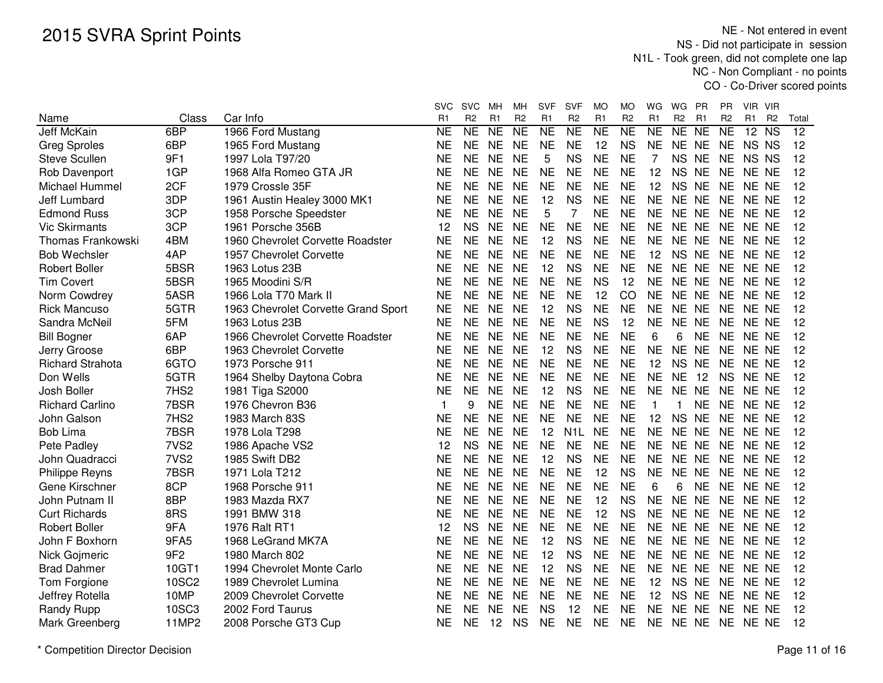|                         |                  |                                     | SVC       | <b>SVC</b>          | MН        | МH             | <b>SVF</b>     | <b>SVF</b>       | МO             | МO              | WG           | WG<br>PR                  | PR             | VIR VIR              |                 |
|-------------------------|------------------|-------------------------------------|-----------|---------------------|-----------|----------------|----------------|------------------|----------------|-----------------|--------------|---------------------------|----------------|----------------------|-----------------|
| Name                    | Class            | Car Info                            | R1        | R <sub>2</sub>      | R1        | R <sub>2</sub> | R <sub>1</sub> | R <sub>2</sub>   | R <sub>1</sub> | R <sub>2</sub>  | R1           | R <sub>2</sub><br>R1      | R <sub>2</sub> | R1<br>R <sub>2</sub> | Total           |
| Jeff McKain             | 6BP              | 1966 Ford Mustang                   | NE        | $\overline{\sf NE}$ | <b>NE</b> | <b>NE</b>      | <b>NE</b>      | <b>NE</b>        | <b>NE</b>      | $\overline{NE}$ | <b>NE</b>    | <b>NE</b><br><b>NE</b>    | <b>NE</b>      | $12$ NS              | $\overline{12}$ |
| <b>Greg Sproles</b>     | 6BP              | 1965 Ford Mustang                   | NЕ        | <b>NE</b>           | <b>NE</b> | <b>NE</b>      | <b>NE</b>      | <b>NE</b>        | 12             | <b>NS</b>       | <b>NE</b>    | NE NE                     | <b>NE</b>      | NS NS                | 12              |
| <b>Steve Scullen</b>    | 9F1              | 1997 Lola T97/20                    | <b>NE</b> | <b>NE</b>           | <b>NE</b> | <b>NE</b>      | 5              | <b>NS</b>        | <b>NE</b>      | <b>NE</b>       | 7            | <b>NS</b><br><b>NE</b>    | <b>NE</b>      | NS NS                | 12              |
| Rob Davenport           | 1GP              | 1968 Alfa Romeo GTA JR              | <b>NE</b> | <b>NE</b>           | <b>NE</b> | <b>NE</b>      | <b>NE</b>      | <b>NE</b>        | <b>NE</b>      | <b>NE</b>       | 12           | <b>NS</b><br><b>NE</b>    | <b>NE</b>      | NE NE                | 12              |
| Michael Hummel          | 2CF              | 1979 Crossle 35F                    | <b>NE</b> | <b>NE</b>           | <b>NE</b> | <b>NE</b>      | <b>NE</b>      | <b>NE</b>        | <b>NE</b>      | <b>NE</b>       | 12           | <b>NS</b><br><b>NE</b>    | <b>NE</b>      | NE NE                | 12              |
| Jeff Lumbard            | 3DP              | 1961 Austin Healey 3000 MK1         | <b>NE</b> | <b>NE</b>           | <b>NE</b> | <b>NE</b>      | 12             | <b>NS</b>        | <b>NE</b>      | <b>NE</b>       | <b>NE</b>    | <b>NE</b><br><b>NE</b>    | <b>NE</b>      | NE NE                | 12              |
| <b>Edmond Russ</b>      | 3CP              | 1958 Porsche Speedster              | <b>NE</b> | <b>NE</b>           | <b>NE</b> | <b>NE</b>      | 5              | $\overline{7}$   | <b>NE</b>      | <b>NE</b>       | <b>NE</b>    | NE NE                     | <b>NE</b>      | NE NE                | 12              |
| <b>Vic Skirmants</b>    | 3CP              | 1961 Porsche 356B                   | 12        | <b>NS</b>           | <b>NE</b> | <b>NE</b>      | <b>NE</b>      | <b>NE</b>        | <b>NE</b>      | <b>NE</b>       | <b>NE</b>    | NE NE                     | <b>NE</b>      | NE NE                | 12              |
| Thomas Frankowski       | 4BM              | 1960 Chevrolet Corvette Roadster    | <b>NE</b> | <b>NE</b>           | <b>NE</b> | <b>NE</b>      | 12             | <b>NS</b>        | <b>NE</b>      | <b>NE</b>       | <b>NE</b>    | NE NE                     | <b>NE</b>      | NE NE                | 12              |
| <b>Bob Wechsler</b>     | 4AP              | 1957 Chevrolet Corvette             | <b>NE</b> | <b>NE</b>           | <b>NE</b> | <b>NE</b>      | <b>NE</b>      | <b>NE</b>        | <b>NE</b>      | <b>NE</b>       | 12           | NS NE                     | <b>NE</b>      | NE NE                | 12              |
| <b>Robert Boller</b>    | 5BSR             | 1963 Lotus 23B                      | <b>NE</b> | <b>NE</b>           | <b>NE</b> | <b>NE</b>      | 12             | <b>NS</b>        | <b>NE</b>      | <b>NE</b>       | <b>NE</b>    | NE NE                     | <b>NE</b>      | NE NE                | 12              |
| <b>Tim Covert</b>       | 5BSR             | 1965 Moodini S/R                    | <b>NE</b> | <b>NE</b>           | <b>NE</b> | <b>NE</b>      | <b>NE</b>      | <b>NE</b>        | <b>NS</b>      | 12              | <b>NE</b>    | NE NE                     | <b>NE</b>      | NE NE                | 12              |
| Norm Cowdrey            | 5ASR             | 1966 Lola T70 Mark II               | <b>NE</b> | <b>NE</b>           | <b>NE</b> | <b>NE</b>      | <b>NE</b>      | <b>NE</b>        | 12             | CO              | <b>NE</b>    | <b>NE</b><br><b>NE</b>    | <b>NE</b>      | NE NE                | 12              |
| <b>Rick Mancuso</b>     | 5GTR             | 1963 Chevrolet Corvette Grand Sport | <b>NE</b> | <b>NE</b>           | <b>NE</b> | <b>NE</b>      | 12             | <b>NS</b>        | <b>NE</b>      | <b>NE</b>       | <b>NE</b>    | <b>NE</b><br><b>NE</b>    | <b>NE</b>      | NE NE                | 12              |
| Sandra McNeil           | 5FM              | 1963 Lotus 23B                      | <b>NE</b> | <b>NE</b>           | <b>NE</b> | <b>NE</b>      | <b>NE</b>      | <b>NE</b>        | <b>NS</b>      | 12              | <b>NE</b>    | NE.<br><b>NE</b>          | <b>NE</b>      | NE NE                | 12              |
| <b>Bill Bogner</b>      | 6AP              | 1966 Chevrolet Corvette Roadster    | <b>NE</b> | <b>NE</b>           | <b>NE</b> | <b>NE</b>      | <b>NE</b>      | <b>NE</b>        | <b>NE</b>      | <b>NE</b>       | 6            | <b>NE</b><br>6            | <b>NE</b>      | NE NE                | 12              |
| Jerry Groose            | 6BP              | 1963 Chevrolet Corvette             | <b>NE</b> | <b>NE</b>           | <b>NE</b> | <b>NE</b>      | 12             | <b>NS</b>        | <b>NE</b>      | <b>NE</b>       | <b>NE</b>    | <b>NE</b><br><b>NE</b>    | <b>NE</b>      | NE NE                | 12              |
| <b>Richard Strahota</b> | 6GTO             | 1973 Porsche 911                    | <b>NE</b> | <b>NE</b>           | <b>NE</b> | <b>NE</b>      | <b>NE</b>      | <b>NE</b>        | <b>NE</b>      | <b>NE</b>       | 12           | <b>NS</b><br><b>NE</b>    | <b>NE</b>      | NE NE                | 12              |
| Don Wells               | 5GTR             | 1964 Shelby Daytona Cobra           | <b>NE</b> | <b>NE</b>           | <b>NE</b> | <b>NE</b>      | <b>NE</b>      | <b>NE</b>        | <b>NE</b>      | <b>NE</b>       | <b>NE</b>    | <b>NE</b><br>12           | <b>NS</b>      | NE NE                | 12              |
| Josh Boller             | 7HS <sub>2</sub> | 1981 Tiga S2000                     | <b>NE</b> | <b>NE</b>           | <b>NE</b> | <b>NE</b>      | 12             | <b>NS</b>        | <b>NE</b>      | <b>NE</b>       | <b>NE</b>    | NE NE                     | <b>NE</b>      | NE NE                | 12              |
| <b>Richard Carlino</b>  | 7BSR             | 1976 Chevron B36                    | 1         | 9                   | <b>NE</b> | <b>NE</b>      | <b>NE</b>      | <b>NE</b>        | <b>NE</b>      | <b>NE</b>       | $\mathbf{1}$ | <b>NE</b><br>$\mathbf{1}$ | <b>NE</b>      | NE NE                | 12              |
| John Galson             | 7HS2             | 1983 March 83S                      | NE        | <b>NE</b>           | <b>NE</b> | <b>NE</b>      | <b>NE</b>      | <b>NE</b>        | <b>NE</b>      | <b>NE</b>       | 12           | NS NE                     | <b>NE</b>      | NE NE                | 12              |
| <b>Bob Lima</b>         | 7BSR             | 1978 Lola T298                      | NE        | NE.                 | <b>NE</b> | <b>NE</b>      | 12             | N <sub>1</sub> L | <b>NE</b>      | <b>NE</b>       | <b>NE</b>    | NE.<br>NE                 | <b>NE</b>      | NE NE                | 12              |
| Pete Padley             | 7VS <sub>2</sub> | 1986 Apache VS2                     | 12        | <b>NS</b>           | <b>NE</b> | <b>NE</b>      | <b>NE</b>      | <b>NE</b>        | <b>NE</b>      | <b>NE</b>       | <b>NE</b>    | NE NE                     | <b>NE</b>      | NE NE                | 12              |
| John Quadracci          | 7VS <sub>2</sub> | 1985 Swift DB2                      | <b>NE</b> | <b>NE</b>           | <b>NE</b> | <b>NE</b>      | 12             | <b>NS</b>        | <b>NE</b>      | <b>NE</b>       | <b>NE</b>    | <b>NE</b><br><b>NE</b>    | <b>NE</b>      | NE NE                | 12              |
| Philippe Reyns          | 7BSR             | 1971 Lola T212                      | <b>NE</b> | <b>NE</b>           | <b>NE</b> | <b>NE</b>      | <b>NE</b>      | <b>NE</b>        | 12             | <b>NS</b>       | <b>NE</b>    | <b>NE</b><br><b>NE</b>    | <b>NE</b>      | NE NE                | 12              |
| Gene Kirschner          | 8CP              | 1968 Porsche 911                    | <b>NE</b> | <b>NE</b>           | <b>NE</b> | <b>NE</b>      | <b>NE</b>      | <b>NE</b>        | <b>NE</b>      | <b>NE</b>       | 6            | <b>NE</b><br>6            | <b>NE</b>      | NE NE                | 12              |
| John Putnam II          | 8BP              | 1983 Mazda RX7                      | <b>NE</b> | <b>NE</b>           | <b>NE</b> | <b>NE</b>      | <b>NE</b>      | <b>NE</b>        | 12             | <b>NS</b>       | <b>NE</b>    | <b>NE</b><br><b>NE</b>    | <b>NE</b>      | NE NE                | 12              |
| <b>Curt Richards</b>    | 8RS              | 1991 BMW 318                        | <b>NE</b> | <b>NE</b>           | <b>NE</b> | <b>NE</b>      | <b>NE</b>      | <b>NE</b>        | 12             | <b>NS</b>       | <b>NE</b>    | NE.<br>NE                 | <b>NE</b>      | NE NE                | 12              |
| <b>Robert Boller</b>    | 9FA              | 1976 Ralt RT1                       | 12        | <b>NS</b>           | <b>NE</b> | <b>NE</b>      | <b>NE</b>      | <b>NE</b>        | <b>NE</b>      | <b>NE</b>       | <b>NE</b>    | <b>NE</b><br><b>NE</b>    | <b>NE</b>      | NE NE                | 12              |
| John F Boxhorn          | 9FA5             | 1968 LeGrand MK7A                   | <b>NE</b> | <b>NE</b>           | <b>NE</b> | <b>NE</b>      | 12             | <b>NS</b>        | <b>NE</b>      | <b>NE</b>       | <b>NE</b>    | <b>NE</b><br><b>NE</b>    | <b>NE</b>      | NE NE                | 12              |
| Nick Gojmeric           | 9F <sub>2</sub>  | 1980 March 802                      | <b>NE</b> | <b>NE</b>           | <b>NE</b> | <b>NE</b>      | 12             | <b>NS</b>        | <b>NE</b>      | <b>NE</b>       | <b>NE</b>    | NE NE                     | <b>NE</b>      | NE NE                | 12              |
| <b>Brad Dahmer</b>      | 10GT1            | 1994 Chevrolet Monte Carlo          | <b>NE</b> | <b>NE</b>           | <b>NE</b> | <b>NE</b>      | 12             | <b>NS</b>        | <b>NE</b>      | <b>NE</b>       | <b>NE</b>    | NE NE                     | <b>NE</b>      | NE NE                | 12              |
| Tom Forgione            | 10SC2            | 1989 Chevrolet Lumina               | <b>NE</b> | <b>NE</b>           | <b>NE</b> | <b>NE</b>      | <b>NE</b>      | <b>NE</b>        | <b>NE</b>      | <b>NE</b>       | 12           | NS NE                     | <b>NE</b>      | NE NE                | 12              |
| Jeffrey Rotella         | 10MP             | 2009 Chevrolet Corvette             | NΕ        | <b>NE</b>           | <b>NE</b> | <b>NE</b>      | NE             | <b>NE</b>        | <b>NE</b>      | NE              | 12           | NS NE                     | <b>NE</b>      | NE NE                | 12              |
| Randy Rupp              | 10SC3            | 2002 Ford Taurus                    | NΕ        | NE                  | <b>NE</b> | <b>NE</b>      | <b>NS</b>      | 12               | <b>NE</b>      | <b>NE</b>       | <b>NE</b>    | <b>NE</b><br><b>NE</b>    | <b>NE</b>      | NE NE                | 12              |
| Mark Greenberg          | 11MP2            | 2008 Porsche GT3 Cup                | <b>NE</b> | <b>NE</b>           | 12        | <b>NS</b>      | <b>NE</b>      | <b>NE</b>        | <b>NE</b>      | <b>NE</b>       | <b>NE</b>    | NE NE                     |                | NE NE NE             | 12              |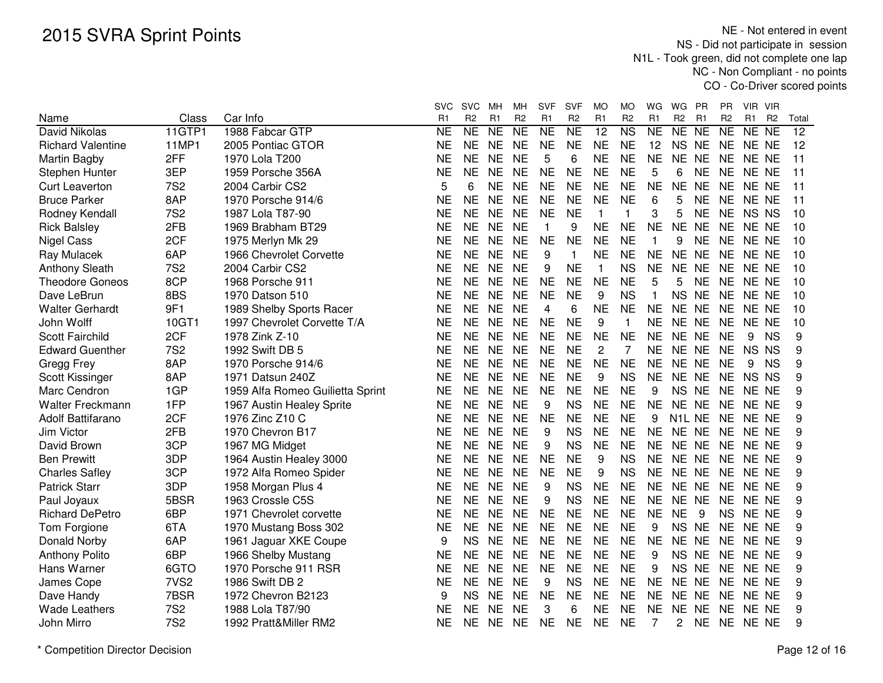| Name                     | Class            | Car Info                         | svc<br>R <sub>1</sub> | <b>SVC</b><br>R <sub>2</sub> | мн<br>R <sub>1</sub> | мн<br>R <sub>2</sub> | <b>SVF</b><br>R <sub>1</sub> | SVF<br>R2 | MO<br>R <sub>1</sub> | МO<br>R <sub>2</sub>   | WG<br>R <sub>1</sub> | WG<br>R <sub>2</sub>            | - PR<br>R <sub>1</sub> | <b>PR</b><br>R <sub>2</sub> | VIR VIR<br>R1 | R <sub>2</sub>  | Total           |
|--------------------------|------------------|----------------------------------|-----------------------|------------------------------|----------------------|----------------------|------------------------------|-----------|----------------------|------------------------|----------------------|---------------------------------|------------------------|-----------------------------|---------------|-----------------|-----------------|
| David Nikolas            | 11GTP1           | 1988 Fabcar GTP                  | NE                    | $\overline{\text{NE}}$       | <b>NE</b>            | $\overline{NE}$      | NE                           | <b>NE</b> | $\overline{12}$      | $\overline{\text{NS}}$ | <b>NE</b>            | NE NE                           |                        | <b>NE</b>                   | NE            | $\overline{NE}$ | $\overline{12}$ |
| <b>Richard Valentine</b> | 11MP1            | 2005 Pontiac GTOR                | <b>NE</b>             | <b>NE</b>                    | <b>NE</b>            | <b>NE</b>            | <b>NE</b>                    | <b>NE</b> | <b>NE</b>            | <b>NE</b>              | 12                   | <b>NS</b>                       | <b>NE</b>              | <b>NE</b>                   | NE NE         |                 | 12              |
| Martin Bagby             | 2FF              | 1970 Lola T200                   | <b>NE</b>             | <b>NE</b>                    | <b>NE</b>            | <b>NE</b>            | 5                            | 6         | <b>NE</b>            | <b>NE</b>              | <b>NE</b>            | NE NE                           |                        | <b>NE</b>                   | NE NE         |                 | 11              |
| Stephen Hunter           | 3EP              | 1959 Porsche 356A                | <b>NE</b>             | <b>NE</b>                    | <b>NE</b>            | <b>NE</b>            | <b>NE</b>                    | <b>NE</b> | <b>NE</b>            | <b>NE</b>              | 5                    | 6                               | <b>NE</b>              | <b>NE</b>                   | NE NE         |                 | 11              |
| <b>Curt Leaverton</b>    | <b>7S2</b>       | 2004 Carbir CS2                  | 5                     | 6                            | <b>NE</b>            | <b>NE</b>            | <b>NE</b>                    | <b>NE</b> | <b>NE</b>            | <b>NE</b>              | <b>NE</b>            | NE NE                           |                        | <b>NE</b>                   | NE NE         |                 | 11              |
| <b>Bruce Parker</b>      | 8AP              | 1970 Porsche 914/6               | NE                    | <b>NE</b>                    | <b>NE</b>            | <b>NE</b>            | <b>NE</b>                    | <b>NE</b> | <b>NE</b>            | <b>NE</b>              | 6                    | 5                               | <b>NE</b>              | <b>NE</b>                   | NE NE         |                 | 11              |
| Rodney Kendall           | <b>7S2</b>       | 1987 Lola T87-90                 | NE                    | <b>NE</b>                    | <b>NE</b>            | <b>NE</b>            | <b>NE</b>                    | <b>NE</b> | $\mathbf{1}$         | 1                      | 3                    | 5                               | <b>NE</b>              | <b>NE</b>                   | NS NS         |                 | 10              |
| <b>Rick Balsley</b>      | 2FB              | 1969 Brabham BT29                | NΕ                    | <b>NE</b>                    | <b>NE</b>            | <b>NE</b>            |                              | 9         | <b>NE</b>            | <b>NE</b>              | <b>NE</b>            | NE NE                           |                        | NE.                         | NE NE         |                 | 10              |
| <b>Nigel Cass</b>        | 2CF              | 1975 Merlyn Mk 29                | <b>NE</b>             | <b>NE</b>                    | <b>NE</b>            | <b>NE</b>            | <b>NE</b>                    | <b>NE</b> | <b>NE</b>            | <b>NE</b>              | 1                    | 9                               | <b>NE</b>              | NE.                         | NE NE         |                 | 10              |
| Ray Mulacek              | 6AP              | 1966 Chevrolet Corvette          | NE                    | <b>NE</b>                    | <b>NE</b>            | <b>NE</b>            | 9                            | 1         | <b>NE</b>            | <b>NE</b>              | <b>NE</b>            | NE NE                           |                        | NE.                         | NE NE         |                 | 10              |
| <b>Anthony Sleath</b>    | <b>7S2</b>       | 2004 Carbir CS2                  | <b>NE</b>             | <b>NE</b>                    | <b>NE</b>            | <b>NE</b>            | 9                            | <b>NE</b> | $\mathbf{1}$         | <b>NS</b>              | <b>NE</b>            | NE NE                           |                        | <b>NE</b>                   | NE NE         |                 | 10              |
| <b>Theodore Goneos</b>   | 8CP              | 1968 Porsche 911                 | NE                    | <b>NE</b>                    | <b>NE</b>            | <b>NE</b>            | <b>NE</b>                    | <b>NE</b> | <b>NE</b>            | <b>NE</b>              | 5                    | 5                               | <b>NE</b>              | <b>NE</b>                   | NE NE         |                 | 10              |
| Dave LeBrun              | 8BS              | 1970 Datson 510                  | <b>NE</b>             | <b>NE</b>                    | <b>NE</b>            | <b>NE</b>            | <b>NE</b>                    | <b>NE</b> | 9                    | <b>NS</b>              | $\mathbf{1}$         | <b>NS</b>                       | <b>NE</b>              | <b>NE</b>                   | NE NE         |                 | 10              |
| <b>Walter Gerhardt</b>   | 9F1              | 1989 Shelby Sports Racer         | <b>NE</b>             | <b>NE</b>                    | <b>NE</b>            | <b>NE</b>            | 4                            | 6         | <b>NE</b>            | <b>NE</b>              | <b>NE</b>            | NE NE                           |                        | <b>NE</b>                   | NE NE         |                 | 10              |
| John Wolff               | 10GT1            | 1997 Chevrolet Corvette T/A      | NE                    | <b>NE</b>                    | <b>NE</b>            | <b>NE</b>            | <b>NE</b>                    | <b>NE</b> | 9                    | $\mathbf{1}$           | <b>NE</b>            | NE NE                           |                        | NE                          | NE NE         |                 | 10              |
| <b>Scott Fairchild</b>   | 2CF              | 1978 Zink Z-10                   | <b>NE</b>             | <b>NE</b>                    | <b>NE</b>            | <b>NE</b>            | <b>NE</b>                    | <b>NE</b> | <b>NE</b>            | <b>NE</b>              | <b>NE</b>            | NE NE                           |                        | <b>NE</b>                   | 9             | <b>NS</b>       | 9               |
| <b>Edward Guenther</b>   | <b>7S2</b>       | 1992 Swift DB 5                  | <b>NE</b>             | <b>NE</b>                    | <b>NE</b>            | <b>NE</b>            | <b>NE</b>                    | <b>NE</b> | $\overline{c}$       | $\overline{7}$         | <b>NE</b>            | NE NE                           |                        | <b>NE</b>                   | <b>NS</b>     | <b>NS</b>       | 9               |
| Gregg Frey               | 8AP              | 1970 Porsche 914/6               | <b>NE</b>             | <b>NE</b>                    | <b>NE</b>            | <b>NE</b>            | <b>NE</b>                    | <b>NE</b> | <b>NE</b>            | <b>NE</b>              | <b>NE</b>            | NE NE                           |                        | <b>NE</b>                   | 9             | <b>NS</b>       | 9               |
| Scott Kissinger          | 8AP              | 1971 Datsun 240Z                 | <b>NE</b>             | <b>NE</b>                    | <b>NE</b>            | <b>NE</b>            | <b>NE</b>                    | <b>NE</b> | 9                    | <b>NS</b>              | <b>NE</b>            | NE NE                           |                        | <b>NE</b>                   | NS NS         |                 | 9               |
| Marc Cendron             | 1GP              | 1959 Alfa Romeo Guilietta Sprint | <b>NE</b>             | <b>NE</b>                    | <b>NE</b>            | <b>NE</b>            | <b>NE</b>                    | <b>NE</b> | <b>NE</b>            | <b>NE</b>              | 9                    | NS NE                           |                        | <b>NE</b>                   | NE NE         |                 | 9               |
| Walter Freckmann         | 1FP              | 1967 Austin Healey Sprite        | NE                    | <b>NE</b>                    | <b>NE</b>            | <b>NE</b>            | 9                            | <b>NS</b> | <b>NE</b>            | <b>NE</b>              | <b>NE</b>            | NE NE                           |                        | <b>NE</b>                   | NE NE         |                 | 9               |
| Adolf Battifarano        | 2CF              | 1976 Zinc Z10 C                  | NE                    | <b>NE</b>                    | <b>NE</b>            | <b>NE</b>            | <b>NE</b>                    | <b>NE</b> | <b>NE</b>            | <b>NE</b>              | 9                    | N <sub>1</sub> L N <sub>E</sub> |                        | <b>NE</b>                   | NE NE         |                 | 9               |
| Jim Victor               | 2FB              | 1970 Chevron B17                 | NΕ                    | <b>NE</b>                    | <b>NE</b>            | <b>NE</b>            | 9                            | <b>NS</b> | <b>NE</b>            | <b>NE</b>              | <b>NE</b>            | NE NE                           |                        | NE.                         | NE NE         |                 | 9               |
| David Brown              | 3CP              | 1967 MG Midget                   | NE                    | <b>NE</b>                    | <b>NE</b>            | <b>NE</b>            | 9                            | <b>NS</b> | <b>NE</b>            | <b>NE</b>              | <b>NE</b>            | NE NE                           |                        | <b>NE</b>                   | NE NE         |                 | 9               |
| <b>Ben Prewitt</b>       | 3DP              | 1964 Austin Healey 3000          | NE                    | <b>NE</b>                    | <b>NE</b>            | <b>NE</b>            | <b>NE</b>                    | <b>NE</b> | 9                    | <b>NS</b>              | <b>NE</b>            | NE NE                           |                        | <b>NE</b>                   | NE NE         |                 | 9               |
| <b>Charles Safley</b>    | 3CP              | 1972 Alfa Romeo Spider           | NE                    | <b>NE</b>                    | <b>NE</b>            | <b>NE</b>            | <b>NE</b>                    | <b>NE</b> | 9                    | <b>NS</b>              | <b>NE</b>            | NE NE                           |                        | <b>NE</b>                   | NE NE         |                 | 9               |
| <b>Patrick Starr</b>     | 3DP              | 1958 Morgan Plus 4               | <b>NE</b>             | <b>NE</b>                    | <b>NE</b>            | <b>NE</b>            | 9                            | <b>NS</b> | <b>NE</b>            | <b>NE</b>              | <b>NE</b>            | NE NE                           |                        | <b>NE</b>                   | NE NE         |                 | 9               |
| Paul Joyaux              | 5BSR             | 1963 Crossle C5S                 | <b>NE</b>             | <b>NE</b>                    | <b>NE</b>            | <b>NE</b>            | 9                            | <b>NS</b> | <b>NE</b>            | <b>NE</b>              | <b>NE</b>            | NE NE                           |                        | <b>NE</b>                   | NE NE         |                 | 9               |
| <b>Richard DePetro</b>   | 6BP              | 1971 Chevrolet corvette          | <b>NE</b>             | <b>NE</b>                    | <b>NE</b>            | <b>NE</b>            | <b>NE</b>                    | <b>NE</b> | <b>NE</b>            | <b>NE</b>              | <b>NE</b>            | <b>NE</b>                       | 9                      | <b>NS</b>                   | NE NE         |                 | 9               |
| Tom Forgione             | 6TA              | 1970 Mustang Boss 302            | NE                    | <b>NE</b>                    | <b>NE</b>            | <b>NE</b>            | <b>NE</b>                    | <b>NE</b> | <b>NE</b>            | <b>NE</b>              | 9                    | NS NE                           |                        | <b>NE</b>                   | NE NE         |                 | 9               |
| Donald Norby             | 6AP              | 1961 Jaguar XKE Coupe            | 9                     | <b>NS</b>                    | <b>NE</b>            | <b>NE</b>            | <b>NE</b>                    | <b>NE</b> | <b>NE</b>            | <b>NE</b>              | <b>NE</b>            | <b>NE</b>                       | <b>NE</b>              | <b>NE</b>                   | NE NE         |                 | 9               |
| <b>Anthony Polito</b>    | 6BP              | 1966 Shelby Mustang              | <b>NE</b>             | <b>NE</b>                    | <b>NE</b>            | <b>NE</b>            | <b>NE</b>                    | <b>NE</b> | <b>NE</b>            | <b>NE</b>              | 9                    | <b>NS</b>                       | <b>NE</b>              | <b>NE</b>                   | NE NE         |                 | 9               |
| Hans Warner              | 6GTO             | 1970 Porsche 911 RSR             | <b>NE</b>             | <b>NE</b>                    | <b>NE</b>            | <b>NE</b>            | <b>NE</b>                    | <b>NE</b> | <b>NE</b>            | <b>NE</b>              | 9                    | <b>NS</b>                       | <b>NE</b>              | <b>NE</b>                   | NE NE         |                 | 9               |
| James Cope               | 7VS <sub>2</sub> | 1986 Swift DB 2                  | NE                    | <b>NE</b>                    | <b>NE</b>            | <b>NE</b>            | 9                            | <b>NS</b> | <b>NE</b>            | <b>NE</b>              | <b>NE</b>            | NE NE                           |                        | <b>NE</b>                   | NE NE         |                 | 9               |
| Dave Handy               | 7BSR             | 1972 Chevron B2123               | 9                     | <b>NS</b>                    | <b>NE</b>            | <b>NE</b>            | <b>NE</b>                    | <b>NE</b> | <b>NE</b>            | <b>NE</b>              | <b>NE</b>            | NE NE                           |                        | <b>NE</b>                   | NE NE         |                 | 9               |
| <b>Wade Leathers</b>     | <b>7S2</b>       | 1988 Lola T87/90                 | NE                    | <b>NE</b>                    | <b>NE</b>            | <b>NE</b>            | 3                            | 6         | <b>NE</b>            | <b>NE</b>              | <b>NE</b>            | NE NE                           |                        | <b>NE</b>                   | NE NE         |                 | 9               |
| John Mirro               | <b>7S2</b>       | 1992 Pratt&Miller RM2            | NE                    | <b>NE</b>                    | <b>NE</b>            | <b>NE</b>            | <b>NE</b>                    | <b>NE</b> | <b>NE</b>            | <b>NE</b>              | 7                    | 2                               | <b>NE</b>              | NE NE NE                    |               |                 | 9               |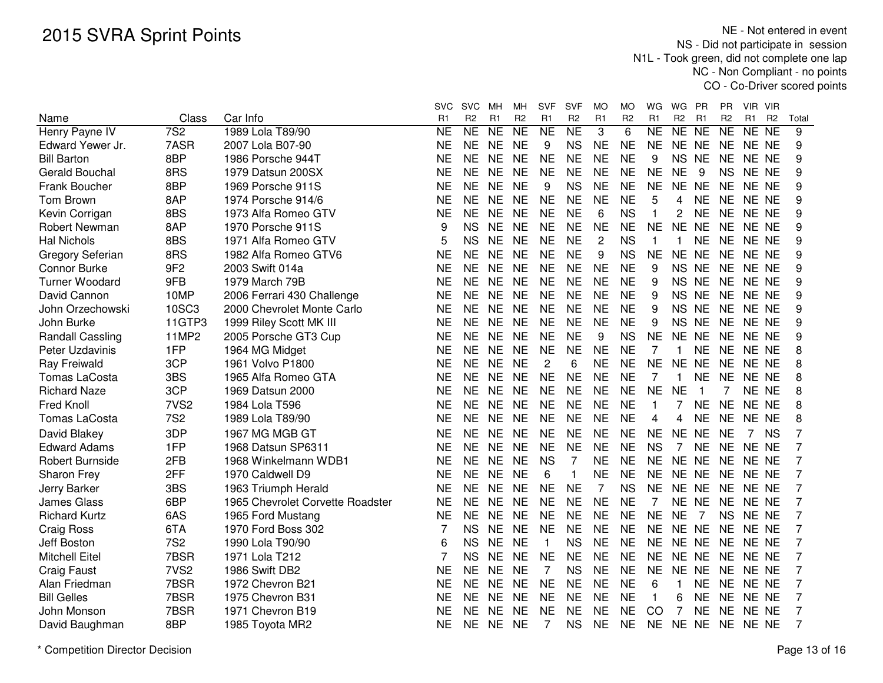|                         |                  |                                  | <b>SVC</b> | <b>SVC</b>     | мн             | MН             | <b>SVF</b>     | <b>SVF</b>     | MO             | MO             | WG             | WG             | PR             | PR.            | VIR VIR |                |                |
|-------------------------|------------------|----------------------------------|------------|----------------|----------------|----------------|----------------|----------------|----------------|----------------|----------------|----------------|----------------|----------------|---------|----------------|----------------|
| Name                    | Class            | Car Info                         | R1         | R <sub>2</sub> | R <sub>1</sub> | R <sub>2</sub> | R <sub>1</sub> | R <sub>2</sub> | R <sub>1</sub> | R <sub>2</sub> | R <sub>1</sub> | R <sub>2</sub> | R <sub>1</sub> | R <sub>2</sub> | R1      | R <sub>2</sub> | Total          |
| Henry Payne IV          | 7S <sub>2</sub>  | 1989 Lola T89/90                 | <b>NE</b>  | NE             | <b>NE</b>      | N <sub>E</sub> | <b>NE</b>      | <b>NE</b>      | 3              | $\overline{6}$ | <b>NE</b>      | NE NE          |                | NE             | NE NE   |                | 9              |
| Edward Yewer Jr.        | 7ASR             | 2007 Lola B07-90                 | <b>NE</b>  | <b>NE</b>      | <b>NE</b>      | <b>NE</b>      | 9              | <b>NS</b>      | <b>NE</b>      | <b>NE</b>      | <b>NE</b>      | NE NE          |                | <b>NE</b>      | NE NE   |                | 9              |
| <b>Bill Barton</b>      | 8BP              | 1986 Porsche 944T                | <b>NE</b>  | <b>NE</b>      | <b>NE</b>      | <b>NE</b>      | <b>NE</b>      | <b>NE</b>      | <b>NE</b>      | <b>NE</b>      | 9              | <b>NS</b>      | <b>NE</b>      | <b>NE</b>      | NE NE   |                | 9              |
| Gerald Bouchal          | 8RS              | 1979 Datsun 200SX                | <b>NE</b>  | <b>NE</b>      | <b>NE</b>      | <b>NE</b>      | <b>NE</b>      | <b>NE</b>      | <b>NE</b>      | <b>NE</b>      | <b>NE</b>      | <b>NE</b>      | 9              | <b>NS</b>      | NE NE   |                | 9              |
| Frank Boucher           | 8BP              | 1969 Porsche 911S                | <b>NE</b>  | <b>NE</b>      | <b>NE</b>      | <b>NE</b>      | 9              | <b>NS</b>      | <b>NE</b>      | <b>NE</b>      | <b>NE</b>      | NE NE          |                | <b>NE</b>      | NE NE   |                | 9              |
| <b>Tom Brown</b>        | 8AP              | 1974 Porsche 914/6               | <b>NE</b>  | <b>NE</b>      | <b>NE</b>      | <b>NE</b>      | <b>NE</b>      | <b>NE</b>      | <b>NE</b>      | <b>NE</b>      | 5              | 4              | <b>NE</b>      | <b>NE</b>      | NE NE   |                | 9              |
| Kevin Corrigan          | 8BS              | 1973 Alfa Romeo GTV              | <b>NE</b>  | <b>NE</b>      | <b>NE</b>      | <b>NE</b>      | <b>NE</b>      | <b>NE</b>      | 6              | <b>NS</b>      | 1              | 2              | <b>NE</b>      | <b>NE</b>      | NE NE   |                | 9              |
| Robert Newman           | 8AP              | 1970 Porsche 911S                | 9          | <b>NS</b>      | <b>NE</b>      | <b>NE</b>      | <b>NE</b>      | <b>NE</b>      | <b>NE</b>      | <b>NE</b>      | <b>NE</b>      | NE NE          |                | <b>NE</b>      | NE NE   |                | 9              |
| <b>Hal Nichols</b>      | 8BS              | 1971 Alfa Romeo GTV              | 5          | <b>NS</b>      | <b>NE</b>      | <b>NE</b>      | <b>NE</b>      | <b>NE</b>      | $\overline{c}$ | <b>NS</b>      | $\mathbf{1}$   | 1              | <b>NE</b>      | <b>NE</b>      | NE NE   |                | 9              |
| Gregory Seferian        | 8RS              | 1982 Alfa Romeo GTV6             | <b>NE</b>  | <b>NE</b>      | <b>NE</b>      | <b>NE</b>      | <b>NE</b>      | <b>NE</b>      | 9              | <b>NS</b>      | <b>NE</b>      | NE NE          |                | <b>NE</b>      | NE NE   |                | 9              |
| <b>Connor Burke</b>     | 9F <sub>2</sub>  | 2003 Swift 014a                  | <b>NE</b>  | <b>NE</b>      | <b>NE</b>      | <b>NE</b>      | <b>NE</b>      | <b>NE</b>      | <b>NE</b>      | <b>NE</b>      | 9              | NS NE          |                | <b>NE</b>      | NE NE   |                | 9              |
| <b>Turner Woodard</b>   | 9FB              | 1979 March 79B                   | <b>NE</b>  | <b>NE</b>      | <b>NE</b>      | <b>NE</b>      | <b>NE</b>      | <b>NE</b>      | <b>NE</b>      | <b>NE</b>      | 9              | <b>NS</b>      | <b>NE</b>      | <b>NE</b>      | NE NE   |                | 9              |
| David Cannon            | 10MP             | 2006 Ferrari 430 Challenge       | NE         | <b>NE</b>      | <b>NE</b>      | <b>NE</b>      | <b>NE</b>      | <b>NE</b>      | <b>NE</b>      | <b>NE</b>      | 9              | <b>NS</b>      | <b>NE</b>      | <b>NE</b>      | NE NE   |                | 9              |
| John Orzechowski        | 10SC3            | 2000 Chevrolet Monte Carlo       | <b>NE</b>  | <b>NE</b>      | <b>NE</b>      | <b>NE</b>      | <b>NE</b>      | <b>NE</b>      | <b>NE</b>      | <b>NE</b>      | 9              | <b>NS</b>      | <b>NE</b>      | <b>NE</b>      | NE NE   |                | 9              |
| John Burke              | 11GTP3           | 1999 Riley Scott MK III          | <b>NE</b>  | <b>NE</b>      | <b>NE</b>      | <b>NE</b>      | <b>NE</b>      | <b>NE</b>      | <b>NE</b>      | <b>NE</b>      | 9              | <b>NS</b>      | <b>NE</b>      | <b>NE</b>      | NE NE   |                | 9              |
| <b>Randall Cassling</b> | <b>11MP2</b>     | 2005 Porsche GT3 Cup             | <b>NE</b>  | <b>NE</b>      | <b>NE</b>      | <b>NE</b>      | <b>NE</b>      | <b>NE</b>      | 9              | <b>NS</b>      | <b>NE</b>      | NE NE          |                | <b>NE</b>      | NE NE   |                | 9              |
| Peter Uzdavinis         | 1FP              | 1964 MG Midget                   | <b>NE</b>  | <b>NE</b>      | <b>NE</b>      | <b>NE</b>      | <b>NE</b>      | <b>NE</b>      | <b>NE</b>      | <b>NE</b>      | 7              | 1              | <b>NE</b>      | <b>NE</b>      | NE NE   |                | 8              |
| Ray Freiwald            | 3CP              | 1961 Volvo P1800                 | <b>NE</b>  | <b>NE</b>      | <b>NE</b>      | <b>NE</b>      | $\overline{2}$ | 6              | <b>NE</b>      | <b>NE</b>      | <b>NE</b>      | NE NE          |                | <b>NE</b>      | NE NE   |                | 8              |
| <b>Tomas LaCosta</b>    | 3BS              | 1965 Alfa Romeo GTA              | <b>NE</b>  | <b>NE</b>      | <b>NE</b>      | <b>NE</b>      | <b>NE</b>      | <b>NE</b>      | <b>NE</b>      | <b>NE</b>      | 7              | 1              | <b>NE</b>      | <b>NE</b>      | NE NE   |                | 8              |
| <b>Richard Naze</b>     | 3CP              | 1969 Datsun 2000                 | NE         | <b>NE</b>      | <b>NE</b>      | <b>NE</b>      | <b>NE</b>      | <b>NE</b>      | <b>NE</b>      | <b>NE</b>      | <b>NE</b>      | <b>NE</b>      |                | 7              | NE NE   |                | 8              |
| <b>Fred Knoll</b>       | 7VS <sub>2</sub> | 1984 Lola T596                   | <b>NE</b>  | <b>NE</b>      | <b>NE</b>      | <b>NE</b>      | <b>NE</b>      | <b>NE</b>      | <b>NE</b>      | <b>NE</b>      | $\mathbf{1}$   | 7              | <b>NE</b>      | <b>NE</b>      | NE NE   |                | 8              |
| Tomas LaCosta           | <b>7S2</b>       | 1989 Lola T89/90                 | <b>NE</b>  | <b>NE</b>      | <b>NE</b>      | <b>NE</b>      | <b>NE</b>      | <b>NE</b>      | <b>NE</b>      | <b>NE</b>      | 4              | 4              | <b>NE</b>      | <b>NE</b>      | NE NE   |                | 8              |
| David Blakey            | 3DP              | 1967 MG MGB GT                   | NE         | <b>NE</b>      | <b>NE</b>      | <b>NE</b>      | <b>NE</b>      | <b>NE</b>      | <b>NE</b>      | <b>NE</b>      | <b>NE</b>      | NE NE          |                | <b>NE</b>      |         | 7 NS           | 7              |
| <b>Edward Adams</b>     | 1FP              | 1968 Datsun SP6311               | <b>NE</b>  | <b>NE</b>      | <b>NE</b>      | <b>NE</b>      | <b>NE</b>      | <b>NE</b>      | <b>NE</b>      | <b>NE</b>      | <b>NS</b>      | $\overline{7}$ | <b>NE</b>      | <b>NE</b>      | NE NE   |                | 7              |
| <b>Robert Burnside</b>  | 2FB              | 1968 Winkelmann WDB1             | <b>NE</b>  | <b>NE</b>      | <b>NE</b>      | <b>NE</b>      | <b>NS</b>      | 7              | <b>NE</b>      | <b>NE</b>      | <b>NE</b>      | NE NE          |                | <b>NE</b>      | NE NE   |                | 7              |
| <b>Sharon Frey</b>      | 2FF              | 1970 Caldwell D9                 | <b>NE</b>  | <b>NE</b>      | <b>NE</b>      | <b>NE</b>      | 6              | 1              | <b>NE</b>      | <b>NE</b>      | <b>NE</b>      | NE NE          |                | <b>NE</b>      | NE NE   |                | 7              |
| Jerry Barker            | 3BS              | 1963 Triumph Herald              | <b>NE</b>  | <b>NE</b>      | <b>NE</b>      | <b>NE</b>      | <b>NE</b>      | <b>NE</b>      | 7              | <b>NS</b>      | <b>NE</b>      | NE NE          |                | <b>NE</b>      | NE NE   |                | $\overline{7}$ |
| <b>James Glass</b>      | 6BP              | 1965 Chevrolet Corvette Roadster | <b>NE</b>  | <b>NE</b>      | <b>NE</b>      | <b>NE</b>      | <b>NE</b>      | <b>NE</b>      | <b>NE</b>      | <b>NE</b>      | 7              | NE NE          |                | <b>NE</b>      | NE NE   |                | $\overline{7}$ |
| <b>Richard Kurtz</b>    | 6AS              | 1965 Ford Mustang                | <b>NE</b>  | <b>NE</b>      | <b>NE</b>      | <b>NE</b>      | <b>NE</b>      | <b>NE</b>      | <b>NE</b>      | <b>NE</b>      | <b>NE</b>      | <b>NE</b>      | 7              | <b>NS</b>      | NE NE   |                | 7              |
| Craig Ross              | 6TA              | 1970 Ford Boss 302               | 7          | <b>NS</b>      | <b>NE</b>      | <b>NE</b>      | <b>NE</b>      | <b>NE</b>      | <b>NE</b>      | <b>NE</b>      | <b>NE</b>      | NE NE          |                | <b>NE</b>      | NE NE   |                | $\overline{7}$ |
| Jeff Boston             | <b>7S2</b>       | 1990 Lola T90/90                 | 6          | <b>NS</b>      | <b>NE</b>      | <b>NE</b>      | $\mathbf 1$    | <b>NS</b>      | <b>NE</b>      | <b>NE</b>      | <b>NE</b>      | NE NE          |                | <b>NE</b>      | NE NE   |                | $\overline{7}$ |
| <b>Mitchell Eitel</b>   | 7BSR             | 1971 Lola T212                   | 7          | <b>NS</b>      | <b>NE</b>      | <b>NE</b>      | <b>NE</b>      | <b>NE</b>      | <b>NE</b>      | <b>NE</b>      | <b>NE</b>      | NE NE          |                | <b>NE</b>      | NE NE   |                | 7              |
| <b>Craig Faust</b>      | 7VS <sub>2</sub> | 1986 Swift DB2                   | <b>NE</b>  | <b>NE</b>      | <b>NE</b>      | <b>NE</b>      | 7              | <b>NS</b>      | <b>NE</b>      | <b>NE</b>      | <b>NE</b>      | NE NE          |                | <b>NE</b>      | NE NE   |                | 7              |
| Alan Friedman           | 7BSR             | 1972 Chevron B21                 | NE         | <b>NE</b>      | <b>NE</b>      | <b>NE</b>      | <b>NE</b>      | <b>NE</b>      | <b>NE</b>      | <b>NE</b>      | 6              | 1              | <b>NE</b>      | <b>NE</b>      | NE NE   |                | 7              |
| <b>Bill Gelles</b>      | 7BSR             | 1975 Chevron B31                 | NE         | NE.            | <b>NE</b>      | <b>NE</b>      | <b>NE</b>      | <b>NE</b>      | <b>NE</b>      | <b>NE</b>      | 1              | 6              | <b>NE</b>      | <b>NE</b>      | NE NE   |                | 7              |
| John Monson             | 7BSR             | 1971 Chevron B19                 | <b>NE</b>  | <b>NE</b>      | <b>NE</b>      | <b>NE</b>      | <b>NE</b>      | <b>NE</b>      | <b>NE</b>      | <b>NE</b>      | CO             | 7              | <b>NE</b>      | <b>NE</b>      | NE NE   |                | 7              |
| David Baughman          | 8BP              | 1985 Toyota MR2                  | <b>NE</b>  | <b>NE</b>      | <b>NE</b>      | <b>NE</b>      | 7              | <b>NS</b>      | <b>NE</b>      | <b>NE</b>      | <b>NE</b>      | NE NE          |                | NE NE NE       |         |                | 7              |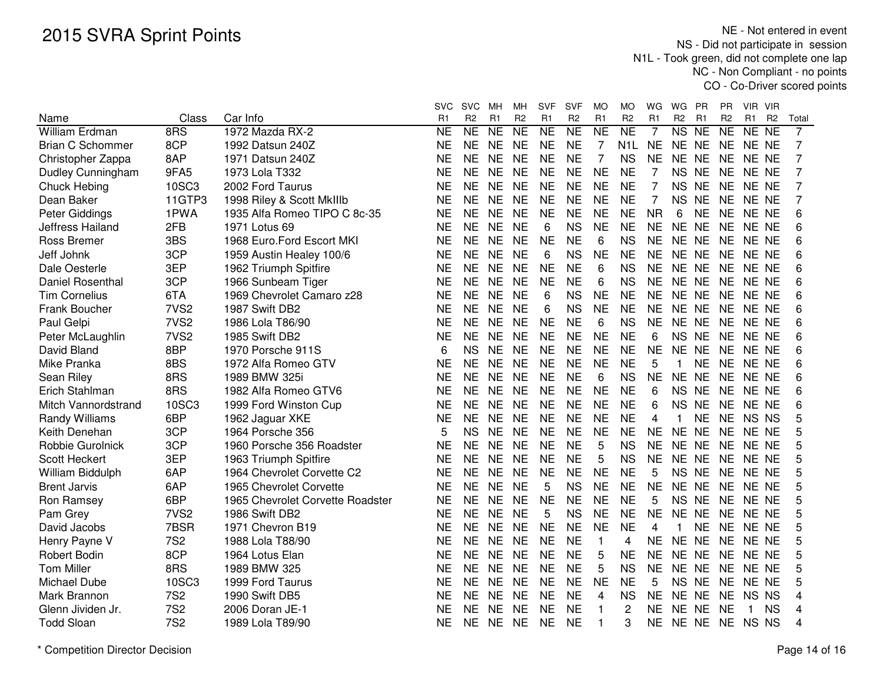|                         |                  |                                  | SVC       | <b>SVC</b>     | MН        | MН             | <b>SVF</b> | <b>SVF</b>     | MO             | МO             | WG             | WG             | - PR      | PR.            | VIR VIR        |                |                |
|-------------------------|------------------|----------------------------------|-----------|----------------|-----------|----------------|------------|----------------|----------------|----------------|----------------|----------------|-----------|----------------|----------------|----------------|----------------|
| Name                    | Class            | Car Info                         | R1        | R <sub>2</sub> | R1        | R <sub>2</sub> | R1         | R <sub>2</sub> | R <sub>1</sub> | R <sub>2</sub> | R <sub>1</sub> | R <sub>2</sub> | R1        | R <sub>2</sub> | R <sub>1</sub> | R <sub>2</sub> | Total          |
| <b>William Erdman</b>   | 8RS              | 1972 Mazda RX-2                  | NE        | <b>NE</b>      | <b>NE</b> | <b>NE</b>      | <b>NE</b>  | <b>NE</b>      | <b>NE</b>      | <b>NE</b>      | 7              | <b>NS</b>      | <b>NE</b> | <b>NE</b>      | NE NE          |                | 7              |
| <b>Brian C Schommer</b> | 8CP              | 1992 Datsun 240Z                 | NE        | <b>NE</b>      | <b>NE</b> | <b>NE</b>      | <b>NE</b>  | <b>NE</b>      | 7              | N1L.           | <b>NE</b>      | NE NE          |           | NE.            | NE NE          |                | $\overline{7}$ |
| Christopher Zappa       | 8AP              | 1971 Datsun 240Z                 | <b>NE</b> | <b>NE</b>      | <b>NE</b> | <b>NE</b>      | <b>NE</b>  | <b>NE</b>      | $\overline{7}$ | <b>NS</b>      | <b>NE</b>      | NE NE          |           | <b>NE</b>      | NE NE          |                | $\overline{7}$ |
| Dudley Cunningham       | 9FA5             | 1973 Lola T332                   | <b>NE</b> | <b>NE</b>      | <b>NE</b> | <b>NE</b>      | <b>NE</b>  | <b>NE</b>      | <b>NE</b>      | <b>NE</b>      | 7              | <b>NS</b>      | <b>NE</b> | <b>NE</b>      | NE NE          |                | 7              |
| <b>Chuck Hebing</b>     | 10SC3            | 2002 Ford Taurus                 | <b>NE</b> | <b>NE</b>      | <b>NE</b> | <b>NE</b>      | <b>NE</b>  | <b>NE</b>      | <b>NE</b>      | <b>NE</b>      | 7              | <b>NS</b>      | <b>NE</b> | <b>NE</b>      | NE NE          |                | 7              |
| Dean Baker              | 11GTP3           | 1998 Riley & Scott MkIIIb        | <b>NE</b> | <b>NE</b>      | <b>NE</b> | <b>NE</b>      | <b>NE</b>  | <b>NE</b>      | <b>NE</b>      | <b>NE</b>      | 7              | <b>NS</b>      | <b>NE</b> | <b>NE</b>      | NE NE          |                | $\overline{7}$ |
| Peter Giddings          | 1PWA             | 1935 Alfa Romeo TIPO C 8c-35     | <b>NE</b> | <b>NE</b>      | <b>NE</b> | <b>NE</b>      | <b>NE</b>  | <b>NE</b>      | <b>NE</b>      | <b>NE</b>      | <b>NR</b>      | 6              | <b>NE</b> | <b>NE</b>      | NE NE          |                | 6              |
| Jeffress Hailand        | 2FB              | 1971 Lotus 69                    | NΕ        | <b>NE</b>      | <b>NE</b> | <b>NE</b>      | 6          | <b>NS</b>      | <b>NE</b>      | <b>NE</b>      | <b>NE</b>      | NE NE          |           | NE.            | NE NE          |                | 6              |
| <b>Ross Bremer</b>      | 3BS              | 1968 Euro.Ford Escort MKI        | <b>NE</b> | <b>NE</b>      | <b>NE</b> | <b>NE</b>      | <b>NE</b>  | <b>NE</b>      | 6              | <b>NS</b>      | <b>NE</b>      | NE NE          |           | NE.            | NE NE          |                | 6              |
| Jeff Johnk              | 3CP              | 1959 Austin Healey 100/6         | <b>NE</b> | <b>NE</b>      | <b>NE</b> | <b>NE</b>      | 6          | <b>NS</b>      | <b>NE</b>      | <b>NE</b>      | <b>NE</b>      | NE NE          |           | NE.            | NE NE          |                | 6              |
| Dale Oesterle           | 3EP              | 1962 Triumph Spitfire            | <b>NE</b> | <b>NE</b>      | <b>NE</b> | <b>NE</b>      | <b>NE</b>  | <b>NE</b>      | 6              | <b>NS</b>      | <b>NE</b>      | NE NE          |           | <b>NE</b>      | NE NE          |                | 6              |
| Daniel Rosenthal        | 3CP              | 1966 Sunbeam Tiger               | <b>NE</b> | <b>NE</b>      | <b>NE</b> | <b>NE</b>      | <b>NE</b>  | <b>NE</b>      | 6              | <b>NS</b>      | <b>NE</b>      | NE NE          |           | <b>NE</b>      | NE NE          |                | 6              |
| <b>Tim Cornelius</b>    | 6TA              | 1969 Chevrolet Camaro z28        | <b>NE</b> | <b>NE</b>      | <b>NE</b> | <b>NE</b>      | 6          | <b>NS</b>      | <b>NE</b>      | <b>NE</b>      | <b>NE</b>      | NE NE          |           | <b>NE</b>      | NE NE          |                | 6              |
| Frank Boucher           | 7VS <sub>2</sub> | 1987 Swift DB2                   | <b>NE</b> | <b>NE</b>      | <b>NE</b> | <b>NE</b>      | 6          | <b>NS</b>      | <b>NE</b>      | <b>NE</b>      | <b>NE</b>      | NE NE          |           | <b>NE</b>      | NE NE          |                | 6              |
| Paul Gelpi              | 7VS <sub>2</sub> | 1986 Lola T86/90                 | <b>NE</b> | <b>NE</b>      | <b>NE</b> | <b>NE</b>      | <b>NE</b>  | <b>NE</b>      | 6              | <b>NS</b>      | <b>NE</b>      | NE NE          |           | <b>NE</b>      | NE NE          |                | 6              |
| Peter McLaughlin        | 7VS <sub>2</sub> | 1985 Swift DB2                   | <b>NE</b> | <b>NE</b>      | <b>NE</b> | <b>NE</b>      | <b>NE</b>  | <b>NE</b>      | <b>NE</b>      | <b>NE</b>      | 6              | <b>NS</b>      | <b>NE</b> | <b>NE</b>      | NE NE          |                | 6              |
| David Bland             | 8BP              | 1970 Porsche 911S                | 6         | <b>NS</b>      | <b>NE</b> | <b>NE</b>      | <b>NE</b>  | <b>NE</b>      | <b>NE</b>      | <b>NE</b>      | <b>NE</b>      | <b>NE</b>      | <b>NE</b> | NE.            | NE NE          |                | 6              |
| Mike Pranka             | 8BS              | 1972 Alfa Romeo GTV              | <b>NE</b> | <b>NE</b>      | <b>NE</b> | <b>NE</b>      | <b>NE</b>  | <b>NE</b>      | <b>NE</b>      | <b>NE</b>      | 5              | $\mathbf{1}$   | <b>NE</b> | <b>NE</b>      | NE NE          |                | 6              |
| Sean Riley              | 8RS              | 1989 BMW 325i                    | <b>NE</b> | <b>NE</b>      | <b>NE</b> | <b>NE</b>      | <b>NE</b>  | <b>NE</b>      | 6              | <b>NS</b>      | <b>NE</b>      | NE NE          |           | <b>NE</b>      | NE NE          |                | 6              |
| Erich Stahlman          | 8RS              | 1982 Alfa Romeo GTV6             | <b>NE</b> | <b>NE</b>      | <b>NE</b> | <b>NE</b>      | <b>NE</b>  | <b>NE</b>      | <b>NE</b>      | <b>NE</b>      | 6              | NS NE          |           | <b>NE</b>      | NE NE          |                | 6              |
| Mitch Vannordstrand     | 10SC3            | 1999 Ford Winston Cup            | <b>NE</b> | <b>NE</b>      | <b>NE</b> | <b>NE</b>      | <b>NE</b>  | <b>NE</b>      | <b>NE</b>      | <b>NE</b>      | 6              | NS NE          |           | <b>NE</b>      | NE NE          |                | 6              |
| Randy Williams          | 6BP              | 1962 Jaguar XKE                  | <b>NE</b> | <b>NE</b>      | <b>NE</b> | <b>NE</b>      | <b>NE</b>  | <b>NE</b>      | <b>NE</b>      | <b>NE</b>      | 4              |                | <b>NE</b> | <b>NE</b>      | NS NS          |                | 5              |
| Keith Denehan           | 3CP              | 1964 Porsche 356                 | 5         | <b>NS</b>      | <b>NE</b> | <b>NE</b>      | <b>NE</b>  | <b>NE</b>      | <b>NE</b>      | <b>NE</b>      | <b>NE</b>      | NE NE          |           | <b>NE</b>      | NE NE          |                | 5              |
| Robbie Gurolnick        | 3CP              | 1960 Porsche 356 Roadster        | <b>NE</b> | <b>NE</b>      | <b>NE</b> | <b>NE</b>      | <b>NE</b>  | <b>NE</b>      | 5              | <b>NS</b>      | <b>NE</b>      | NE NE          |           | <b>NE</b>      | NE NE          |                | 5              |
| Scott Heckert           | 3EP              | 1963 Triumph Spitfire            | <b>NE</b> | <b>NE</b>      | <b>NE</b> | <b>NE</b>      | <b>NE</b>  | <b>NE</b>      | 5              | <b>NS</b>      | <b>NE</b>      | NE NE          |           | <b>NE</b>      | NE NE          |                | 5              |
| William Biddulph        | 6AP              | 1964 Chevrolet Corvette C2       | <b>NE</b> | <b>NE</b>      | <b>NE</b> | <b>NE</b>      | <b>NE</b>  | <b>NE</b>      | <b>NE</b>      | <b>NE</b>      | 5              | NS NE          |           | <b>NE</b>      | NE NE          |                | 5              |
| <b>Brent Jarvis</b>     | 6AP              | 1965 Chevrolet Corvette          | <b>NE</b> | <b>NE</b>      | <b>NE</b> | <b>NE</b>      | 5          | <b>NS</b>      | <b>NE</b>      | <b>NE</b>      | <b>NE</b>      | <b>NE</b>      | <b>NE</b> | <b>NE</b>      | NE NE          |                | 5              |
| Ron Ramsey              | 6BP              | 1965 Chevrolet Corvette Roadster | <b>NE</b> | <b>NE</b>      | <b>NE</b> | <b>NE</b>      | <b>NE</b>  | <b>NE</b>      | <b>NE</b>      | <b>NE</b>      | 5              | NS NE          |           | <b>NE</b>      | NE NE          |                | 5              |
| Pam Grey                | 7VS <sub>2</sub> | 1986 Swift DB2                   | <b>NE</b> | <b>NE</b>      | <b>NE</b> | <b>NE</b>      | 5          | <b>NS</b>      | <b>NE</b>      | <b>NE</b>      | <b>NE</b>      | <b>NE</b>      | <b>NE</b> | <b>NE</b>      | NE NE          |                | 5              |
| David Jacobs            | 7BSR             | 1971 Chevron B19                 | <b>NE</b> | <b>NE</b>      | <b>NE</b> | <b>NE</b>      | <b>NE</b>  | <b>NE</b>      | <b>NE</b>      | <b>NE</b>      | 4              | 1              | <b>NE</b> | <b>NE</b>      | NE NE          |                | 5              |
| Henry Payne V           | <b>7S2</b>       | 1988 Lola T88/90                 | <b>NE</b> | <b>NE</b>      | <b>NE</b> | <b>NE</b>      | <b>NE</b>  | <b>NE</b>      | $\mathbf{1}$   | 4              | <b>NE</b>      | NE NE          |           | <b>NE</b>      | NE NE          |                | 5              |
| <b>Robert Bodin</b>     | 8CP              | 1964 Lotus Elan                  | <b>NE</b> | <b>NE</b>      | <b>NE</b> | <b>NE</b>      | <b>NE</b>  | <b>NE</b>      | 5              | <b>NE</b>      | <b>NE</b>      | NE NE          |           | <b>NE</b>      | NE NE          |                | 5              |
| <b>Tom Miller</b>       | 8RS              | 1989 BMW 325                     | <b>NE</b> | <b>NE</b>      | <b>NE</b> | <b>NE</b>      | <b>NE</b>  | <b>NE</b>      | 5              | <b>NS</b>      | <b>NE</b>      | NE NE          |           | <b>NE</b>      | NE NE          |                | 5              |
| Michael Dube            | 10SC3            | 1999 Ford Taurus                 | <b>NE</b> | <b>NE</b>      | <b>NE</b> | <b>NE</b>      | <b>NE</b>  | <b>NE</b>      | <b>NE</b>      | <b>NE</b>      | 5              | NS NE          |           | <b>NE</b>      | NE NE          |                | 5              |
| Mark Brannon            | <b>7S2</b>       | 1990 Swift DB5                   | NΕ        | <b>NE</b>      | <b>NE</b> | NE             | <b>NE</b>  | <b>NE</b>      | 4              | <b>NS</b>      | <b>NE</b>      | NE NE          |           | NE.            | NS NS          |                | 4              |
| Glenn Jividen Jr.       | <b>7S2</b>       | 2006 Doran JE-1                  | NE        | <b>NE</b>      | <b>NE</b> | <b>NE</b>      | <b>NE</b>  | <b>NE</b>      | 1              | 2              | <b>NE</b>      | NE NE          |           | NE             | 1              | <b>NS</b>      | 4              |
| <b>Todd Sloan</b>       | <b>7S2</b>       | 1989 Lola T89/90                 | <b>NE</b> | <b>NE</b>      | <b>NE</b> | <b>NE</b>      | <b>NE</b>  | <b>NE</b>      | $\mathbf{1}$   | 3              | <b>NE</b>      | NE NE          |           |                | NE NS NS       |                | 4              |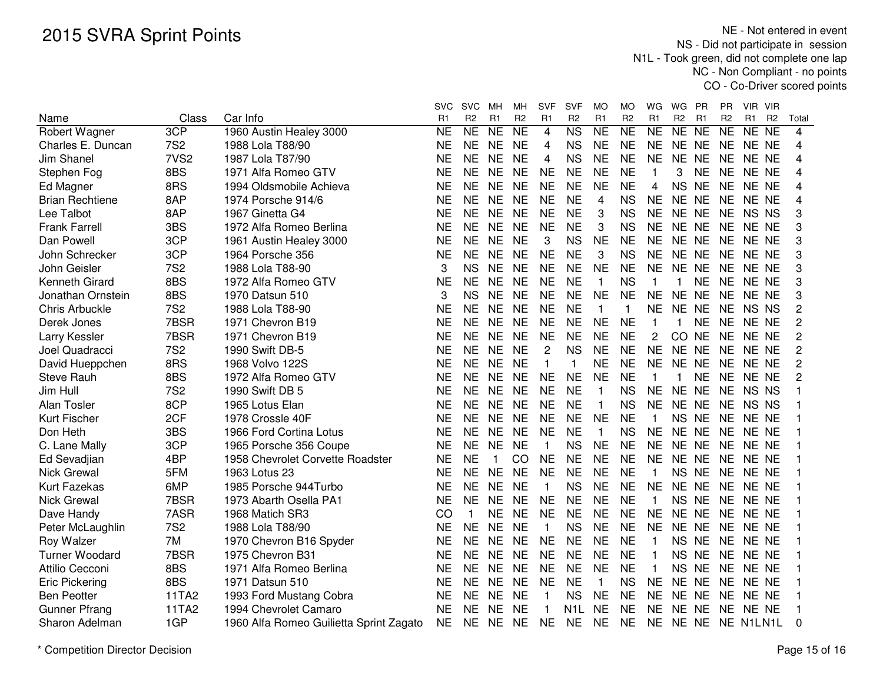|                        |                  |                                         | svc            | <b>SVC</b>     | MH.            | MН             | <b>SVF</b>     | <b>SVF</b>             | MO             | MO                  | WG             | WG             | <b>PR</b>      | ΡR             | VIR VIR        |                |       |
|------------------------|------------------|-----------------------------------------|----------------|----------------|----------------|----------------|----------------|------------------------|----------------|---------------------|----------------|----------------|----------------|----------------|----------------|----------------|-------|
| Name                   | Class            | Car Info                                | R <sub>1</sub> | R <sub>2</sub> | R <sub>1</sub> | R <sub>2</sub> | R1             | R <sub>2</sub>         | R <sub>1</sub> | R <sub>2</sub>      | R <sub>1</sub> | R <sub>2</sub> | R <sub>1</sub> | R <sub>2</sub> | R <sub>1</sub> | R <sub>2</sub> | Total |
| Robert Wagner          | 3CP              | 1960 Austin Healey 3000                 | <b>NE</b>      | NE             | <b>NE</b>      | <b>NE</b>      | 4              | $\overline{\text{NS}}$ | <b>NE</b>      | $\overline{\sf NE}$ | <b>NE</b>      | NE NE          |                | <b>NE</b>      | NE NE          |                | 4     |
| Charles E. Duncan      | <b>7S2</b>       | 1988 Lola T88/90                        | <b>NE</b>      | <b>NE</b>      | <b>NE</b>      | <b>NE</b>      | 4              | <b>NS</b>              | <b>NE</b>      | <b>NE</b>           | <b>NE</b>      | <b>NE</b>      | <b>NE</b>      | <b>NE</b>      | NE NE          |                | 4     |
| <b>Jim Shanel</b>      | 7VS <sub>2</sub> | 1987 Lola T87/90                        | <b>NE</b>      | <b>NE</b>      | <b>NE</b>      | <b>NE</b>      | 4              | <b>NS</b>              | <b>NE</b>      | <b>NE</b>           | <b>NE</b>      | <b>NE</b>      | <b>NE</b>      | <b>NE</b>      | NE NE          |                | 4     |
| Stephen Fog            | 8BS              | 1971 Alfa Romeo GTV                     | <b>NE</b>      | <b>NE</b>      | <b>NE</b>      | <b>NE</b>      | <b>NE</b>      | <b>NE</b>              | <b>NE</b>      | <b>NE</b>           | 1              | 3              | <b>NE</b>      | <b>NE</b>      | NE NE          |                | 4     |
| Ed Magner              | 8RS              | 1994 Oldsmobile Achieva                 | <b>NE</b>      | <b>NE</b>      | <b>NE</b>      | <b>NE</b>      | <b>NE</b>      | <b>NE</b>              | <b>NE</b>      | <b>NE</b>           | 4              | <b>NS</b>      | <b>NE</b>      | <b>NE</b>      | NE NE          |                | 4     |
| <b>Brian Rechtiene</b> | 8AP              | 1974 Porsche 914/6                      | NE             | <b>NE</b>      | <b>NE</b>      | <b>NE</b>      | <b>NE</b>      | <b>NE</b>              | 4              | <b>NS</b>           | <b>NE</b>      | NE NE          |                | <b>NE</b>      | NE NE          |                | 4     |
| Lee Talbot             | 8AP              | 1967 Ginetta G4                         | NΕ             | <b>NE</b>      | <b>NE</b>      | <b>NE</b>      | <b>NE</b>      | <b>NE</b>              | 3              | <b>NS</b>           | <b>NE</b>      | NE NE          |                | <b>NE</b>      | NS NS          |                | 3     |
| <b>Frank Farrell</b>   | 3BS              | 1972 Alfa Romeo Berlina                 | ΝE             | <b>NE</b>      | <b>NE</b>      | <b>NE</b>      | <b>NE</b>      | <b>NE</b>              | 3              | <b>NS</b>           | <b>NE</b>      | NE NE          |                | <b>NE</b>      | NE NE          |                | 3     |
| Dan Powell             | 3CP              | 1961 Austin Healey 3000                 | ΝE             | <b>NE</b>      | <b>NE</b>      | <b>NE</b>      | 3              | <b>NS</b>              | <b>NE</b>      | <b>NE</b>           | <b>NE</b>      | NE NE          |                | <b>NE</b>      | NE NE          |                | 3     |
| John Schrecker         | 3CP              | 1964 Porsche 356                        | <b>NE</b>      | <b>NE</b>      | <b>NE</b>      | <b>NE</b>      | <b>NE</b>      | <b>NE</b>              | 3              | <b>NS</b>           | <b>NE</b>      | NE NE          |                | <b>NE</b>      | NE NE          |                | 3     |
| John Geisler           | <b>7S2</b>       | 1988 Lola T88-90                        | 3              | <b>NS</b>      | <b>NE</b>      | <b>NE</b>      | <b>NE</b>      | <b>NE</b>              | <b>NE</b>      | <b>NE</b>           | <b>NE</b>      | <b>NE</b>      | <b>NE</b>      | <b>NE</b>      | NE NE          |                | 3     |
| Kenneth Girard         | 8BS              | 1972 Alfa Romeo GTV                     | <b>NE</b>      | <b>NE</b>      | <b>NE</b>      | <b>NE</b>      | <b>NE</b>      | <b>NE</b>              | $\mathbf 1$    | <b>NS</b>           | 1              | 1              | <b>NE</b>      | <b>NE</b>      | NE NE          |                | 3     |
| Jonathan Ornstein      | 8BS              | 1970 Datsun 510                         | 3              | <b>NS</b>      | <b>NE</b>      | <b>NE</b>      | <b>NE</b>      | <b>NE</b>              | <b>NE</b>      | <b>NE</b>           | <b>NE</b>      | <b>NE</b>      | <b>NE</b>      | <b>NE</b>      | NE NE          |                | 3     |
| Chris Arbuckle         | <b>7S2</b>       | 1988 Lola T88-90                        | <b>NE</b>      | <b>NE</b>      | <b>NE</b>      | <b>NE</b>      | <b>NE</b>      | <b>NE</b>              | $\mathbf{1}$   | 1                   | <b>NE</b>      | NE NE          |                | <b>NE</b>      | NS NS          |                | 2     |
| Derek Jones            | 7BSR             | 1971 Chevron B19                        | <b>NE</b>      | <b>NE</b>      | <b>NE</b>      | <b>NE</b>      | <b>NE</b>      | <b>NE</b>              | <b>NE</b>      | <b>NE</b>           | 1              | $\mathbf{1}$   | <b>NE</b>      | <b>NE</b>      | NE NE          |                | 2     |
| Larry Kessler          | 7BSR             | 1971 Chevron B19                        | <b>NE</b>      | <b>NE</b>      | <b>NE</b>      | <b>NE</b>      | <b>NE</b>      | <b>NE</b>              | <b>NE</b>      | <b>NE</b>           | $\overline{c}$ | CO             | <b>NE</b>      | <b>NE</b>      | NE NE          |                | 2     |
| Joel Quadracci         | <b>7S2</b>       | 1990 Swift DB-5                         | <b>NE</b>      | <b>NE</b>      | <b>NE</b>      | <b>NE</b>      | $\overline{c}$ | <b>NS</b>              | <b>NE</b>      | <b>NE</b>           | <b>NE</b>      | <b>NE</b>      | <b>NE</b>      | <b>NE</b>      | NE NE          |                | 2     |
| David Hueppchen        | 8RS              | 1968 Volvo 122S                         | <b>NE</b>      | <b>NE</b>      | <b>NE</b>      | <b>NE</b>      | $\mathbf{1}$   | 1                      | <b>NE</b>      | <b>NE</b>           | <b>NE</b>      | <b>NE</b>      | <b>NE</b>      | <b>NE</b>      | NE NE          |                | 2     |
| <b>Steve Rauh</b>      | 8BS              | 1972 Alfa Romeo GTV                     | <b>NE</b>      | <b>NE</b>      | <b>NE</b>      | <b>NE</b>      | <b>NE</b>      | <b>NE</b>              | <b>NE</b>      | <b>NE</b>           | 1              | 1              | <b>NE</b>      | <b>NE</b>      | NE NE          |                | 2     |
| Jim Hull               | <b>7S2</b>       | 1990 Swift DB 5                         | <b>NE</b>      | <b>NE</b>      | <b>NE</b>      | <b>NE</b>      | <b>NE</b>      | <b>NE</b>              | $\mathbf{1}$   | <b>NS</b>           | <b>NE</b>      | NE NE          |                | <b>NE</b>      | NS NS          |                |       |
| Alan Tosler            | 8CP              | 1965 Lotus Elan                         | NE             | <b>NE</b>      | <b>NE</b>      | <b>NE</b>      | <b>NE</b>      | <b>NE</b>              | $\mathbf{1}$   | <b>NS</b>           | <b>NE</b>      | NE NE          |                | <b>NE</b>      | NS NS          |                |       |
| <b>Kurt Fischer</b>    | 2CF              | 1978 Crossle 40F                        | <b>NE</b>      | <b>NE</b>      | <b>NE</b>      | <b>NE</b>      | <b>NE</b>      | <b>NE</b>              | <b>NE</b>      | <b>NE</b>           | 1              | NS NE          |                | <b>NE</b>      | NE NE          |                |       |
| Don Heth               | 3BS              | 1966 Ford Cortina Lotus                 | <b>NE</b>      | <b>NE</b>      | <b>NE</b>      | <b>NE</b>      | <b>NE</b>      | <b>NE</b>              | $\mathbf{1}$   | <b>NS</b>           | <b>NE</b>      | <b>NE</b>      | <b>NE</b>      | <b>NE</b>      | NE NE          |                |       |
| C. Lane Mally          | 3CP              | 1965 Porsche 356 Coupe                  | <b>NE</b>      | <b>NE</b>      | <b>NE</b>      | <b>NE</b>      | $\mathbf{1}$   | <b>NS</b>              | <b>NE</b>      | <b>NE</b>           | <b>NE</b>      | NE NE          |                | <b>NE</b>      | NE NE          |                |       |
| Ed Sevadjian           | 4BP              | 1958 Chevrolet Corvette Roadster        | <b>NE</b>      | <b>NE</b>      | 1              | CO             | <b>NE</b>      | <b>NE</b>              | <b>NE</b>      | <b>NE</b>           | <b>NE</b>      | <b>NE</b>      | <b>NE</b>      | <b>NE</b>      | NE NE          |                |       |
| Nick Grewal            | 5FM              | 1963 Lotus 23                           | <b>NE</b>      | <b>NE</b>      | <b>NE</b>      | <b>NE</b>      | <b>NE</b>      | <b>NE</b>              | <b>NE</b>      | <b>NE</b>           | 1              | <b>NS</b>      | <b>NE</b>      | <b>NE</b>      | NE NE          |                |       |
| Kurt Fazekas           | 6MP              | 1985 Porsche 944Turbo                   | <b>NE</b>      | <b>NE</b>      | <b>NE</b>      | <b>NE</b>      | $\mathbf{1}$   | <b>NS</b>              | <b>NE</b>      | <b>NE</b>           | <b>NE</b>      | NE NE          |                | <b>NE</b>      | NE NE          |                |       |
| <b>Nick Grewal</b>     | 7BSR             | 1973 Abarth Osella PA1                  | <b>NE</b>      | <b>NE</b>      | <b>NE</b>      | <b>NE</b>      | <b>NE</b>      | <b>NE</b>              | <b>NE</b>      | <b>NE</b>           | 1              | <b>NS</b>      | <b>NE</b>      | <b>NE</b>      | NE NE          |                |       |
| Dave Handy             | 7ASR             | 1968 Matich SR3                         | CO             | $\mathbf{1}$   | <b>NE</b>      | <b>NE</b>      | <b>NE</b>      | <b>NE</b>              | <b>NE</b>      | <b>NE</b>           | <b>NE</b>      | <b>NE</b>      | <b>NE</b>      | <b>NE</b>      | NE NE          |                |       |
| Peter McLaughlin       | <b>7S2</b>       | 1988 Lola T88/90                        | <b>NE</b>      | <b>NE</b>      | <b>NE</b>      | <b>NE</b>      | $\mathbf{1}$   | <b>NS</b>              | <b>NE</b>      | <b>NE</b>           | <b>NE</b>      | <b>NE</b>      | <b>NE</b>      | <b>NE</b>      | NE NE          |                | 1     |
| Roy Walzer             | 7M               | 1970 Chevron B16 Spyder                 | <b>NE</b>      | <b>NE</b>      | <b>NE</b>      | <b>NE</b>      | <b>NE</b>      | <b>NE</b>              | <b>NE</b>      | <b>NE</b>           | 1              | <b>NS</b>      | <b>NE</b>      | <b>NE</b>      | NE NE          |                | 1     |
| <b>Turner Woodard</b>  | 7BSR             | 1975 Chevron B31                        | <b>NE</b>      | <b>NE</b>      | <b>NE</b>      | <b>NE</b>      | <b>NE</b>      | <b>NE</b>              | <b>NE</b>      | <b>NE</b>           | 1              | <b>NS</b>      | <b>NE</b>      | <b>NE</b>      | NE NE          |                |       |
| Attilio Cecconi        | 8BS              | 1971 Alfa Romeo Berlina                 | <b>NE</b>      | <b>NE</b>      | <b>NE</b>      | <b>NE</b>      | <b>NE</b>      | <b>NE</b>              | <b>NE</b>      | <b>NE</b>           | 1              | <b>NS</b>      | <b>NE</b>      | <b>NE</b>      | NE NE          |                |       |
| <b>Eric Pickering</b>  | 8BS              | 1971 Datsun 510                         | <b>NE</b>      | <b>NE</b>      | <b>NE</b>      | <b>NE</b>      | <b>NE</b>      | <b>NE</b>              | $\mathbf{1}$   | <b>NS</b>           | <b>NE</b>      | NE NE          |                | <b>NE</b>      | NE NE          |                |       |
| <b>Ben Peotter</b>     | 11TA2            | 1993 Ford Mustang Cobra                 | NΕ             | <b>NE</b>      | <b>NE</b>      | <b>NE</b>      | 1              | <b>NS</b>              | <b>NE</b>      | <b>NE</b>           | NE.            | NE NE          |                | NE.            | NE NE          |                |       |
| <b>Gunner Pfrang</b>   | 11TA2            | 1994 Chevrolet Camaro                   | NE             | <b>NE</b>      | <b>NE</b>      | <b>NE</b>      |                | N1L                    | <b>NE</b>      | NE                  | <b>NE</b>      | <b>NE</b>      | NE             | NE             | NE NE          |                |       |
| Sharon Adelman         | 1GP              | 1960 Alfa Romeo Guilietta Sprint Zagato | <b>NE</b>      | <b>NE</b>      | <b>NE</b>      | <b>NE</b>      | <b>NE</b>      | <b>NE</b>              | <b>NE</b>      | <b>NE</b>           | <b>NE</b>      | NE NE          |                | NE N1LN1L      |                |                | 0     |